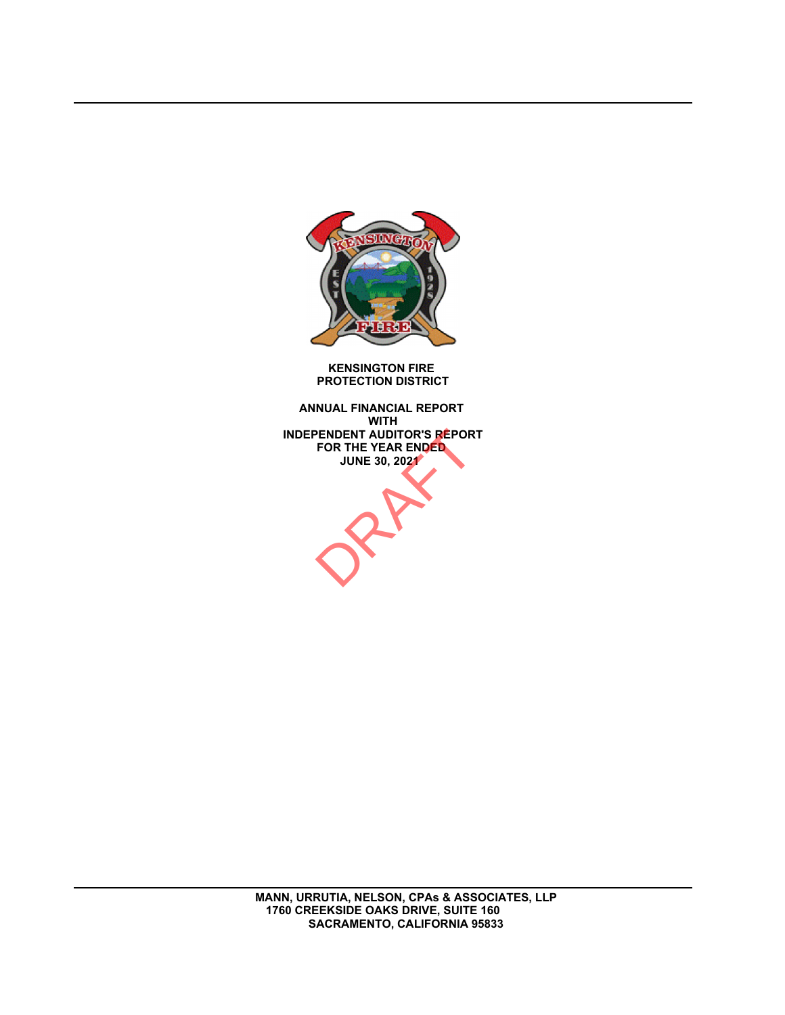

**ANNUAL FINANCIAL REPORT WITH INDEPENDENT AUDITOR'S REPORT FOR THE YEAR ENDED JUNE 30, 2021**  R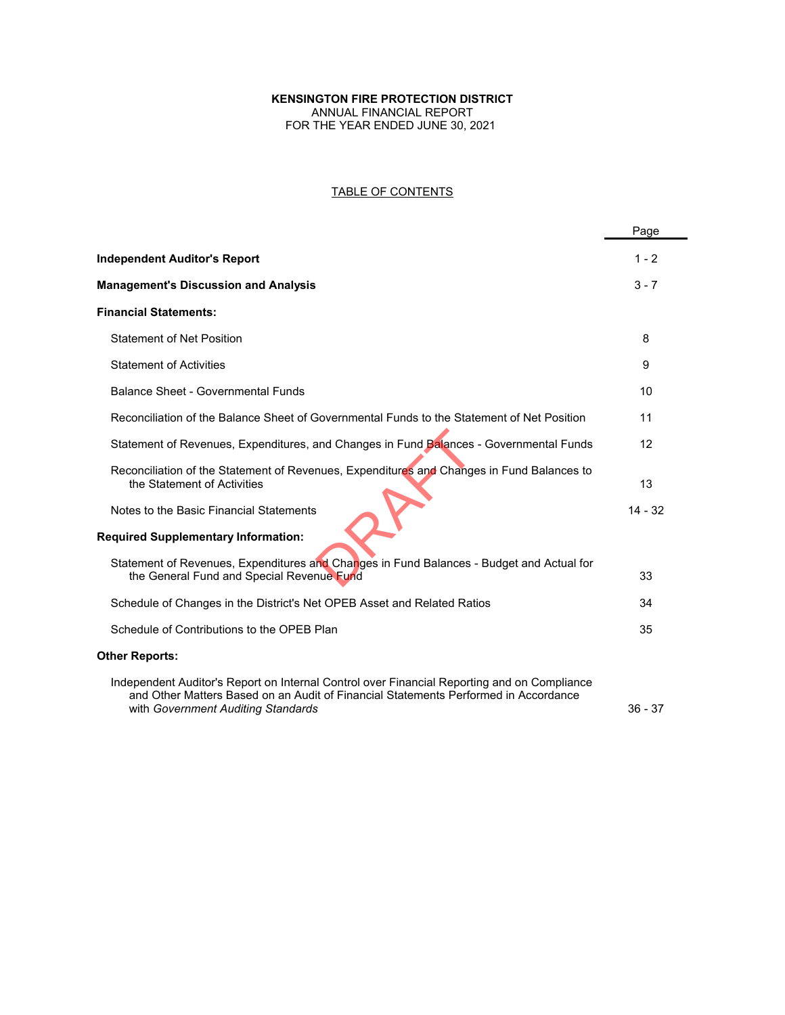ANNUAL FINANCIAL REPORT FOR THE YEAR ENDED JUNE 30, 2021

# TABLE OF CONTENTS

|                                                                                                                                                                                                                          | Page      |
|--------------------------------------------------------------------------------------------------------------------------------------------------------------------------------------------------------------------------|-----------|
| <b>Independent Auditor's Report</b>                                                                                                                                                                                      | $1 - 2$   |
| <b>Management's Discussion and Analysis</b>                                                                                                                                                                              | $3 - 7$   |
| <b>Financial Statements:</b>                                                                                                                                                                                             |           |
| <b>Statement of Net Position</b>                                                                                                                                                                                         | 8         |
| <b>Statement of Activities</b>                                                                                                                                                                                           | 9         |
| <b>Balance Sheet - Governmental Funds</b>                                                                                                                                                                                | 10        |
| Reconciliation of the Balance Sheet of Governmental Funds to the Statement of Net Position                                                                                                                               | 11        |
| Statement of Revenues, Expenditures, and Changes in Fund Balances - Governmental Funds                                                                                                                                   | 12        |
| Reconciliation of the Statement of Revenues, Expenditures and Changes in Fund Balances to<br>the Statement of Activities                                                                                                 | 13        |
| Notes to the Basic Financial Statements                                                                                                                                                                                  | $14 - 32$ |
| <b>Required Supplementary Information:</b>                                                                                                                                                                               |           |
| Statement of Revenues, Expenditures and Changes in Fund Balances - Budget and Actual for<br>the General Fund and Special Revenue Fund                                                                                    | 33        |
| Schedule of Changes in the District's Net OPEB Asset and Related Ratios                                                                                                                                                  | 34        |
| Schedule of Contributions to the OPEB Plan                                                                                                                                                                               | 35        |
| <b>Other Reports:</b>                                                                                                                                                                                                    |           |
| Independent Auditor's Report on Internal Control over Financial Reporting and on Compliance<br>and Other Matters Based on an Audit of Financial Statements Performed in Accordance<br>with Government Auditing Standards | $36 - 37$ |
|                                                                                                                                                                                                                          |           |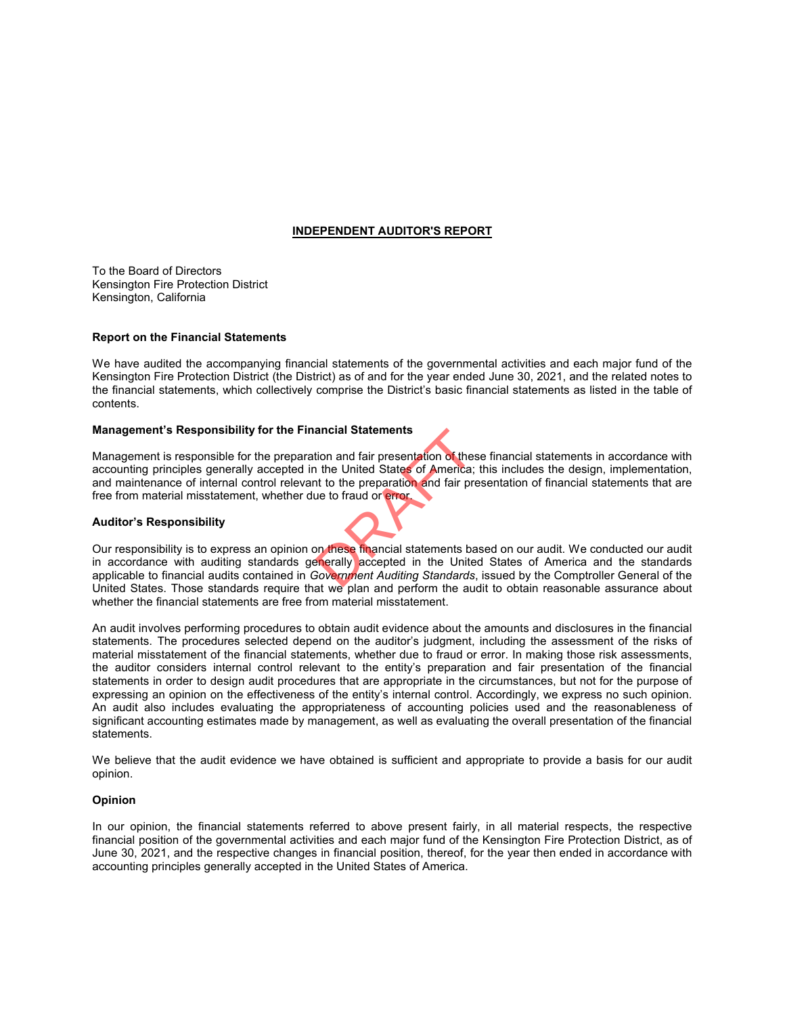# **INDEPENDENT AUDITOR'S REPORT**

To the Board of Directors Kensington Fire Protection District Kensington, California

#### **Report on the Financial Statements**

We have audited the accompanying financial statements of the governmental activities and each major fund of the Kensington Fire Protection District (the District) as of and for the year ended June 30, 2021, and the related notes to the financial statements, which collectively comprise the District's basic financial statements as listed in the table of contents.

#### **Management's Responsibility for the Financial Statements**

Management is responsible for the preparation and fair presentation of these financial statements in accordance with accounting principles generally accepted in the United States of America; this includes the design, implementation, and maintenance of internal control relevant to the preparation and fair presentation of financial statements that are free from material misstatement, whether due to fraud or error. ancial Statements<br>tion and fair presentation of the:<br>the United States of America;<br>the to the preparation and fair proton<br>to fraud or error.<br>on these financial statements based<br>overwhered Auditing Standards

#### **Auditor's Responsibility**

Our responsibility is to express an opinion on these financial statements based on our audit. We conducted our audit in accordance with auditing standards generally accepted in the United States of America and the standards applicable to financial audits contained in *Government Auditing Standards*, issued by the Comptroller General of the United States. Those standards require that we plan and perform the audit to obtain reasonable assurance about whether the financial statements are free from material misstatement.

An audit involves performing procedures to obtain audit evidence about the amounts and disclosures in the financial statements. The procedures selected depend on the auditor's judgment, including the assessment of the risks of material misstatement of the financial statements, whether due to fraud or error. In making those risk assessments, the auditor considers internal control relevant to the entity's preparation and fair presentation of the financial statements in order to design audit procedures that are appropriate in the circumstances, but not for the purpose of expressing an opinion on the effectiveness of the entity's internal control. Accordingly, we express no such opinion. An audit also includes evaluating the appropriateness of accounting policies used and the reasonableness of significant accounting estimates made by management, as well as evaluating the overall presentation of the financial statements.

We believe that the audit evidence we have obtained is sufficient and appropriate to provide a basis for our audit opinion.

#### **Opinion**

In our opinion, the financial statements referred to above present fairly, in all material respects, the respective financial position of the governmental activities and each major fund of the Kensington Fire Protection District, as of June 30, 2021, and the respective changes in financial position, thereof, for the year then ended in accordance with accounting principles generally accepted in the United States of America.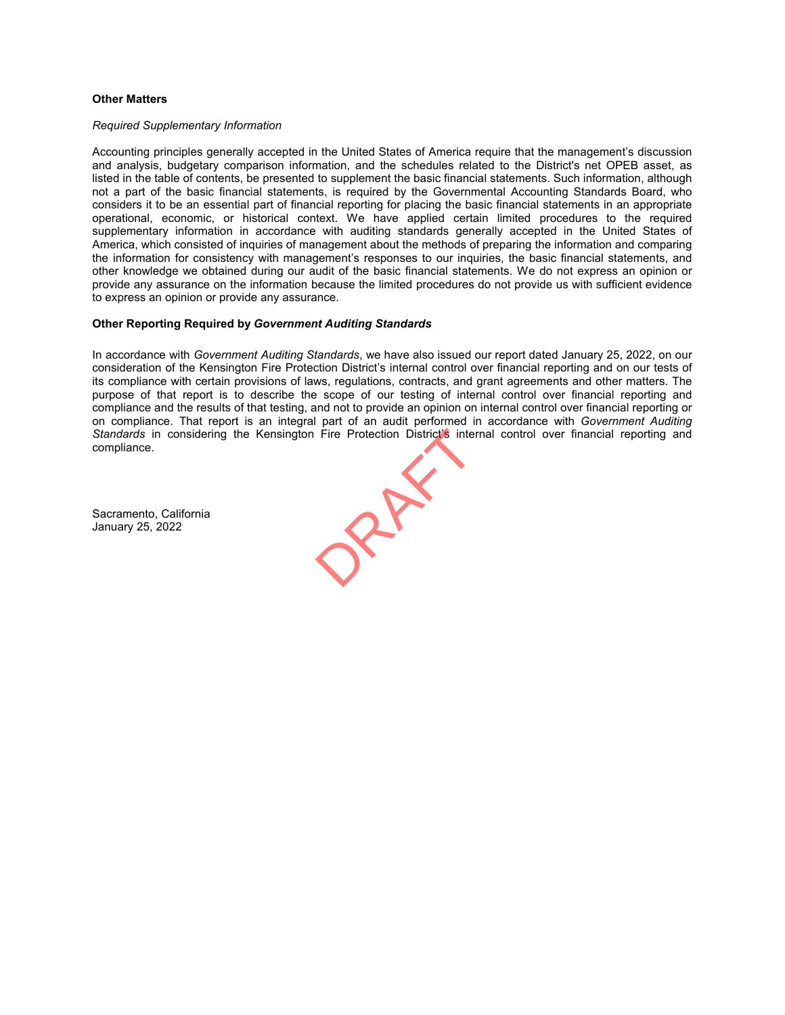# **Other Matters**

#### *Required Supplementary Information*

Accounting principles generally accepted in the United States of America require that the management's discussion and analysis, budgetary comparison information, and the schedules related to the District's net OPEB asset, as listed in the table of contents, be presented to supplement the basic financial statements. Such information, although not a part of the basic financial statements, is required by the Governmental Accounting Standards Board, who considers it to be an essential part of financial reporting for placing the basic financial statements in an appropriate operational, economic, or historical context. We have applied certain limited procedures to the required supplementary information in accordance with auditing standards generally accepted in the United States of America, which consisted of inquiries of management about the methods of preparing the information and comparing the information for consistency with management's responses to our inquiries, the basic financial statements, and other knowledge we obtained during our audit of the basic financial statements. We do not express an opinion or provide any assurance on the information because the limited procedures do not provide us with sufficient evidence to express an opinion or provide any assurance.

## **Other Reporting Required by** *Government Auditing Standards*

In accordance with *Government Auditing Standards*, we have also issued our report dated January 25, 2022, on our consideration of the Kensington Fire Protection District's internal control over financial reporting and on our tests of its compliance with certain provisions of laws, regulations, contracts, and grant agreements and other matters. The purpose of that report is to describe the scope of our testing of internal control over financial reporting and compliance and the results of that testing, and not to provide an opinion on internal control over financial reporting or on compliance. That report is an integral part of an audit performed in accordance with *Government Auditing Standards* in considering the Kensington Fire Protection District's internal control over financial reporting and compliance.

Sacramento, California

Sacramento, California<br>January 25, 2022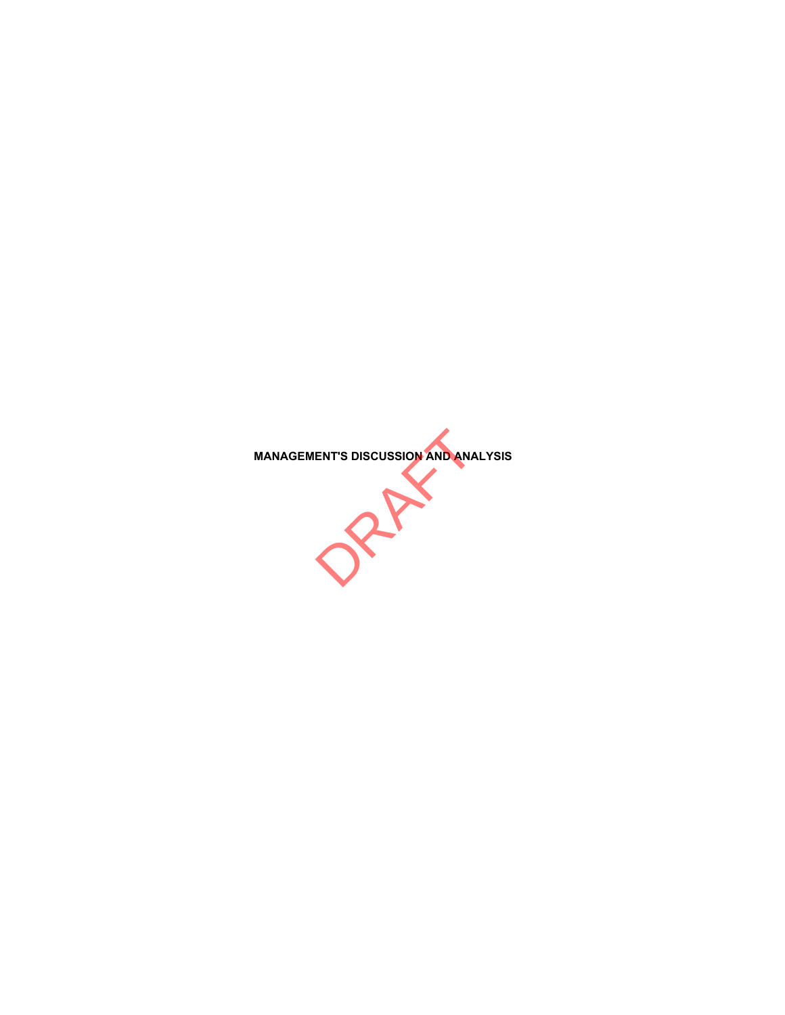MANAGEMENT'S DISCUSSION AND ANALYSIS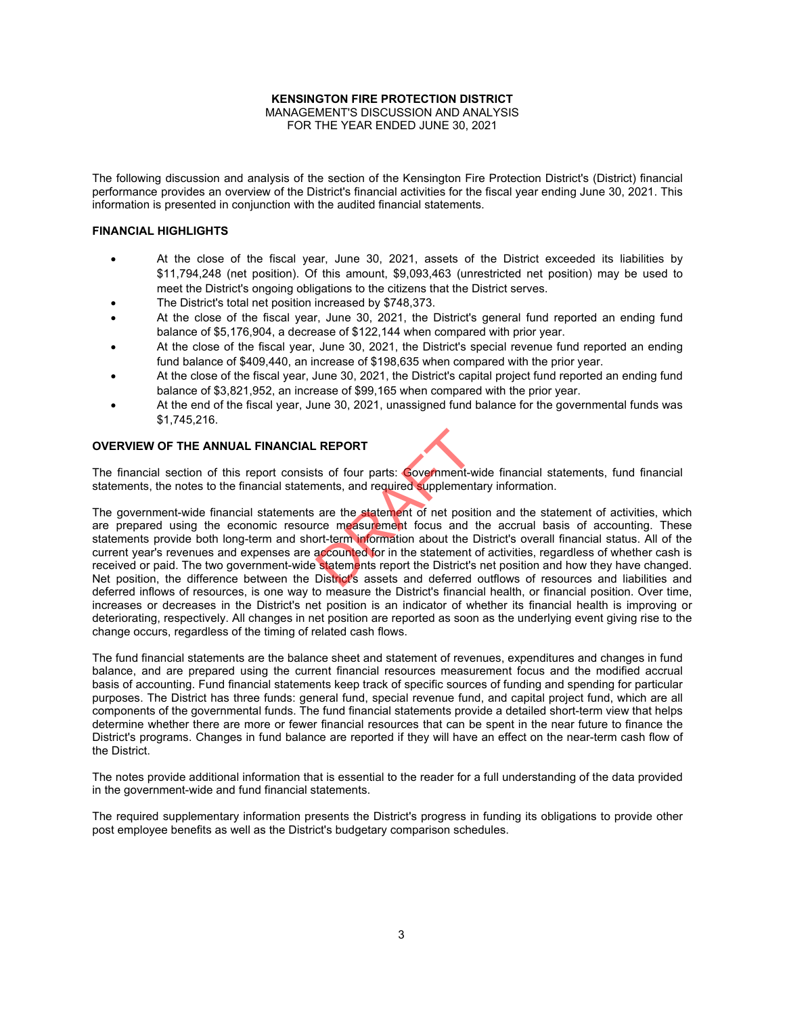The following discussion and analysis of the section of the Kensington Fire Protection District's (District) financial performance provides an overview of the District's financial activities for the fiscal year ending June 30, 2021. This information is presented in conjunction with the audited financial statements.

# **FINANCIAL HIGHLIGHTS**

- At the close of the fiscal year, June 30, 2021, assets of the District exceeded its liabilities by \$11,794,248 (net position). Of this amount, \$9,093,463 (unrestricted net position) may be used to meet the District's ongoing obligations to the citizens that the District serves.
- The District's total net position increased by \$748,373.
- At the close of the fiscal year, June 30, 2021, the District's general fund reported an ending fund balance of \$5,176,904, a decrease of \$122,144 when compared with prior year.
- At the close of the fiscal year, June 30, 2021, the District's special revenue fund reported an ending fund balance of \$409,440, an increase of \$198,635 when compared with the prior year.
- At the close of the fiscal year, June 30, 2021, the District's capital project fund reported an ending fund balance of \$3,821,952, an increase of \$99,165 when compared with the prior year.
- At the end of the fiscal year, June 30, 2021, unassigned fund balance for the governmental funds was \$1,745,216.

## **OVERVIEW OF THE ANNUAL FINANCIAL REPORT**

The financial section of this report consists of four parts: Government-wide financial statements, fund financial statements, the notes to the financial statements, and required supplementary information.

The government-wide financial statements are the statement of net position and the statement of activities, which are prepared using the economic resource measurement focus and the accrual basis of accounting. These statements provide both long-term and short-term information about the District's overall financial status. All of the current year's revenues and expenses are accounted for in the statement of activities, regardless of whether cash is received or paid. The two government-wide statements report the District's net position and how they have changed. Net position, the difference between the District's assets and deferred outflows of resources and liabilities and deferred inflows of resources, is one way to measure the District's financial health, or financial position. Over time, increases or decreases in the District's net position is an indicator of whether its financial health is improving or deteriorating, respectively. All changes in net position are reported as soon as the underlying event giving rise to the change occurs, regardless of the timing of related cash flows. REPORT<br>
ts of four parts: Covernment-w<br>
ments, and required supplement<br>
are the statement of net posit<br>
rice measurement focus and<br>
ort-term information about the I<br>
accounted for in the statement<br>
statements report the Di

The fund financial statements are the balance sheet and statement of revenues, expenditures and changes in fund balance, and are prepared using the current financial resources measurement focus and the modified accrual basis of accounting. Fund financial statements keep track of specific sources of funding and spending for particular purposes. The District has three funds: general fund, special revenue fund, and capital project fund, which are all components of the governmental funds. The fund financial statements provide a detailed short-term view that helps determine whether there are more or fewer financial resources that can be spent in the near future to finance the District's programs. Changes in fund balance are reported if they will have an effect on the near-term cash flow of the District.

The notes provide additional information that is essential to the reader for a full understanding of the data provided in the government-wide and fund financial statements.

The required supplementary information presents the District's progress in funding its obligations to provide other post employee benefits as well as the District's budgetary comparison schedules.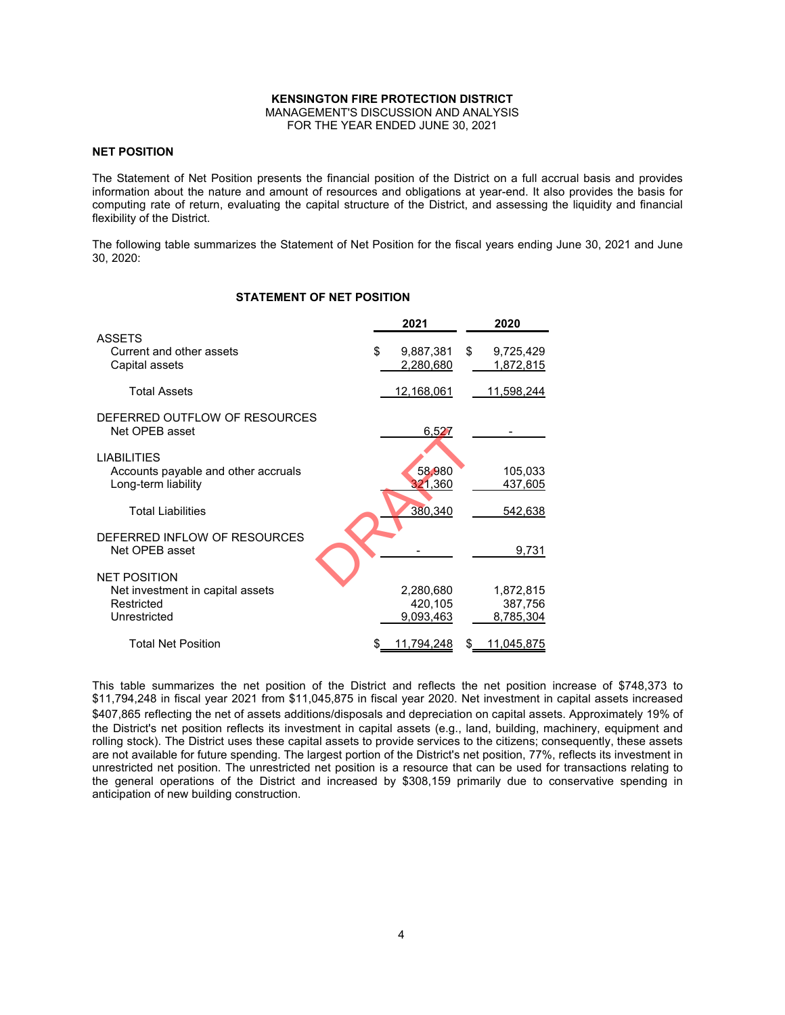## **NET POSITION**

The Statement of Net Position presents the financial position of the District on a full accrual basis and provides information about the nature and amount of resources and obligations at year-end. It also provides the basis for computing rate of return, evaluating the capital structure of the District, and assessing the liquidity and financial flexibility of the District.

The following table summarizes the Statement of Net Position for the fiscal years ending June 30, 2021 and June 30, 2020:

|                                                                                       | 2021                              | 2020                              |
|---------------------------------------------------------------------------------------|-----------------------------------|-----------------------------------|
| <b>ASSETS</b><br>Current and other assets<br>Capital assets                           | \$<br>9,887,381<br>2,280,680      | \$<br>9,725,429<br>1,872,815      |
| <b>Total Assets</b>                                                                   | 12,168,061                        | 11,598,244                        |
| DEFERRED OUTFLOW OF RESOURCES<br>Net OPEB asset                                       | 6,527                             |                                   |
| <b>LIABILITIES</b><br>Accounts payable and other accruals<br>Long-term liability      | 58,980<br>321,360                 | 105,033<br>437,605                |
| <b>Total Liabilities</b>                                                              | 380,340                           | 542,638                           |
| DEFERRED INFLOW OF RESOURCES<br>Net OPEB asset                                        |                                   | 9,731                             |
| <b>NET POSITION</b><br>Net investment in capital assets<br>Restricted<br>Unrestricted | 2,280,680<br>420,105<br>9,093,463 | 1,872,815<br>387,756<br>8,785,304 |
| <b>Total Net Position</b>                                                             | 11,794,248<br>\$.                 | <u>11,045,875</u>                 |

# **STATEMENT OF NET POSITION**

This table summarizes the net position of the District and reflects the net position increase of \$748,373 to \$11,794,248 in fiscal year 2021 from \$11,045,875 in fiscal year 2020. Net investment in capital assets increased \$407,865 reflecting the net of assets additions/disposals and depreciation on capital assets. Approximately 19% of the District's net position reflects its investment in capital assets (e.g., land, building, machinery, equipment and rolling stock). The District uses these capital assets to provide services to the citizens; consequently, these assets are not available for future spending. The largest portion of the District's net position, 77%, reflects its investment in unrestricted net position. The unrestricted net position is a resource that can be used for transactions relating to the general operations of the District and increased by \$308,159 primarily due to conservative spending in anticipation of new building construction.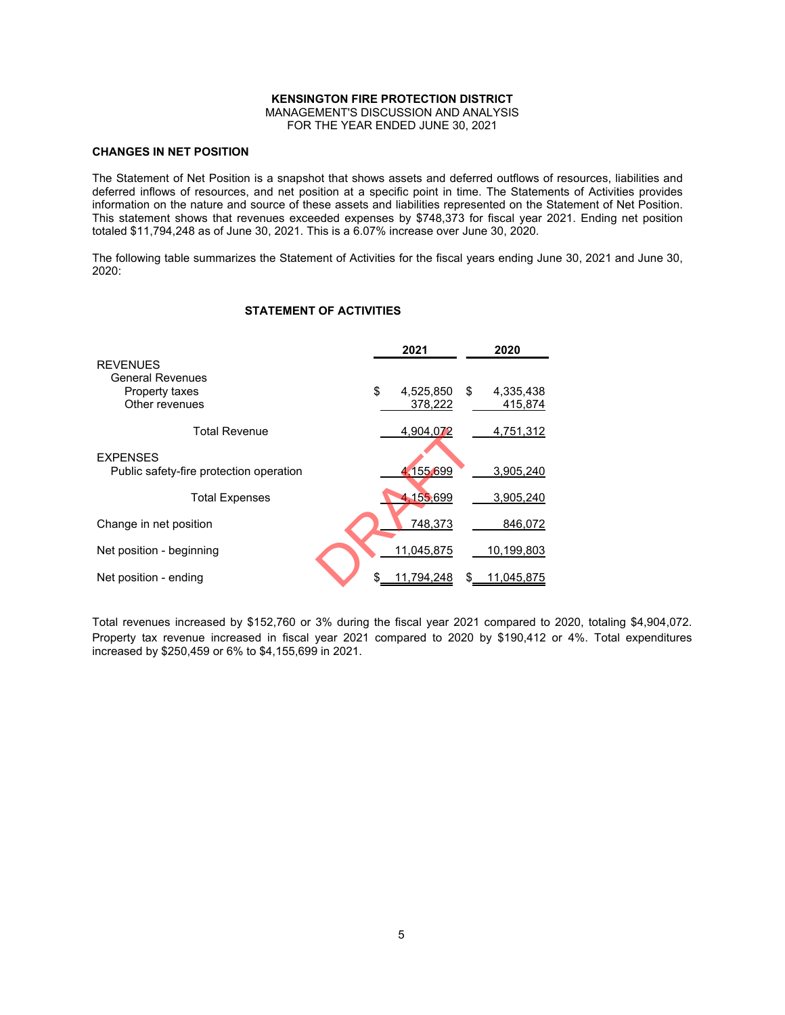# **CHANGES IN NET POSITION**

The Statement of Net Position is a snapshot that shows assets and deferred outflows of resources, liabilities and deferred inflows of resources, and net position at a specific point in time. The Statements of Activities provides information on the nature and source of these assets and liabilities represented on the Statement of Net Position. This statement shows that revenues exceeded expenses by \$748,373 for fiscal year 2021. Ending net position totaled \$11,794,248 as of June 30, 2021. This is a 6.07% increase over June 30, 2020.

The following table summarizes the Statement of Activities for the fiscal years ending June 30, 2021 and June 30, 2020:

# **STATEMENT OF ACTIVITIES**

|                                            | 2021                       | 2020                       |
|--------------------------------------------|----------------------------|----------------------------|
| <b>REVENUES</b><br><b>General Revenues</b> |                            |                            |
| Property taxes<br>Other revenues           | \$<br>4,525,850<br>378,222 | 4,335,438<br>\$<br>415,874 |
| <b>Total Revenue</b>                       | 4,904,072                  | 4,751,312                  |
| <b>EXPENSES</b>                            |                            |                            |
| Public safety-fire protection operation    | 4,155,699                  | 3,905,240                  |
| <b>Total Expenses</b>                      | 4.155,699                  | 3,905,240                  |
| Change in net position                     | 748,373                    | 846,072                    |
| Net position - beginning                   | 11,045,875                 | 10,199,803                 |
| Net position - ending                      | \$<br>11,794,248           | 11,0 <u>45,875</u>         |

Total revenues increased by \$152,760 or 3% during the fiscal year 2021 compared to 2020, totaling \$4,904,072. Property tax revenue increased in fiscal year 2021 compared to 2020 by \$190,412 or 4%. Total expenditures increased by \$250,459 or 6% to \$4,155,699 in 2021.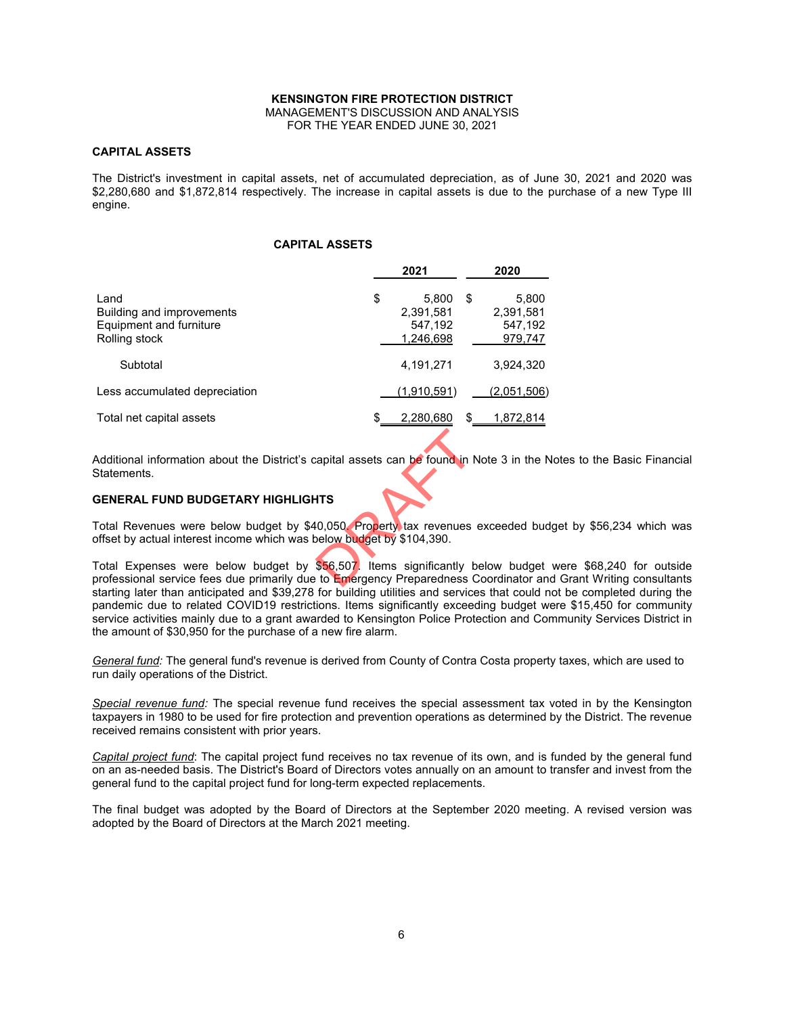MANAGEMENT'S DISCUSSION AND ANALYSIS

FOR THE YEAR ENDED JUNE 30, 2021

## **CAPITAL ASSETS**

The District's investment in capital assets, net of accumulated depreciation, as of June 30, 2021 and 2020 was \$2,280,680 and \$1,872,814 respectively. The increase in capital assets is due to the purchase of a new Type III engine.

## **CAPITAL ASSETS**

|                                                                               | 2021                                             | 2020                                           |
|-------------------------------------------------------------------------------|--------------------------------------------------|------------------------------------------------|
| Land<br>Building and improvements<br>Equipment and furniture<br>Rolling stock | \$<br>5.800<br>2,391,581<br>547.192<br>1,246,698 | 5,800<br>\$<br>2,391,581<br>547,192<br>979,747 |
| Subtotal                                                                      | 4,191,271                                        | 3,924,320                                      |
| Less accumulated depreciation                                                 | (1,910,591)                                      | (2,051,506)                                    |
| Total net capital assets                                                      | S<br>2,280,680                                   | 1,872,814                                      |

Additional information about the District's capital assets can be found in Note 3 in the Notes to the Basic Financial Statements.

#### **GENERAL FUND BUDGETARY HIGHLIGHTS**

Total Revenues were below budget by \$40,050. Property tax revenues exceeded budget by \$56,234 which was offset by actual interest income which was below budget by \$104,390.

Total Expenses were below budget by \$56,507. Items significantly below budget were \$68,240 for outside professional service fees due primarily due to Emergency Preparedness Coordinator and Grant Writing consultants starting later than anticipated and \$39,278 for building utilities and services that could not be completed during the pandemic due to related COVID19 restrictions. Items significantly exceeding budget were \$15,450 for community service activities mainly due to a grant awarded to Kensington Police Protection and Community Services District in the amount of \$30,950 for the purchase of a new fire alarm. Expital assets can be found in the<br>17S<br>10,050 Property tax revenues<br>below budget by \$104,390.<br>556,507. Items significantly between the Emergency Preparedness (

*General fund:* The general fund's revenue is derived from County of Contra Costa property taxes, which are used to run daily operations of the District.

*Special revenue fund:* The special revenue fund receives the special assessment tax voted in by the Kensington taxpayers in 1980 to be used for fire protection and prevention operations as determined by the District. The revenue received remains consistent with prior years.

*Capital project fund*: The capital project fund receives no tax revenue of its own, and is funded by the general fund on an as-needed basis. The District's Board of Directors votes annually on an amount to transfer and invest from the general fund to the capital project fund for long-term expected replacements.

The final budget was adopted by the Board of Directors at the September 2020 meeting. A revised version was adopted by the Board of Directors at the March 2021 meeting.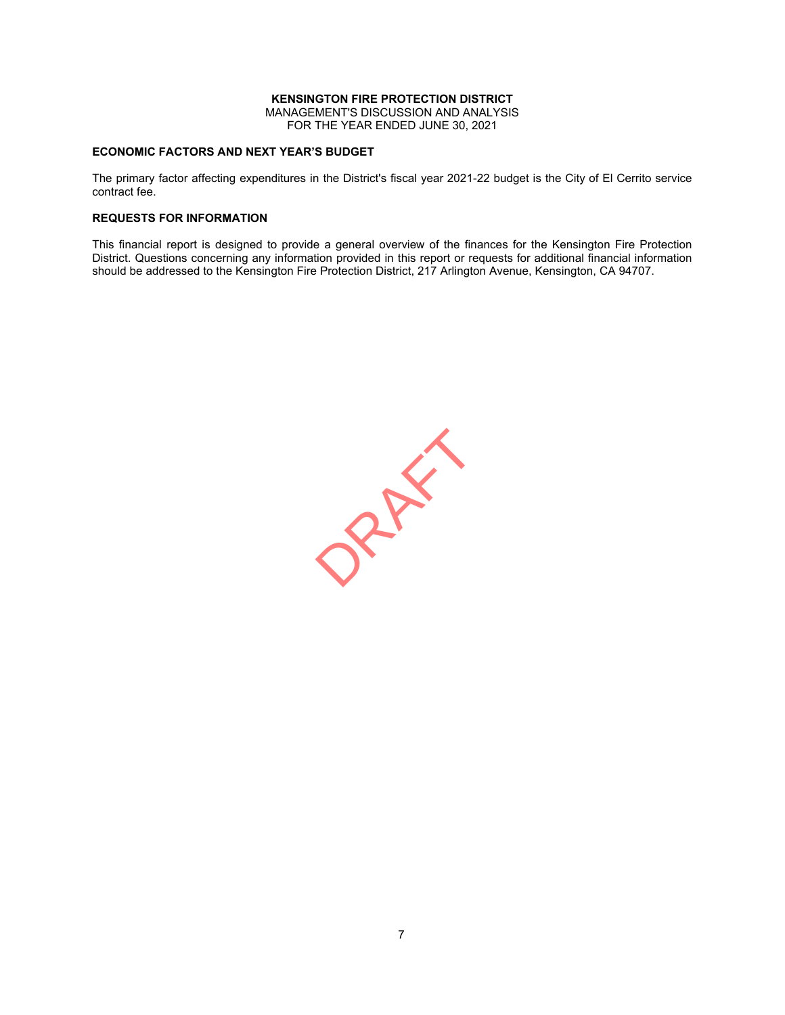# **ECONOMIC FACTORS AND NEXT YEAR'S BUDGET**

The primary factor affecting expenditures in the District's fiscal year 2021-22 budget is the City of El Cerrito service contract fee.

# **REQUESTS FOR INFORMATION**

This financial report is designed to provide a general overview of the finances for the Kensington Fire Protection District. Questions concerning any information provided in this report or requests for additional financial information should be addressed to the Kensington Fire Protection District, 217 Arlington Avenue, Kensington, CA 94707.

ORK A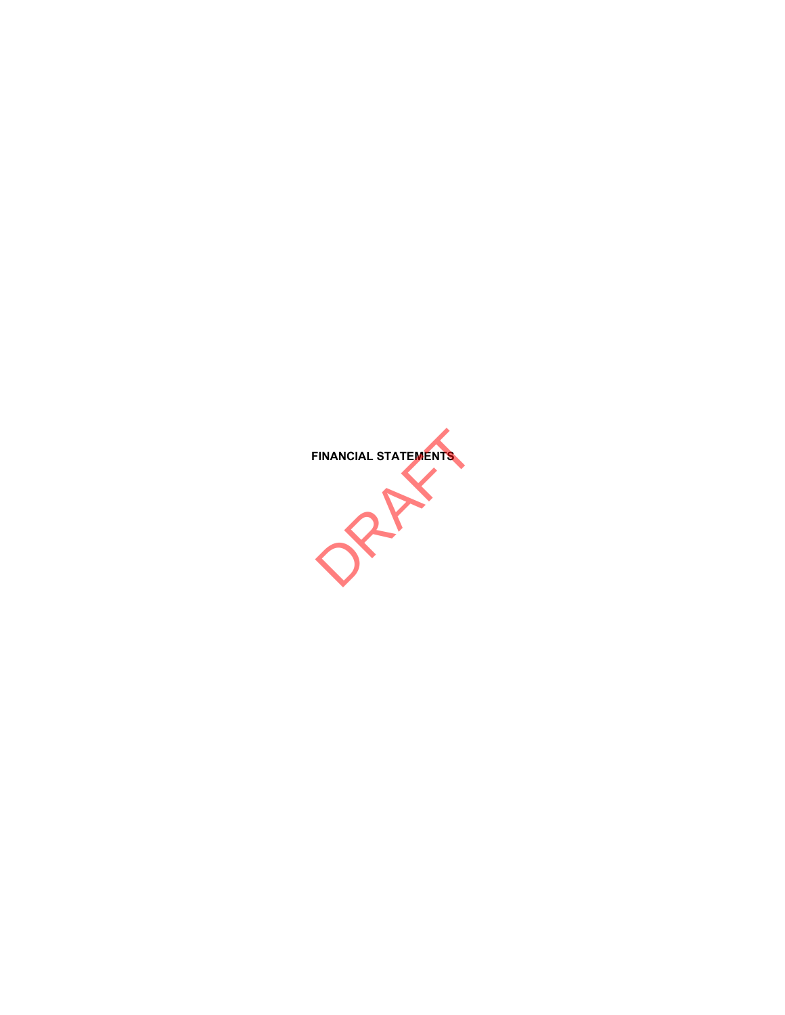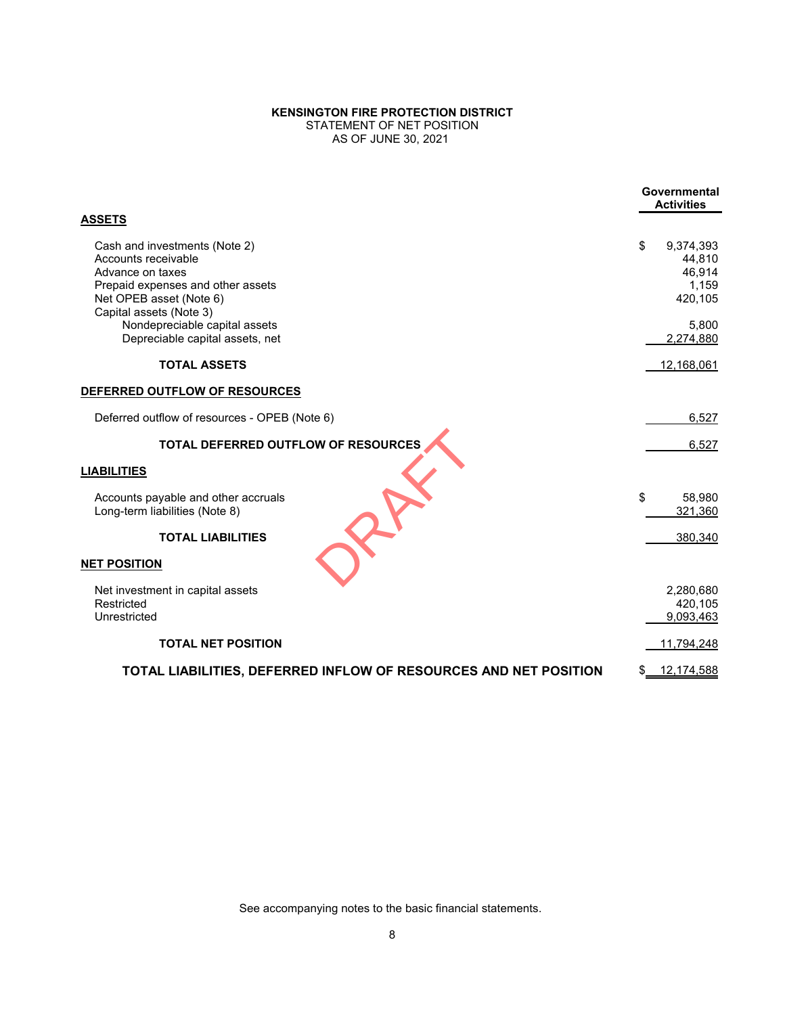STATEMENT OF NET POSITION AS OF JUNE 30, 2021

|                                                                                                                                                                     | Governmental<br><b>Activities</b>                       |
|---------------------------------------------------------------------------------------------------------------------------------------------------------------------|---------------------------------------------------------|
| <u>ASSETS</u>                                                                                                                                                       |                                                         |
| Cash and investments (Note 2)<br>Accounts receivable<br>Advance on taxes<br>Prepaid expenses and other assets<br>Net OPEB asset (Note 6)<br>Capital assets (Note 3) | \$<br>9,374,393<br>44,810<br>46,914<br>1,159<br>420.105 |
| Nondepreciable capital assets                                                                                                                                       | 5,800                                                   |
| Depreciable capital assets, net                                                                                                                                     | 2,274,880                                               |
| <b>TOTAL ASSETS</b>                                                                                                                                                 | 12,168,061                                              |
| DEFERRED OUTFLOW OF RESOURCES                                                                                                                                       |                                                         |
| Deferred outflow of resources - OPEB (Note 6)                                                                                                                       | 6,527                                                   |
| TOTAL DEFERRED OUTFLOW OF RESOURCES                                                                                                                                 | 6,527                                                   |
| <b>LIABILITIES</b>                                                                                                                                                  |                                                         |
| Accounts payable and other accruals<br>Long-term liabilities (Note 8)                                                                                               | \$<br>58,980<br>321,360                                 |
| <b>TOTAL LIABILITIES</b>                                                                                                                                            | 380.340                                                 |
| <b>NET POSITION</b>                                                                                                                                                 |                                                         |
| Net investment in capital assets<br>Restricted<br>Unrestricted                                                                                                      | 2,280,680<br>420,105<br>9,093,463                       |
| <b>TOTAL NET POSITION</b>                                                                                                                                           | 11,794,248                                              |
| TOTAL LIABILITIES, DEFERRED INFLOW OF RESOURCES AND NET POSITION                                                                                                    | 12,174,588                                              |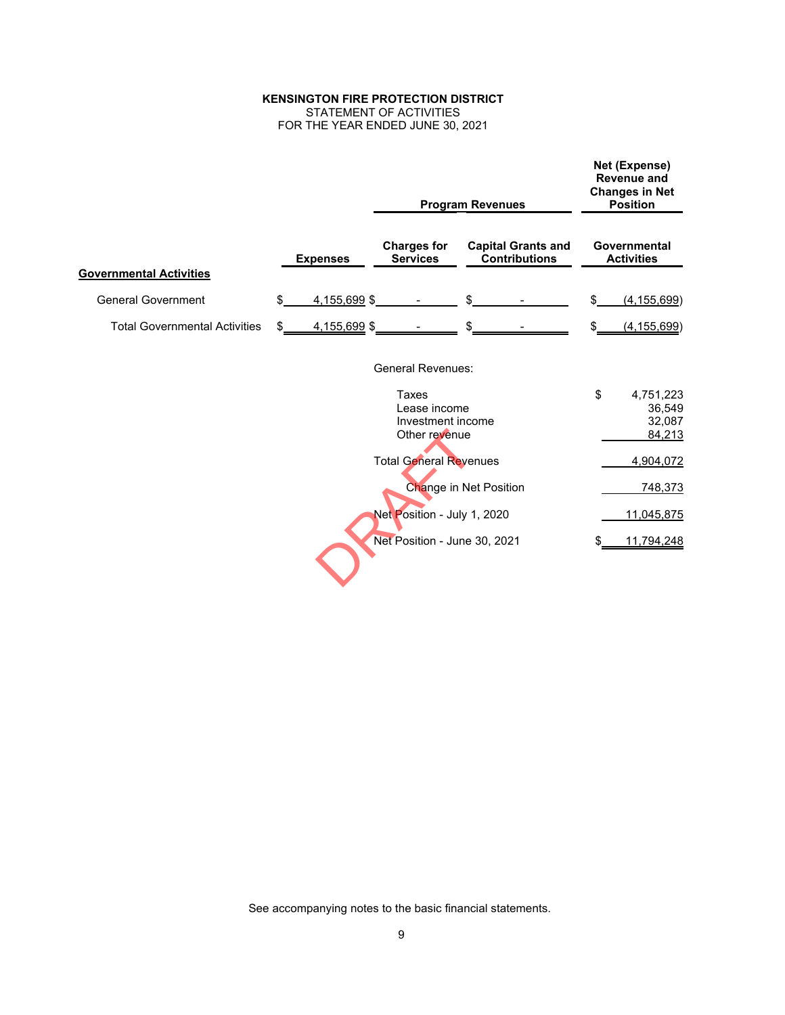# STATEMENT OF ACTIVITIES FOR THE YEAR ENDED JUNE 30, 2021

|                                      |                    | <b>Program Revenues</b>                                     |                                                   |    | Net (Expense)<br>Revenue and<br><b>Changes in Net</b><br><b>Position</b> |
|--------------------------------------|--------------------|-------------------------------------------------------------|---------------------------------------------------|----|--------------------------------------------------------------------------|
| <b>Governmental Activities</b>       | <b>Expenses</b>    | <b>Charges for</b><br><b>Services</b>                       | <b>Capital Grants and</b><br><b>Contributions</b> |    | Governmental<br><b>Activities</b>                                        |
| <b>General Government</b>            | 4,155,699 \$<br>\$ |                                                             | \$                                                | S  | (4, 155, 699)                                                            |
| <b>Total Governmental Activities</b> | 4,155,699 \$<br>\$ |                                                             |                                                   |    | (4, 155, 699)                                                            |
|                                      |                    | <b>General Revenues:</b>                                    |                                                   |    |                                                                          |
|                                      |                    | Taxes<br>Lease income<br>Investment income<br>Other revenue |                                                   | \$ | 4,751,223<br>36,549<br>32,087<br>84,213                                  |
|                                      |                    | <b>Total General Revenues</b>                               | Change in Net Position                            |    | 4,904,072<br>748,373                                                     |
|                                      |                    | Net Position - July 1, 2020                                 |                                                   |    | 11,045,875                                                               |
|                                      |                    | Net Position - June 30, 2021                                |                                                   |    | 11,794,248                                                               |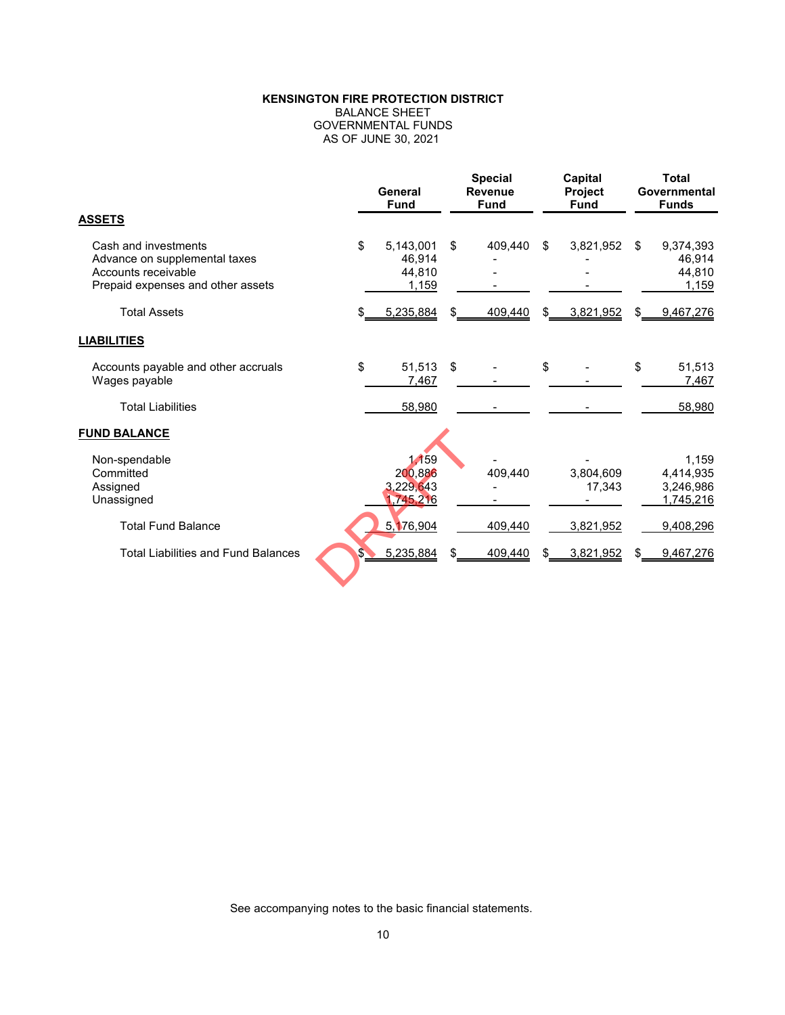BALANCE SHEET

GOVERNMENTAL FUNDS AS OF JUNE 30, 2021

|                                                                                                                   | General<br><b>Fund</b>                       | <b>Special</b><br><b>Revenue</b><br><b>Fund</b> |     | Capital<br><b>Project</b><br><b>Fund</b> | <b>Total</b><br>Governmental<br><b>Funds</b> |
|-------------------------------------------------------------------------------------------------------------------|----------------------------------------------|-------------------------------------------------|-----|------------------------------------------|----------------------------------------------|
| <b>ASSETS</b>                                                                                                     |                                              |                                                 |     |                                          |                                              |
| Cash and investments<br>Advance on supplemental taxes<br>Accounts receivable<br>Prepaid expenses and other assets | \$<br>5,143,001<br>46.914<br>44.810<br>1,159 | \$<br>409,440                                   | \$  | 3,821,952                                | \$<br>9,374,393<br>46.914<br>44,810<br>1,159 |
| <b>Total Assets</b>                                                                                               | \$<br>5,235,884                              | \$<br>409,440                                   | \$  | 3,821,952                                | \$<br>9,467,276                              |
| <b>LIABILITIES</b>                                                                                                |                                              |                                                 |     |                                          |                                              |
| Accounts payable and other accruals<br>Wages payable                                                              | \$<br>51.513<br>7,467                        | \$                                              | \$  |                                          | \$<br>51.513<br>7,467                        |
| <b>Total Liabilities</b>                                                                                          | 58,980                                       |                                                 |     |                                          | 58,980                                       |
| <b>FUND BALANCE</b>                                                                                               |                                              |                                                 |     |                                          |                                              |
| Non-spendable<br>Committed<br>Assigned<br>Unassigned                                                              | 1,159<br>200.886<br>3,229,643<br>1,745,216   | 409,440                                         |     | 3.804.609<br>17,343                      | 1,159<br>4,414,935<br>3,246,986<br>1,745,216 |
| <b>Total Fund Balance</b>                                                                                         | 5,176,904                                    | 409,440                                         |     | 3,821,952                                | 9,408,296                                    |
| <b>Total Liabilities and Fund Balances</b>                                                                        | 5,235,884                                    | 409,440                                         | \$. | 3,821,952                                | \$<br>9,467,276                              |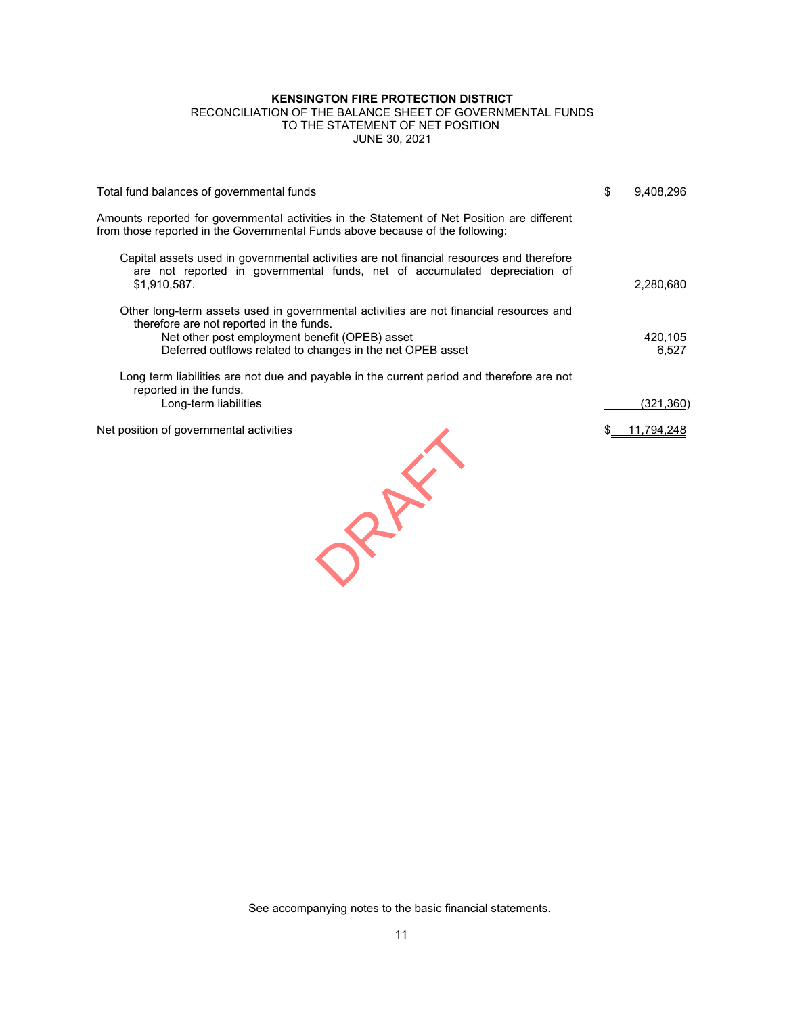## RECONCILIATION OF THE BALANCE SHEET OF GOVERNMENTAL FUNDS TO THE STATEMENT OF NET POSITION JUNE 30, 2021

| Total fund balances of governmental funds                                                                                                                                                                                                          | \$<br>9,408,296  |
|----------------------------------------------------------------------------------------------------------------------------------------------------------------------------------------------------------------------------------------------------|------------------|
| Amounts reported for governmental activities in the Statement of Net Position are different<br>from those reported in the Governmental Funds above because of the following:                                                                       |                  |
| Capital assets used in governmental activities are not financial resources and therefore<br>are not reported in governmental funds, net of accumulated depreciation of<br>\$1,910,587.                                                             | 2,280,680        |
| Other long-term assets used in governmental activities are not financial resources and<br>therefore are not reported in the funds.<br>Net other post employment benefit (OPEB) asset<br>Deferred outflows related to changes in the net OPEB asset | 420,105<br>6,527 |
| Long term liabilities are not due and payable in the current period and therefore are not<br>reported in the funds.<br>Long-term liabilities                                                                                                       | <u>(321,360)</u> |
| Net position of governmental activities                                                                                                                                                                                                            | 11,794,248       |
|                                                                                                                                                                                                                                                    |                  |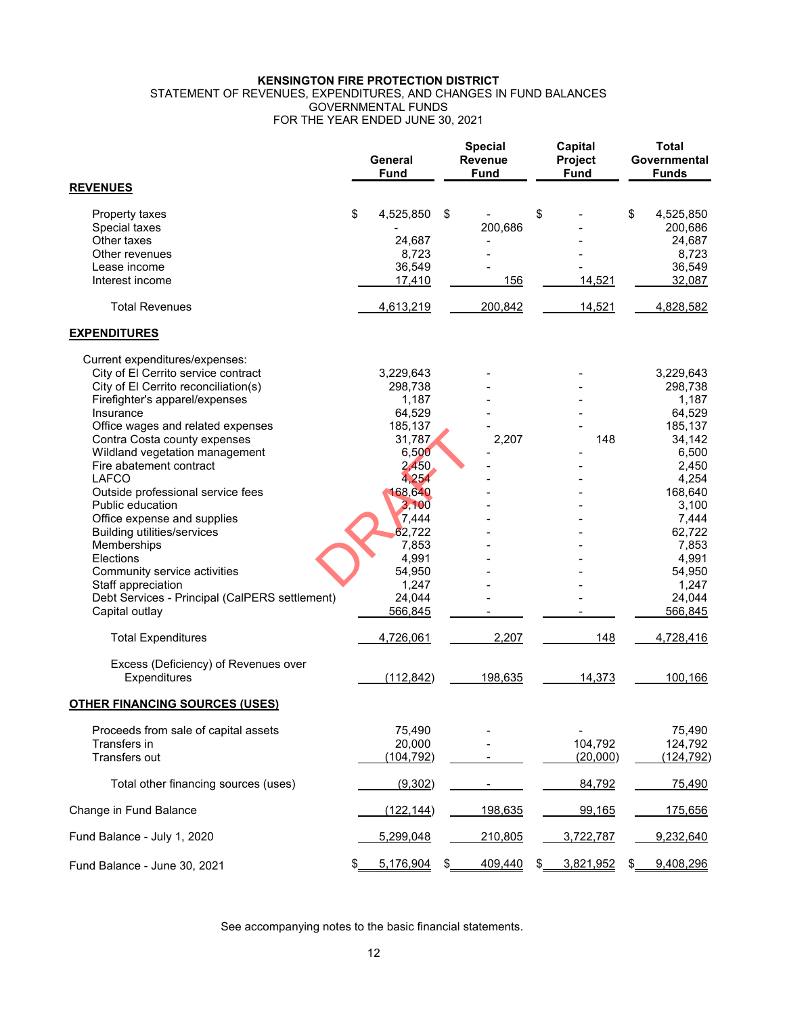# STATEMENT OF REVENUES, EXPENDITURES, AND CHANGES IN FUND BALANCES GOVERNMENTAL FUNDS

FOR THE YEAR ENDED JUNE 30, 2021

|                                                                                                                                                                                                                                                                                                                                                                                                                                                                                                                                                                                                    | General<br><b>Fund</b>                                                                                                                                                                   | <b>Special</b><br><b>Revenue</b><br><b>Fund</b> | Capital<br>Project<br><b>Fund</b> | <b>Total</b><br>Governmental<br><b>Funds</b>                                                                                                                                             |
|----------------------------------------------------------------------------------------------------------------------------------------------------------------------------------------------------------------------------------------------------------------------------------------------------------------------------------------------------------------------------------------------------------------------------------------------------------------------------------------------------------------------------------------------------------------------------------------------------|------------------------------------------------------------------------------------------------------------------------------------------------------------------------------------------|-------------------------------------------------|-----------------------------------|------------------------------------------------------------------------------------------------------------------------------------------------------------------------------------------|
| <b>REVENUES</b>                                                                                                                                                                                                                                                                                                                                                                                                                                                                                                                                                                                    |                                                                                                                                                                                          |                                                 |                                   |                                                                                                                                                                                          |
| Property taxes<br>Special taxes<br>Other taxes<br>Other revenues                                                                                                                                                                                                                                                                                                                                                                                                                                                                                                                                   | \$<br>4,525,850<br>24,687<br>8,723                                                                                                                                                       | \$<br>200,686                                   | \$                                | \$<br>4,525,850<br>200,686<br>24,687<br>8,723                                                                                                                                            |
| Lease income<br>Interest income                                                                                                                                                                                                                                                                                                                                                                                                                                                                                                                                                                    | 36,549<br>17,410                                                                                                                                                                         | 156                                             | 14,521                            | 36,549<br>32,087                                                                                                                                                                         |
| <b>Total Revenues</b>                                                                                                                                                                                                                                                                                                                                                                                                                                                                                                                                                                              | 4,613,219                                                                                                                                                                                | 200,842                                         | 14,521                            | 4,828,582                                                                                                                                                                                |
| <b>EXPENDITURES</b>                                                                                                                                                                                                                                                                                                                                                                                                                                                                                                                                                                                |                                                                                                                                                                                          |                                                 |                                   |                                                                                                                                                                                          |
| Current expenditures/expenses:<br>City of El Cerrito service contract<br>City of El Cerrito reconciliation(s)<br>Firefighter's apparel/expenses<br>Insurance<br>Office wages and related expenses<br>Contra Costa county expenses<br>Wildland vegetation management<br>Fire abatement contract<br><b>LAFCO</b><br>Outside professional service fees<br>Public education<br>Office expense and supplies<br><b>Building utilities/services</b><br>Memberships<br>Elections<br>Community service activities<br>Staff appreciation<br>Debt Services - Principal (CalPERS settlement)<br>Capital outlay | 3,229,643<br>298,738<br>1,187<br>64,529<br>185,137<br>31,787<br>6,500<br>2,450<br>4,254<br>168,640<br>3,100<br>7,444<br>62,722<br>7,853<br>4,991<br>54,950<br>1,247<br>24,044<br>566,845 | 2,207                                           | 148                               | 3,229,643<br>298,738<br>1,187<br>64,529<br>185,137<br>34,142<br>6,500<br>2,450<br>4,254<br>168,640<br>3,100<br>7,444<br>62,722<br>7,853<br>4,991<br>54,950<br>1,247<br>24,044<br>566,845 |
| <b>Total Expenditures</b>                                                                                                                                                                                                                                                                                                                                                                                                                                                                                                                                                                          | 4,726,061                                                                                                                                                                                | 2,207                                           | <u>148</u>                        | 4,728,416                                                                                                                                                                                |
| Excess (Deficiency) of Revenues over<br>Expenditures                                                                                                                                                                                                                                                                                                                                                                                                                                                                                                                                               | (112, 842)                                                                                                                                                                               | 198,635                                         | 14,373                            | 100,166                                                                                                                                                                                  |
| <b>OTHER FINANCING SOURCES (USES)</b>                                                                                                                                                                                                                                                                                                                                                                                                                                                                                                                                                              |                                                                                                                                                                                          |                                                 |                                   |                                                                                                                                                                                          |
| Proceeds from sale of capital assets<br>Transfers in<br><b>Transfers out</b>                                                                                                                                                                                                                                                                                                                                                                                                                                                                                                                       | 75,490<br>20,000<br>(104, 792)                                                                                                                                                           |                                                 | 104,792<br>(20,000)               | 75,490<br>124,792<br>(124, 792)                                                                                                                                                          |
| Total other financing sources (uses)                                                                                                                                                                                                                                                                                                                                                                                                                                                                                                                                                               | (9,302)                                                                                                                                                                                  |                                                 | 84,792                            | 75,490                                                                                                                                                                                   |
| Change in Fund Balance                                                                                                                                                                                                                                                                                                                                                                                                                                                                                                                                                                             | (122, 144)                                                                                                                                                                               | 198,635                                         | 99,165                            | 175,656                                                                                                                                                                                  |
| Fund Balance - July 1, 2020                                                                                                                                                                                                                                                                                                                                                                                                                                                                                                                                                                        | 5,299,048                                                                                                                                                                                | 210,805                                         | 3,722,787                         | 9,232,640                                                                                                                                                                                |
| Fund Balance - June 30, 2021                                                                                                                                                                                                                                                                                                                                                                                                                                                                                                                                                                       | 5,176,904                                                                                                                                                                                | 409,440<br>\$                                   | 3,821,952<br>\$                   | 9,408,296                                                                                                                                                                                |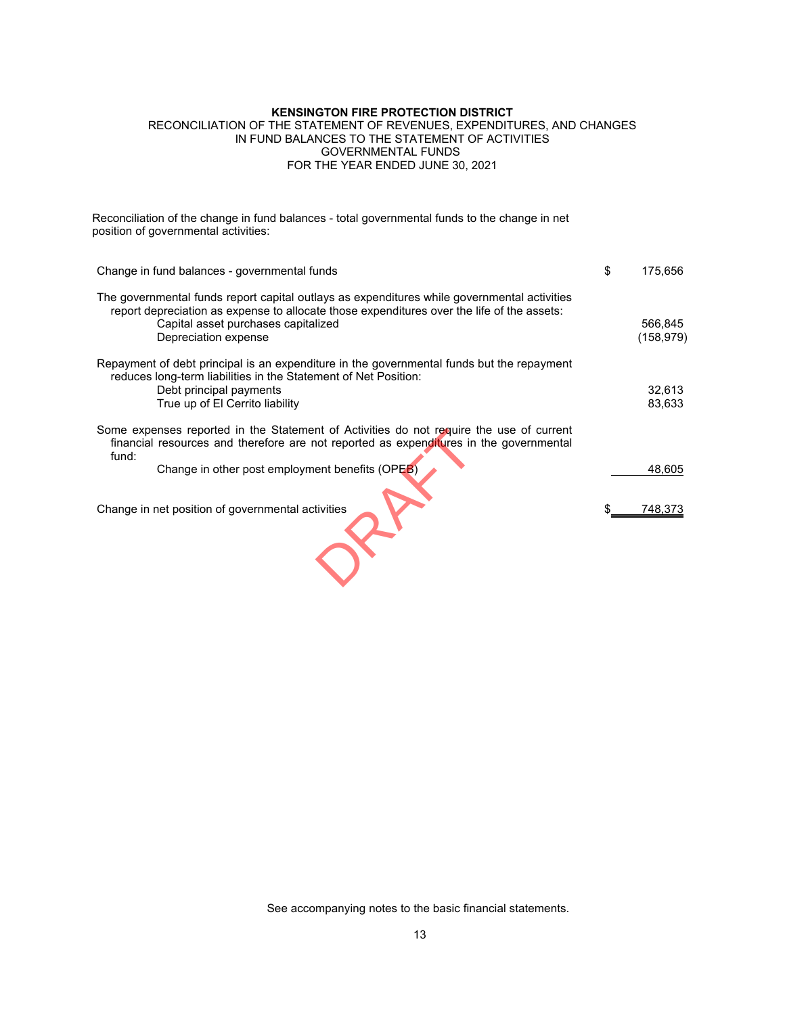#### RECONCILIATION OF THE STATEMENT OF REVENUES, EXPENDITURES, AND CHANGES IN FUND BALANCES TO THE STATEMENT OF ACTIVITIES GOVERNMENTAL FUNDS FOR THE YEAR ENDED JUNE 30, 2021

Reconciliation of the change in fund balances - total governmental funds to the change in net position of governmental activities: Change in fund balances - governmental funds \$ 175,656 The governmental funds report capital outlays as expenditures while governmental activities report depreciation as expense to allocate those expenditures over the life of the assets: Capital asset purchases capitalized 566,845 Depreciation expense (158,979) Repayment of debt principal is an expenditure in the governmental funds but the repayment reduces long-term liabilities in the Statement of Net Position: Debt principal payments 32,613 True up of El Cerrito liability Some expenses reported in the Statement of Activities do not require the use of current financial resources and therefore are not reported as expenditures in the governmental fund: Change in other post employment benefits (OPEB) 48,605 Change in net position of governmental activities **the contract of the Change of Change in net position of governmental activities** nt of Activities do not require<br>
not reported as expenditures in<br>
ent benefits (OPEB)<br>
tivities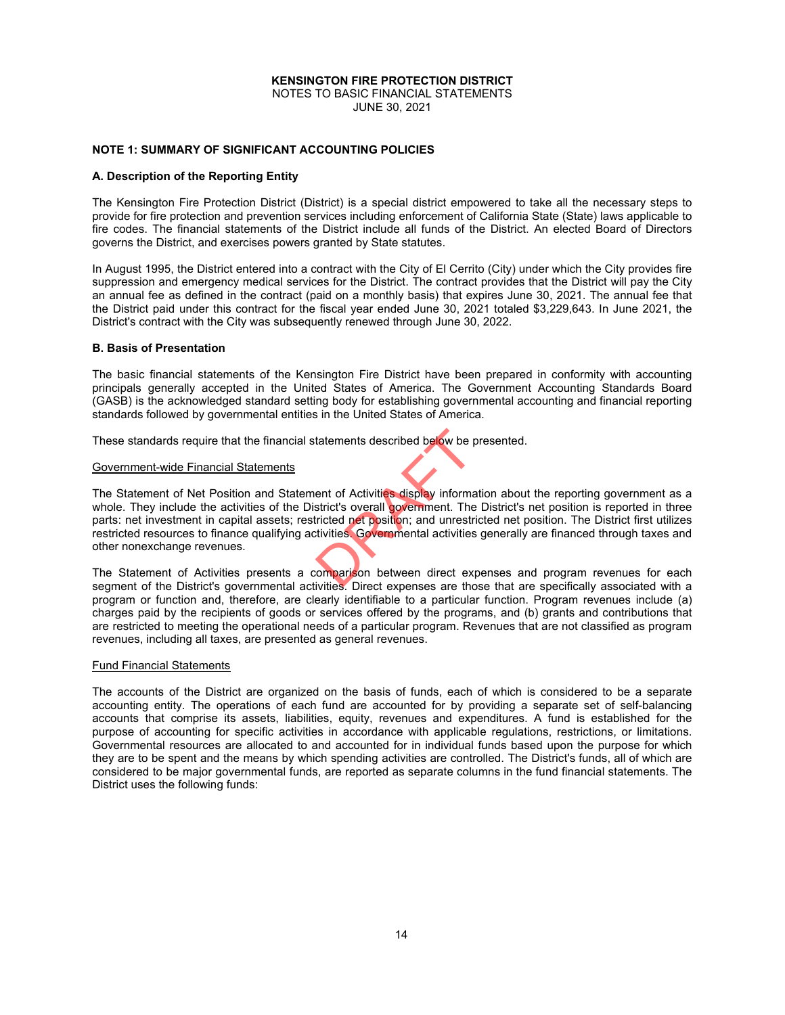NOTES TO BASIC FINANCIAL STATEMENTS

JUNE 30, 2021

# **NOTE 1: SUMMARY OF SIGNIFICANT ACCOUNTING POLICIES**

#### **A. Description of the Reporting Entity**

The Kensington Fire Protection District (District) is a special district empowered to take all the necessary steps to provide for fire protection and prevention services including enforcement of California State (State) laws applicable to fire codes. The financial statements of the District include all funds of the District. An elected Board of Directors governs the District, and exercises powers granted by State statutes.

In August 1995, the District entered into a contract with the City of El Cerrito (City) under which the City provides fire suppression and emergency medical services for the District. The contract provides that the District will pay the City an annual fee as defined in the contract (paid on a monthly basis) that expires June 30, 2021. The annual fee that the District paid under this contract for the fiscal year ended June 30, 2021 totaled \$3,229,643. In June 2021, the District's contract with the City was subsequently renewed through June 30, 2022.

## **B. Basis of Presentation**

The basic financial statements of the Kensington Fire District have been prepared in conformity with accounting principals generally accepted in the United States of America. The Government Accounting Standards Board (GASB) is the acknowledged standard setting body for establishing governmental accounting and financial reporting standards followed by governmental entities in the United States of America.

These standards require that the financial statements described below be presented.

#### Government-wide Financial Statements

The Statement of Net Position and Statement of Activities display information about the reporting government as a whole. They include the activities of the District's overall government. The District's net position is reported in three parts: net investment in capital assets; restricted net position; and unrestricted net position. The District first utilizes restricted resources to finance qualifying activities. Governmental activities generally are financed through taxes and other nonexchange revenues. tatements described below be presented by the present of Activities display information strict's overall government. The tricted net position; and unrestructivities. Covernmental activities or comparison between direct exp

The Statement of Activities presents a comparison between direct expenses and program revenues for each segment of the District's governmental activities. Direct expenses are those that are specifically associated with a program or function and, therefore, are clearly identifiable to a particular function. Program revenues include (a) charges paid by the recipients of goods or services offered by the programs, and (b) grants and contributions that are restricted to meeting the operational needs of a particular program. Revenues that are not classified as program revenues, including all taxes, are presented as general revenues.

#### Fund Financial Statements

The accounts of the District are organized on the basis of funds, each of which is considered to be a separate accounting entity. The operations of each fund are accounted for by providing a separate set of self-balancing accounts that comprise its assets, liabilities, equity, revenues and expenditures. A fund is established for the purpose of accounting for specific activities in accordance with applicable regulations, restrictions, or limitations. Governmental resources are allocated to and accounted for in individual funds based upon the purpose for which they are to be spent and the means by which spending activities are controlled. The District's funds, all of which are considered to be major governmental funds, are reported as separate columns in the fund financial statements. The District uses the following funds: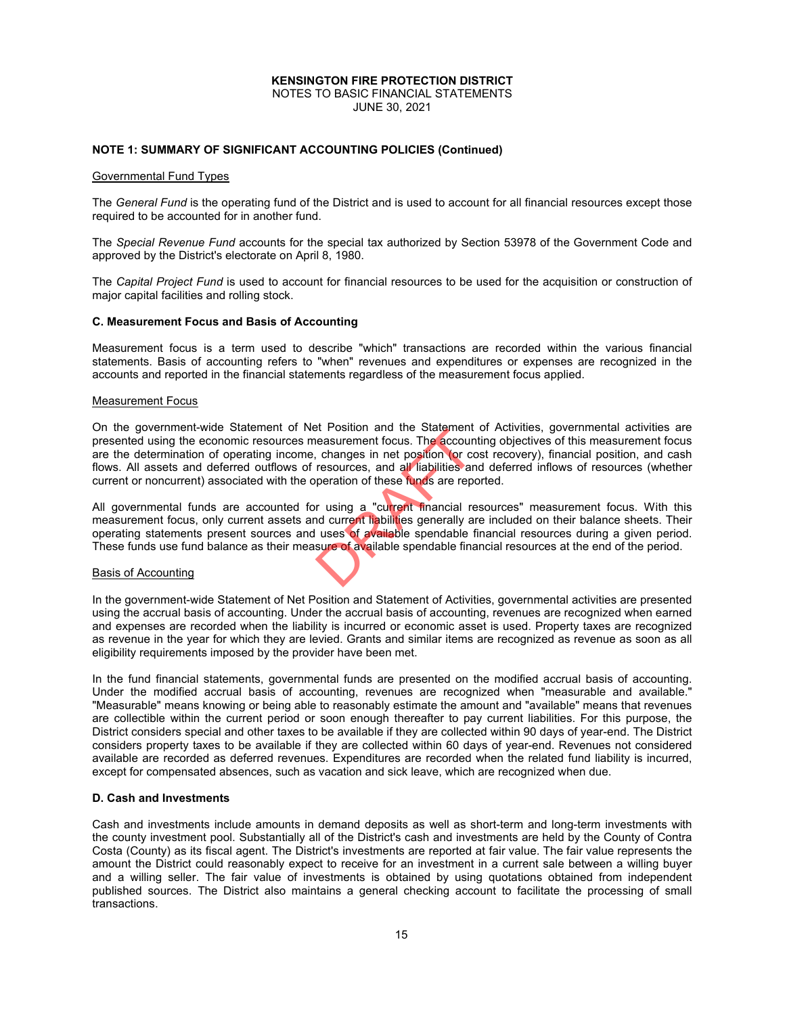## **NOTE 1: SUMMARY OF SIGNIFICANT ACCOUNTING POLICIES (Continued)**

### Governmental Fund Types

The *General Fund* is the operating fund of the District and is used to account for all financial resources except those required to be accounted for in another fund.

The *Special Revenue Fund* accounts for the special tax authorized by Section 53978 of the Government Code and approved by the District's electorate on April 8, 1980.

The *Capital Project Fund* is used to account for financial resources to be used for the acquisition or construction of major capital facilities and rolling stock.

#### **C. Measurement Focus and Basis of Accounting**

Measurement focus is a term used to describe "which" transactions are recorded within the various financial statements. Basis of accounting refers to "when" revenues and expenditures or expenses are recognized in the accounts and reported in the financial statements regardless of the measurement focus applied.

#### Measurement Focus

On the government-wide Statement of Net Position and the Statement of Activities, governmental activities are presented using the economic resources measurement focus. The accounting objectives of this measurement focus are the determination of operating income, changes in net position (or cost recovery), financial position, and cash flows. All assets and deferred outflows of resources, and all liabilities and deferred inflows of resources (whether current or noncurrent) associated with the operation of these funds are reported. et Position and the Statement<br>reasurement focus. The account<br>changes in net position (or corresources, and all liabilities are<br>peration of these funds are report<br>of current liabilities generally a<br>luses of available spenda

All governmental funds are accounted for using a "current financial resources" measurement focus. With this measurement focus, only current assets and current liabilities generally are included on their balance sheets. Their operating statements present sources and uses of available spendable financial resources during a given period. These funds use fund balance as their measure of available spendable financial resources at the end of the period.

#### Basis of Accounting

In the government-wide Statement of Net Position and Statement of Activities, governmental activities are presented using the accrual basis of accounting. Under the accrual basis of accounting, revenues are recognized when earned and expenses are recorded when the liability is incurred or economic asset is used. Property taxes are recognized as revenue in the year for which they are levied. Grants and similar items are recognized as revenue as soon as all eligibility requirements imposed by the provider have been met.

In the fund financial statements, governmental funds are presented on the modified accrual basis of accounting. Under the modified accrual basis of accounting, revenues are recognized when "measurable and available." "Measurable" means knowing or being able to reasonably estimate the amount and "available" means that revenues are collectible within the current period or soon enough thereafter to pay current liabilities. For this purpose, the District considers special and other taxes to be available if they are collected within 90 days of year-end. The District considers property taxes to be available if they are collected within 60 days of year-end. Revenues not considered available are recorded as deferred revenues. Expenditures are recorded when the related fund liability is incurred, except for compensated absences, such as vacation and sick leave, which are recognized when due.

#### **D. Cash and Investments**

Cash and investments include amounts in demand deposits as well as short-term and long-term investments with the county investment pool. Substantially all of the District's cash and investments are held by the County of Contra Costa (County) as its fiscal agent. The District's investments are reported at fair value. The fair value represents the amount the District could reasonably expect to receive for an investment in a current sale between a willing buyer and a willing seller. The fair value of investments is obtained by using quotations obtained from independent published sources. The District also maintains a general checking account to facilitate the processing of small transactions.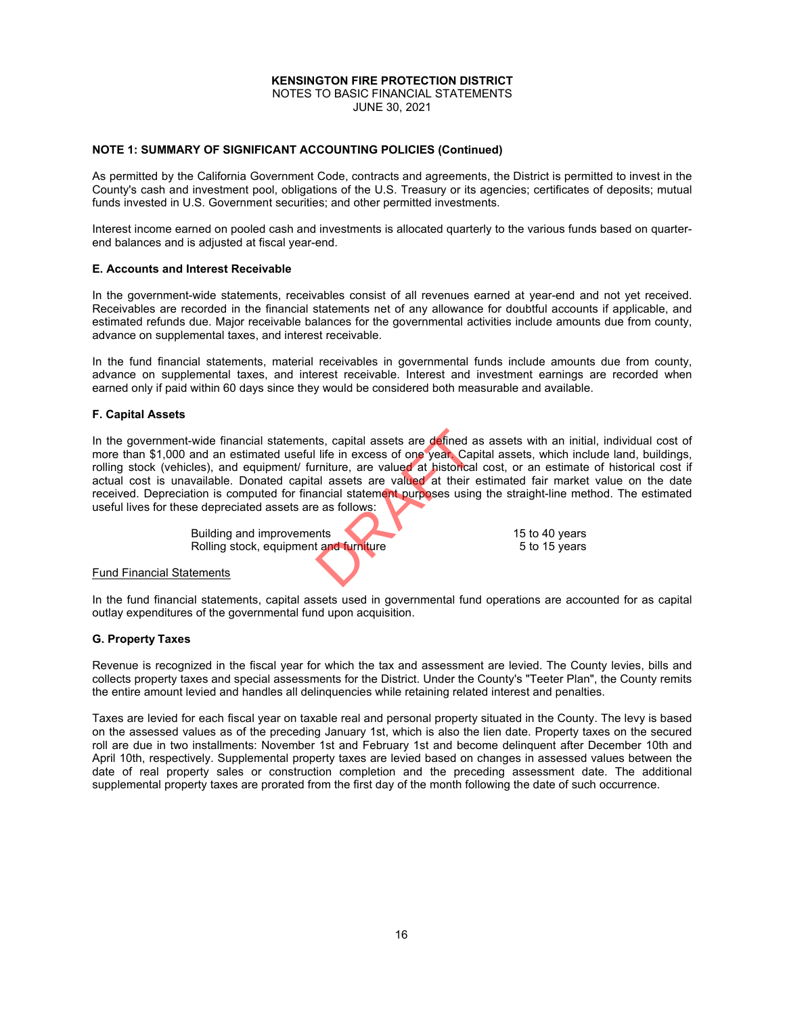JUNE 30, 2021

# **NOTE 1: SUMMARY OF SIGNIFICANT ACCOUNTING POLICIES (Continued)**

As permitted by the California Government Code, contracts and agreements, the District is permitted to invest in the County's cash and investment pool, obligations of the U.S. Treasury or its agencies; certificates of deposits; mutual funds invested in U.S. Government securities; and other permitted investments.

Interest income earned on pooled cash and investments is allocated quarterly to the various funds based on quarterend balances and is adjusted at fiscal year-end.

# **E. Accounts and Interest Receivable**

In the government-wide statements, receivables consist of all revenues earned at year-end and not yet received. Receivables are recorded in the financial statements net of any allowance for doubtful accounts if applicable, and estimated refunds due. Major receivable balances for the governmental activities include amounts due from county, advance on supplemental taxes, and interest receivable.

In the fund financial statements, material receivables in governmental funds include amounts due from county, advance on supplemental taxes, and interest receivable. Interest and investment earnings are recorded when earned only if paid within 60 days since they would be considered both measurable and available.

# **F. Capital Assets**

In the government-wide financial statements, capital assets are defined as assets with an initial, individual cost of more than \$1,000 and an estimated useful life in excess of one year. Capital assets, which include land, buildings, rolling stock (vehicles), and equipment/ furniture, are valued at historical cost, or an estimate of historical cost if actual cost is unavailable. Donated capital assets are valued at their estimated fair market value on the date received. Depreciation is computed for financial statement purposes using the straight-line method. The estimated useful lives for these depreciated assets are as follows: ts, capital assets are defined a<br>life in excess of one year. Cap<br>miture, are valued at historica<br>al assets are valued at their<br>ancial statement purposes usin<br>e as follows:<br>this<br>and furniture



#### Fund Financial Statements

In the fund financial statements, capital assets used in governmental fund operations are accounted for as capital outlay expenditures of the governmental fund upon acquisition.

# **G. Property Taxes**

Revenue is recognized in the fiscal year for which the tax and assessment are levied. The County levies, bills and collects property taxes and special assessments for the District. Under the County's "Teeter Plan", the County remits the entire amount levied and handles all delinquencies while retaining related interest and penalties.

Taxes are levied for each fiscal year on taxable real and personal property situated in the County. The levy is based on the assessed values as of the preceding January 1st, which is also the lien date. Property taxes on the secured roll are due in two installments: November 1st and February 1st and become delinquent after December 10th and April 10th, respectively. Supplemental property taxes are levied based on changes in assessed values between the date of real property sales or construction completion and the preceding assessment date. The additional supplemental property taxes are prorated from the first day of the month following the date of such occurrence.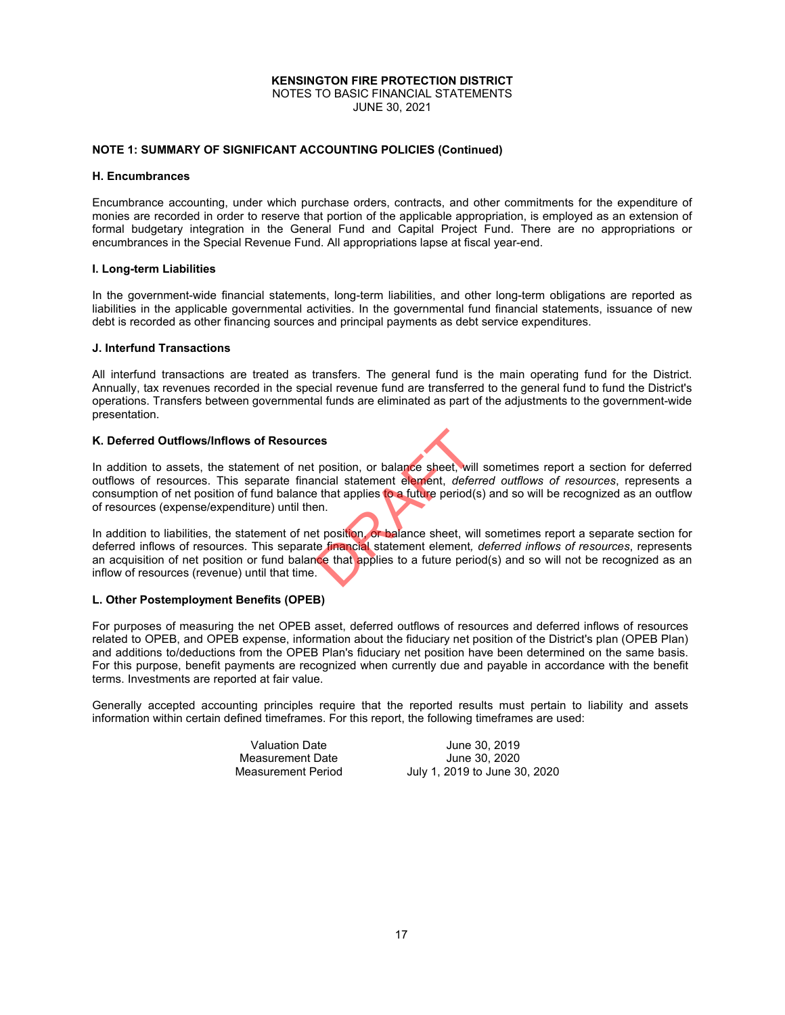NOTES TO BASIC FINANCIAL STATEMENTS

JUNE 30, 2021

# **NOTE 1: SUMMARY OF SIGNIFICANT ACCOUNTING POLICIES (Continued)**

## **H. Encumbrances**

Encumbrance accounting, under which purchase orders, contracts, and other commitments for the expenditure of monies are recorded in order to reserve that portion of the applicable appropriation, is employed as an extension of formal budgetary integration in the General Fund and Capital Project Fund. There are no appropriations or encumbrances in the Special Revenue Fund. All appropriations lapse at fiscal year-end.

# **I. Long-term Liabilities**

In the government-wide financial statements, long-term liabilities, and other long-term obligations are reported as liabilities in the applicable governmental activities. In the governmental fund financial statements, issuance of new debt is recorded as other financing sources and principal payments as debt service expenditures.

## **J. Interfund Transactions**

All interfund transactions are treated as transfers. The general fund is the main operating fund for the District. Annually, tax revenues recorded in the special revenue fund are transferred to the general fund to fund the District's operations. Transfers between governmental funds are eliminated as part of the adjustments to the government-wide presentation.

# **K. Deferred Outflows/Inflows of Resources**

In addition to assets, the statement of net position, or balance sheet, will sometimes report a section for deferred outflows of resources. This separate financial statement element, *deferred outflows of resources*, represents a consumption of net position of fund balance that applies to a future period(s) and so will be recognized as an outflow of resources (expense/expenditure) until then. es<br>
position, or balance sheet, will<br>
mcial statement element, *defe.*<br>
et that applies to a future period<br>
en.<br>
et position, or balance sheet, wile financial statement element,<br>
ice that applies to a future period.

In addition to liabilities, the statement of net position, or balance sheet, will sometimes report a separate section for deferred inflows of resources. This separate financial statement element*, deferred inflows of resources*, represents an acquisition of net position or fund balance that applies to a future period(s) and so will not be recognized as an inflow of resources (revenue) until that time.

# **L. Other Postemployment Benefits (OPEB)**

For purposes of measuring the net OPEB asset, deferred outflows of resources and deferred inflows of resources related to OPEB, and OPEB expense, information about the fiduciary net position of the District's plan (OPEB Plan) and additions to/deductions from the OPEB Plan's fiduciary net position have been determined on the same basis. For this purpose, benefit payments are recognized when currently due and payable in accordance with the benefit terms. Investments are reported at fair value.

Generally accepted accounting principles require that the reported results must pertain to liability and assets information within certain defined timeframes. For this report, the following timeframes are used:

| <b>Valuation Date</b> | June 30, 2019                 |
|-----------------------|-------------------------------|
| Measurement Date      | June 30, 2020                 |
| Measurement Period    | July 1, 2019 to June 30, 2020 |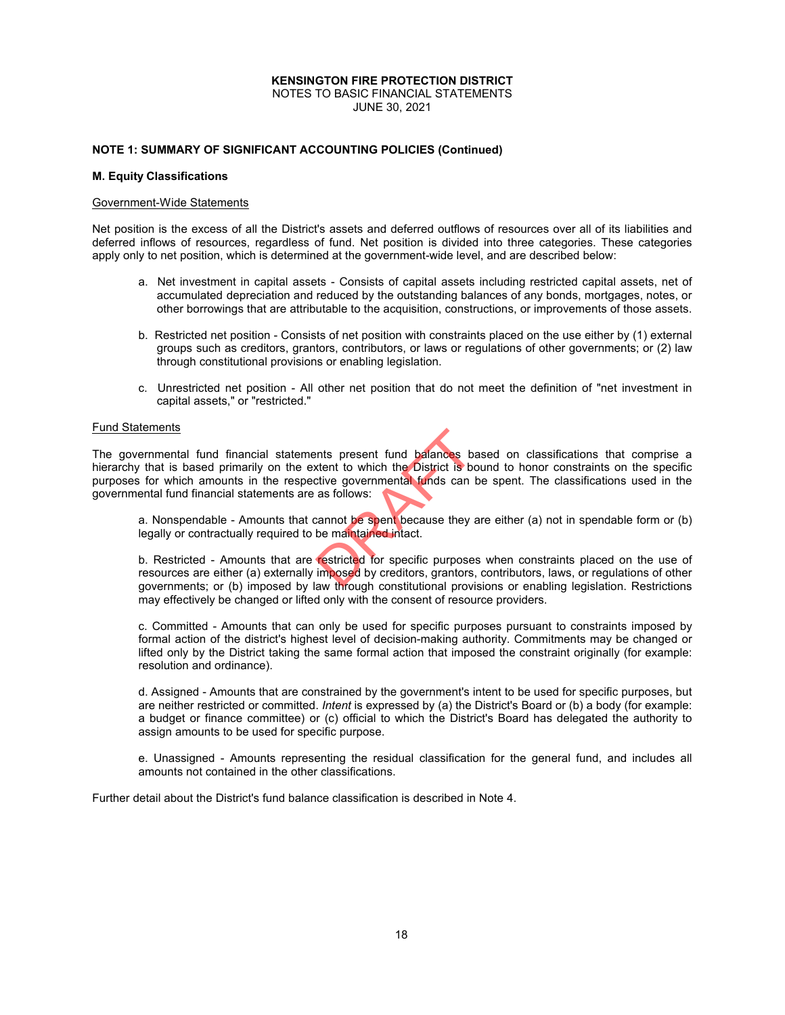NOTES TO BASIC FINANCIAL STATEMENTS

JUNE 30, 2021

# **NOTE 1: SUMMARY OF SIGNIFICANT ACCOUNTING POLICIES (Continued)**

## **M. Equity Classifications**

#### Government-Wide Statements

Net position is the excess of all the District's assets and deferred outflows of resources over all of its liabilities and deferred inflows of resources, regardless of fund. Net position is divided into three categories. These categories apply only to net position, which is determined at the government-wide level, and are described below:

- a. Net investment in capital assets Consists of capital assets including restricted capital assets, net of accumulated depreciation and reduced by the outstanding balances of any bonds, mortgages, notes, or other borrowings that are attributable to the acquisition, constructions, or improvements of those assets.
- b. Restricted net position Consists of net position with constraints placed on the use either by (1) external groups such as creditors, grantors, contributors, or laws or regulations of other governments; or (2) law through constitutional provisions or enabling legislation.
- c. Unrestricted net position All other net position that do not meet the definition of "net investment in capital assets," or "restricted."

#### Fund Statements

The governmental fund financial statements present fund balances based on classifications that comprise a hierarchy that is based primarily on the extent to which the District is bound to honor constraints on the specific purposes for which amounts in the respective governmental funds can be spent. The classifications used in the governmental fund financial statements are as follows: ents present fund balances b.<br>
xtent to which the District is be<br>
citive governmental funds can<br>
as follows:<br>
cannot be spent because they<br>
be maintained intact.<br>
restricted for specific purpose<br>
imposed by creditors, gran

a. Nonspendable - Amounts that cannot be spent because they are either (a) not in spendable form or (b) legally or contractually required to be maintained intact.

b. Restricted - Amounts that are restricted for specific purposes when constraints placed on the use of resources are either (a) externally imposed by creditors, grantors, contributors, laws, or regulations of other governments; or (b) imposed by law through constitutional provisions or enabling legislation. Restrictions may effectively be changed or lifted only with the consent of resource providers.

c. Committed - Amounts that can only be used for specific purposes pursuant to constraints imposed by formal action of the district's highest level of decision-making authority. Commitments may be changed or lifted only by the District taking the same formal action that imposed the constraint originally (for example: resolution and ordinance).

d. Assigned - Amounts that are constrained by the government's intent to be used for specific purposes, but are neither restricted or committed. *Intent* is expressed by (a) the District's Board or (b) a body (for example: a budget or finance committee) or (c) official to which the District's Board has delegated the authority to assign amounts to be used for specific purpose.

e. Unassigned - Amounts representing the residual classification for the general fund, and includes all amounts not contained in the other classifications.

Further detail about the District's fund balance classification is described in Note 4.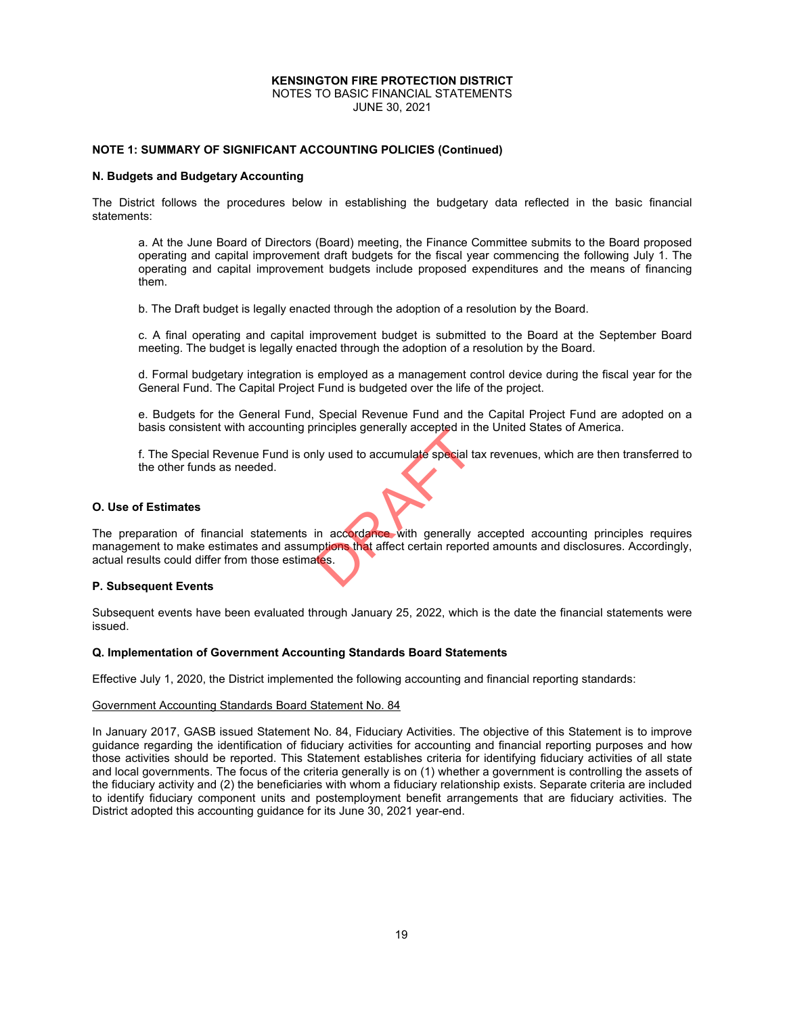## **NOTE 1: SUMMARY OF SIGNIFICANT ACCOUNTING POLICIES (Continued)**

#### **N. Budgets and Budgetary Accounting**

The District follows the procedures below in establishing the budgetary data reflected in the basic financial statements:

a. At the June Board of Directors (Board) meeting, the Finance Committee submits to the Board proposed operating and capital improvement draft budgets for the fiscal year commencing the following July 1. The operating and capital improvement budgets include proposed expenditures and the means of financing them.

b. The Draft budget is legally enacted through the adoption of a resolution by the Board.

c. A final operating and capital improvement budget is submitted to the Board at the September Board meeting. The budget is legally enacted through the adoption of a resolution by the Board.

d. Formal budgetary integration is employed as a management control device during the fiscal year for the General Fund. The Capital Project Fund is budgeted over the life of the project.

e. Budgets for the General Fund, Special Revenue Fund and the Capital Project Fund are adopted on a basis consistent with accounting principles generally accepted in the United States of America.

f. The Special Revenue Fund is only used to accumulate special tax revenues, which are then transferred to the other funds as needed.

## **O. Use of Estimates**

The preparation of financial statements in accordance with generally accepted accounting principles requires management to make estimates and assumptions that affect certain reported amounts and disclosures. Accordingly, actual results could differ from those estimates. The state of the special transfer of the special transfer of the special transfer of the special transfer of the special transfer of the special transfer of the special transfer of the special transfer of the special trans

#### **P. Subsequent Events**

Subsequent events have been evaluated through January 25, 2022, which is the date the financial statements were issued.

#### **Q. Implementation of Government Accounting Standards Board Statements**

Effective July 1, 2020, the District implemented the following accounting and financial reporting standards:

#### Government Accounting Standards Board Statement No. 84

In January 2017, GASB issued Statement No. 84, Fiduciary Activities. The objective of this Statement is to improve guidance regarding the identification of fiduciary activities for accounting and financial reporting purposes and how those activities should be reported. This Statement establishes criteria for identifying fiduciary activities of all state and local governments. The focus of the criteria generally is on (1) whether a government is controlling the assets of the fiduciary activity and (2) the beneficiaries with whom a fiduciary relationship exists. Separate criteria are included to identify fiduciary component units and postemployment benefit arrangements that are fiduciary activities. The District adopted this accounting guidance for its June 30, 2021 year-end.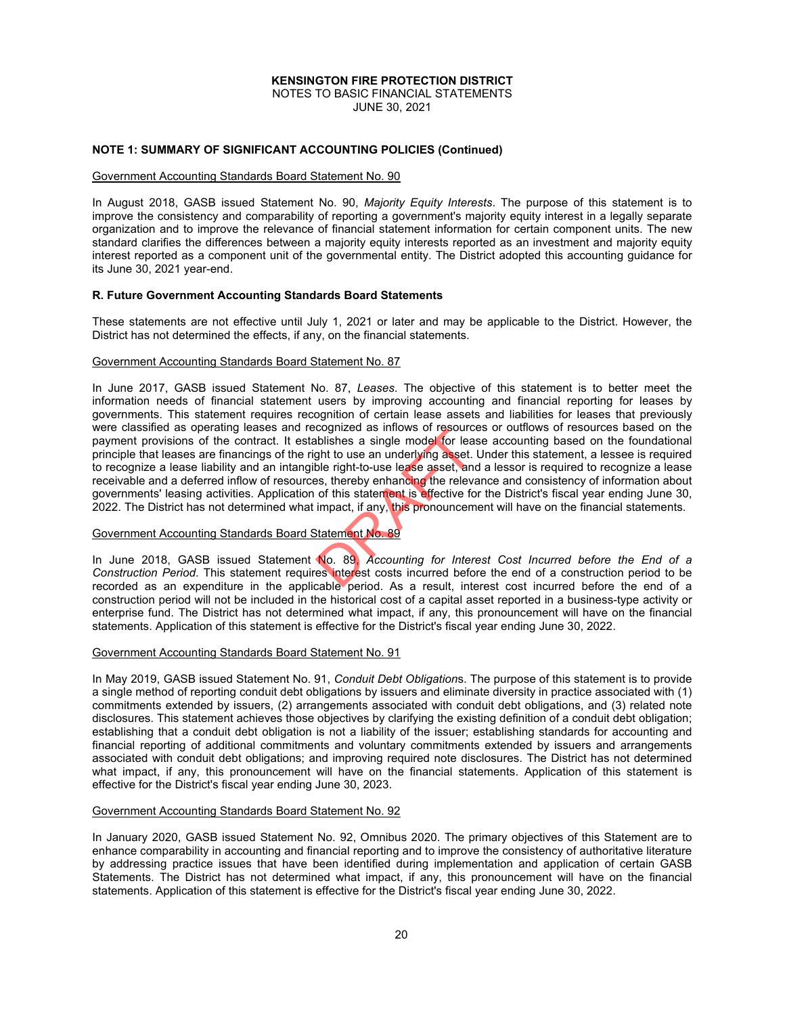NOTES TO BASIC FINANCIAL STATEMENTS

JUNE 30, 2021

# **NOTE 1: SUMMARY OF SIGNIFICANT ACCOUNTING POLICIES (Continued)**

# Government Accounting Standards Board Statement No. 90

In August 2018, GASB issued Statement No. 90, *Majority Equity Interests*. The purpose of this statement is to improve the consistency and comparability of reporting a government's majority equity interest in a legally separate organization and to improve the relevance of financial statement information for certain component units. The new standard clarifies the differences between a majority equity interests reported as an investment and majority equity interest reported as a component unit of the governmental entity. The District adopted this accounting guidance for its June 30, 2021 year-end.

## **R. Future Government Accounting Standards Board Statements**

These statements are not effective until July 1, 2021 or later and may be applicable to the District. However, the District has not determined the effects, if any, on the financial statements.

#### Government Accounting Standards Board Statement No. 87

In June 2017, GASB issued Statement No. 87, *Leases*. The objective of this statement is to better meet the information needs of financial statement users by improving accounting and financial reporting for leases by governments. This statement requires recognition of certain lease assets and liabilities for leases that previously were classified as operating leases and recognized as inflows of resources or outflows of resources based on the payment provisions of the contract. It establishes a single model for lease accounting based on the foundational principle that leases are financings of the right to use an underlying asset. Under this statement, a lessee is required to recognize a lease liability and an intangible right-to-use lease asset, and a lessor is required to recognize a lease receivable and a deferred inflow of resources, thereby enhancing the relevance and consistency of information about governments' leasing activities. Application of this statement is effective for the District's fiscal year ending June 30, 2022. The District has not determined what impact, if any, this pronouncement will have on the financial statements. cognized as initious of resource<br>ablishes a single model for leaght to use an underlying asset.<br>ble right-to-use lease asset, and<br>es, thereby enhancing the relevitor<br>of this statement is effective for<br>impact, if any, this

# Government Accounting Standards Board Statement No. 89

In June 2018, GASB issued Statement No. 89, *Accounting for Interest Cost Incurred before the End of a Construction Period*. This statement requires interest costs incurred before the end of a construction period to be recorded as an expenditure in the applicable period. As a result, interest cost incurred before the end of a construction period will not be included in the historical cost of a capital asset reported in a business-type activity or enterprise fund. The District has not determined what impact, if any, this pronouncement will have on the financial statements. Application of this statement is effective for the District's fiscal year ending June 30, 2022.

#### Government Accounting Standards Board Statement No. 91

In May 2019, GASB issued Statement No. 91, *Conduit Debt Obligation*s. The purpose of this statement is to provide a single method of reporting conduit debt obligations by issuers and eliminate diversity in practice associated with (1) commitments extended by issuers, (2) arrangements associated with conduit debt obligations, and (3) related note disclosures. This statement achieves those objectives by clarifying the existing definition of a conduit debt obligation; establishing that a conduit debt obligation is not a liability of the issuer; establishing standards for accounting and financial reporting of additional commitments and voluntary commitments extended by issuers and arrangements associated with conduit debt obligations; and improving required note disclosures. The District has not determined what impact, if any, this pronouncement will have on the financial statements. Application of this statement is effective for the District's fiscal year ending June 30, 2023.

#### Government Accounting Standards Board Statement No. 92

In January 2020, GASB issued Statement No. 92, Omnibus 2020. The primary objectives of this Statement are to enhance comparability in accounting and financial reporting and to improve the consistency of authoritative literature by addressing practice issues that have been identified during implementation and application of certain GASB Statements. The District has not determined what impact, if any, this pronouncement will have on the financial statements. Application of this statement is effective for the District's fiscal year ending June 30, 2022.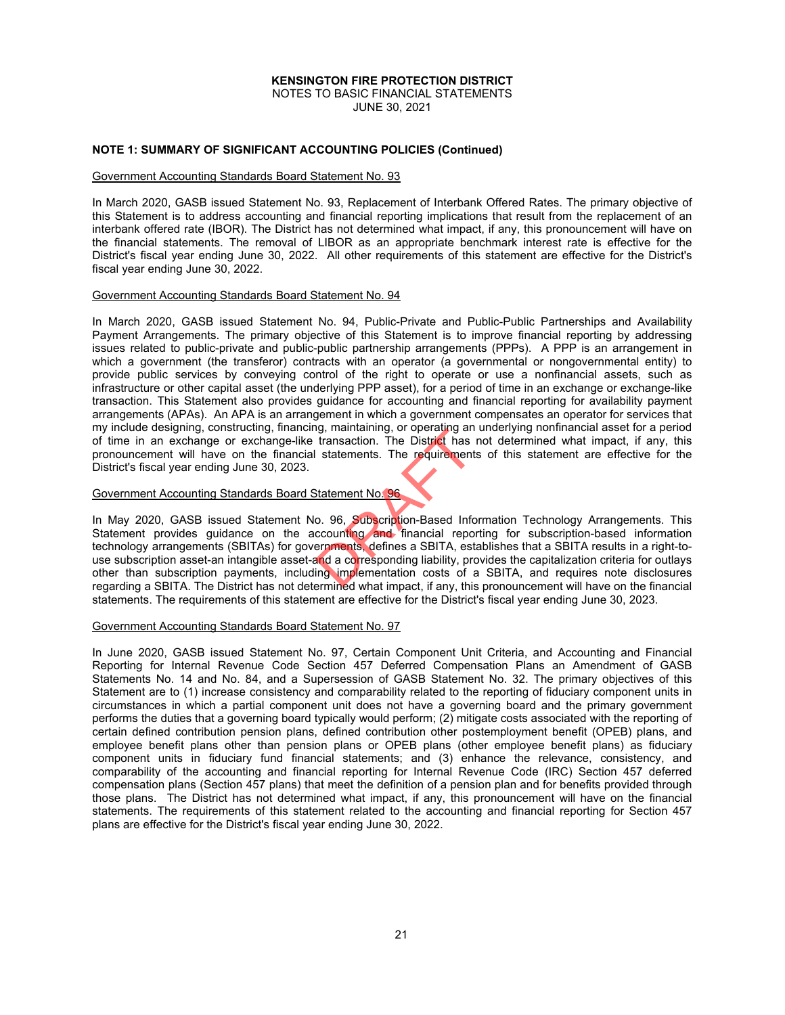NOTES TO BASIC FINANCIAL STATEMENTS

JUNE 30, 2021

## **NOTE 1: SUMMARY OF SIGNIFICANT ACCOUNTING POLICIES (Continued)**

#### Government Accounting Standards Board Statement No. 93

In March 2020, GASB issued Statement No. 93, Replacement of Interbank Offered Rates. The primary objective of this Statement is to address accounting and financial reporting implications that result from the replacement of an interbank offered rate (IBOR). The District has not determined what impact, if any, this pronouncement will have on the financial statements. The removal of LIBOR as an appropriate benchmark interest rate is effective for the District's fiscal year ending June 30, 2022. All other requirements of this statement are effective for the District's fiscal year ending June 30, 2022.

## Government Accounting Standards Board Statement No. 94

In March 2020, GASB issued Statement No. 94, Public-Private and Public-Public Partnerships and Availability Payment Arrangements. The primary objective of this Statement is to improve financial reporting by addressing issues related to public-private and public-public partnership arrangements (PPPs). A PPP is an arrangement in which a government (the transferor) contracts with an operator (a governmental or nongovernmental entity) to provide public services by conveying control of the right to operate or use a nonfinancial assets, such as infrastructure or other capital asset (the underlying PPP asset), for a period of time in an exchange or exchange-like transaction. This Statement also provides guidance for accounting and financial reporting for availability payment arrangements (APAs). An APA is an arrangement in which a government compensates an operator for services that my include designing, constructing, financing, maintaining, or operating an underlying nonfinancial asset for a period of time in an exchange or exchange-like transaction. The District has not determined what impact, if any, this pronouncement will have on the financial statements. The requirements of this statement are effective for the District's fiscal year ending June 30, 2023.

## Government Accounting Standards Board Statement No. 96

In May 2020, GASB issued Statement No. 96, Subscription-Based Information Technology Arrangements. This Statement provides guidance on the accounting and financial reporting for subscription-based information technology arrangements (SBITAs) for governments, defines a SBITA, establishes that a SBITA results in a right-touse subscription asset-an intangible asset-and a corresponding liability, provides the capitalization criteria for outlays other than subscription payments, including implementation costs of a SBITA, and requires note disclosures regarding a SBITA. The District has not determined what impact, if any, this pronouncement will have on the financial statements. The requirements of this statement are effective for the District's fiscal year ending June 30, 2023. ig, maintaining, or operating an<br>transaction. The District has<br>statement No. 96<br>Statement No. 96<br>o. 96, Subscription-Based Info<br>counting and financial repo<br>ernments, defines a SBITA, est<br>ind a corresponding liability, prof

## Government Accounting Standards Board Statement No. 97

In June 2020, GASB issued Statement No. 97, Certain Component Unit Criteria, and Accounting and Financial Reporting for Internal Revenue Code Section 457 Deferred Compensation Plans an Amendment of GASB Statements No. 14 and No. 84, and a Supersession of GASB Statement No. 32. The primary objectives of this Statement are to (1) increase consistency and comparability related to the reporting of fiduciary component units in circumstances in which a partial component unit does not have a governing board and the primary government performs the duties that a governing board typically would perform; (2) mitigate costs associated with the reporting of certain defined contribution pension plans, defined contribution other postemployment benefit (OPEB) plans, and employee benefit plans other than pension plans or OPEB plans (other employee benefit plans) as fiduciary component units in fiduciary fund financial statements; and (3) enhance the relevance, consistency, and comparability of the accounting and financial reporting for Internal Revenue Code (IRC) Section 457 deferred compensation plans (Section 457 plans) that meet the definition of a pension plan and for benefits provided through those plans. The District has not determined what impact, if any, this pronouncement will have on the financial statements. The requirements of this statement related to the accounting and financial reporting for Section 457 plans are effective for the District's fiscal year ending June 30, 2022.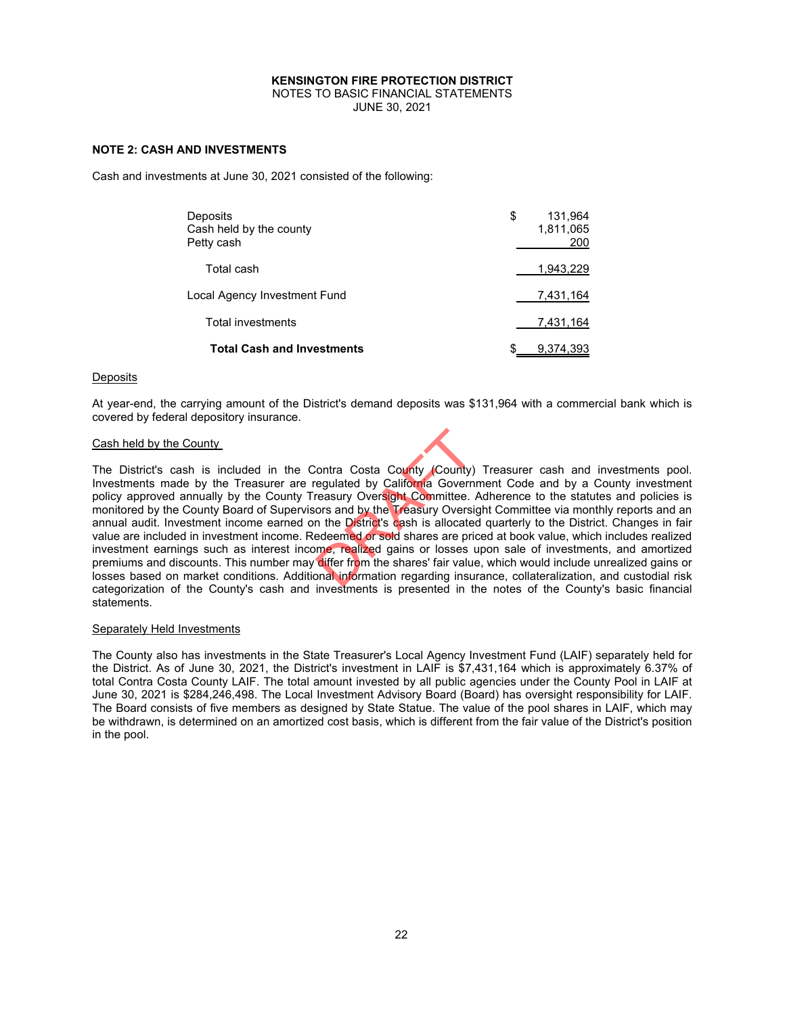JUNE 30, 2021

# **NOTE 2: CASH AND INVESTMENTS**

Cash and investments at June 30, 2021 consisted of the following:

| Deposits<br>Cash held by the county<br>Petty cash | \$<br>131,964<br>1,811,065<br>200 |
|---------------------------------------------------|-----------------------------------|
| Total cash                                        | 1,943,229                         |
| Local Agency Investment Fund                      | 7,431,164                         |
| Total investments                                 | 7,431,164                         |
| <b>Total Cash and Investments</b>                 | 9.374,393                         |

## **Deposits**

At year-end, the carrying amount of the District's demand deposits was \$131,964 with a commercial bank which is covered by federal depository insurance.

# Cash held by the County



The District's cash is included in the Contra Costa County (County) Treasurer cash and investments pool. Investments made by the Treasurer are regulated by California Government Code and by a County investment policy approved annually by the County Treasury Oversight Committee. Adherence to the statutes and policies is monitored by the County Board of Supervisors and by the Treasury Oversight Committee via monthly reports and an annual audit. Investment income earned on the District's cash is allocated quarterly to the District. Changes in fair value are included in investment income. Redeemed or sold shares are priced at book value, which includes realized investment earnings such as interest income, realized gains or losses upon sale of investments, and amortized premiums and discounts. This number may <mark>dif</mark>fer fr<mark>o</mark>m the shares' fair value, which would include unrealized gains or losses based on market conditions. Additional information regarding insurance, collateralization, and custodial risk categorization of the County's cash and investments is presented in the notes of the County's basic financial statements. Contra Costa County (County)<br>
regulated by California Govern<br>
reasury Oversight Committee.<br>
ors and by the Treasury Oversi<br>
in the District's cash is allocate<br>
edeemed or sold shares are prime,<br>
realized gains or losses<br>
u

#### **Separately Held Investments**

The County also has investments in the State Treasurer's Local Agency Investment Fund (LAIF) separately held for the District. As of June 30, 2021, the District's investment in LAIF is \$7,431,164 which is approximately 6.37% of total Contra Costa County LAIF. The total amount invested by all public agencies under the County Pool in LAIF at June 30, 2021 is \$284,246,498. The Local Investment Advisory Board (Board) has oversight responsibility for LAIF. The Board consists of five members as designed by State Statue. The value of the pool shares in LAIF, which may be withdrawn, is determined on an amortized cost basis, which is different from the fair value of the District's position in the pool.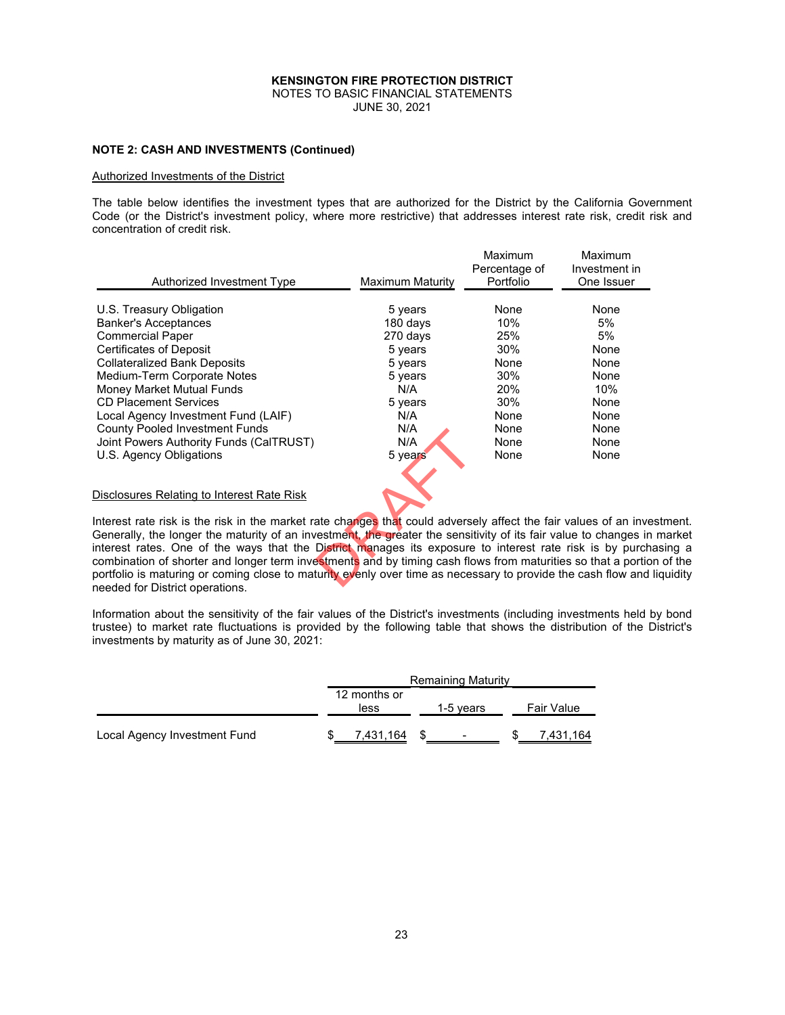JUNE 30, 2021

# **NOTE 2: CASH AND INVESTMENTS (Continued)**

## Authorized Investments of the District

The table below identifies the investment types that are authorized for the District by the California Government Code (or the District's investment policy, where more restrictive) that addresses interest rate risk, credit risk and concentration of credit risk.

|                                                                                                                  |                         | Maximum<br>Percentage of | Maximum<br>Investment in |
|------------------------------------------------------------------------------------------------------------------|-------------------------|--------------------------|--------------------------|
| Authorized Investment Type                                                                                       | <b>Maximum Maturity</b> | Portfolio                | One Issuer               |
|                                                                                                                  |                         |                          |                          |
| U.S. Treasury Obligation                                                                                         | 5 years                 | None                     | None                     |
| <b>Banker's Acceptances</b>                                                                                      | 180 days                | 10%                      | 5%                       |
| <b>Commercial Paper</b>                                                                                          | 270 days                | 25%                      | 5%                       |
| <b>Certificates of Deposit</b>                                                                                   | 5 years                 | 30%                      | None                     |
| <b>Collateralized Bank Deposits</b>                                                                              | 5 years                 | None                     | None                     |
| Medium-Term Corporate Notes                                                                                      | 5 years                 | 30%                      | None                     |
| Money Market Mutual Funds                                                                                        | N/A                     | 20%                      | 10%                      |
| <b>CD Placement Services</b>                                                                                     | 5 years                 | 30%                      | None                     |
| Local Agency Investment Fund (LAIF)                                                                              | N/A                     | None                     | None                     |
| <b>County Pooled Investment Funds</b>                                                                            | N/A                     | None                     | None                     |
| Joint Powers Authority Funds (CalTRUST)                                                                          | N/A                     | None                     | None                     |
| U.S. Agency Obligations                                                                                          | 5 years                 | None                     | None                     |
|                                                                                                                  |                         |                          |                          |
| Disclosures Relating to Interest Rate Risk                                                                       |                         |                          |                          |
| Interest rate risk is the risk in the market rate changes that could adversely affect the fair values of an inv  |                         |                          |                          |
| Generally, the longer the maturity of an investment, the greater the sensitivity of its fair value to changes ir |                         |                          |                          |
| interest rates. One of the ways that the District manages its exposure to interest rate risk is by purch         |                         |                          |                          |
| combination of shorter and longer term investments and by timing cash flows from maturities so that a portio     |                         |                          |                          |
| portfolio is maturing or coming close to maturity evenly over time as necessary to provide the cash flow and     |                         |                          |                          |
| noodod for Diotriot operational                                                                                  |                         |                          |                          |

Interest rate risk is the risk in the market rate changes that could adversely affect the fair values of an investment. Generally, the longer the maturity of an investment, the greater the sensitivity of its fair value to changes in market interest rates. One of the ways that the District manages its exposure to interest rate risk is by purchasing a combination of shorter and longer term investments and by timing cash flows from maturities so that a portion of the portfolio is maturing or coming close to maturity evenly over time as necessary to provide the cash flow and liquidity needed for District operations.

Information about the sensitivity of the fair values of the District's investments (including investments held by bond trustee) to market rate fluctuations is provided by the following table that shows the distribution of the District's investments by maturity as of June 30, 2021:

|                              | <b>Remaining Maturity</b> |                      |  |                          |                   |           |  |
|------------------------------|---------------------------|----------------------|--|--------------------------|-------------------|-----------|--|
|                              |                           | 12 months or<br>less |  | 1-5 vears                | <b>Fair Value</b> |           |  |
| Local Agency Investment Fund |                           | .431.164             |  | $\overline{\phantom{0}}$ |                   | 7.431.164 |  |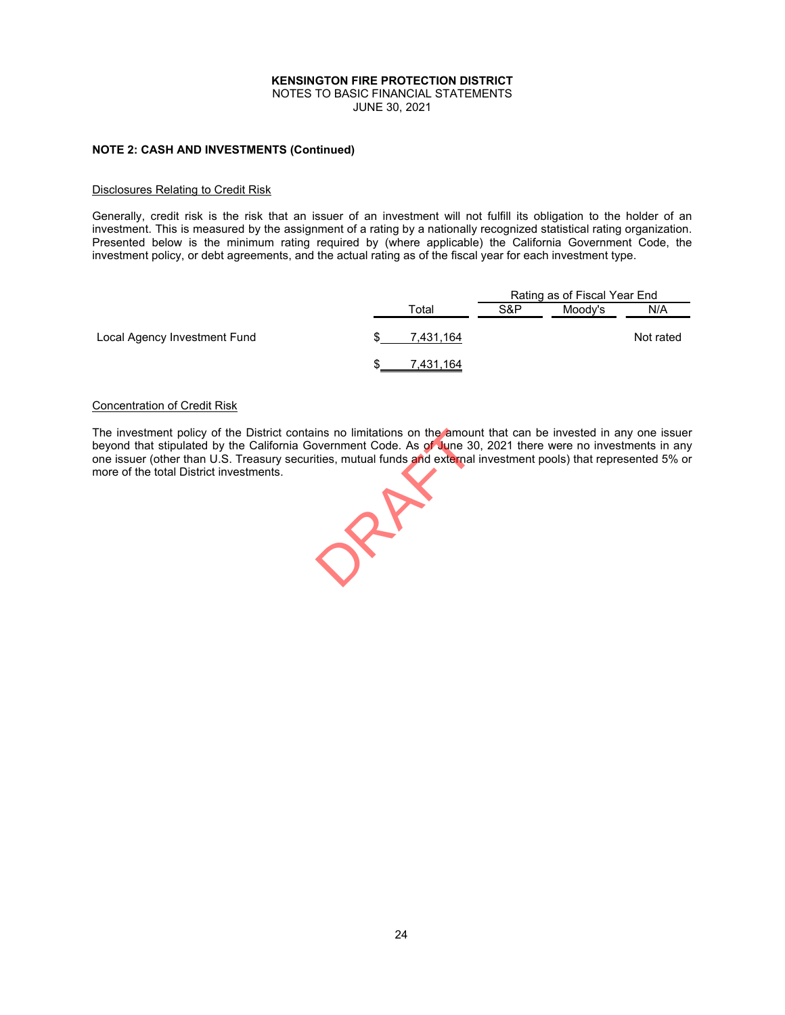JUNE 30, 2021

# **NOTE 2: CASH AND INVESTMENTS (Continued)**

# Disclosures Relating to Credit Risk

Generally, credit risk is the risk that an issuer of an investment will not fulfill its obligation to the holder of an investment. This is measured by the assignment of a rating by a nationally recognized statistical rating organization. Presented below is the minimum rating required by (where applicable) the California Government Code, the investment policy, or debt agreements, and the actual rating as of the fiscal year for each investment type.

|                              |           |     | Rating as of Fiscal Year End |           |
|------------------------------|-----------|-----|------------------------------|-----------|
|                              | Total     | S&P | Moody's                      | N/A       |
| Local Agency Investment Fund | 7.431.164 |     |                              | Not rated |
|                              | 431,164"  |     |                              |           |

#### Concentration of Credit Risk

The investment policy of the District contains no limitations on the amount that can be invested in any one issuer beyond that stipulated by the California Government Code. As of June 30, 2021 there were no investments in any one issuer (other than U.S. Treasury securities, mutual funds and external investment pools) that represented 5% or more of the total District investments.

PP.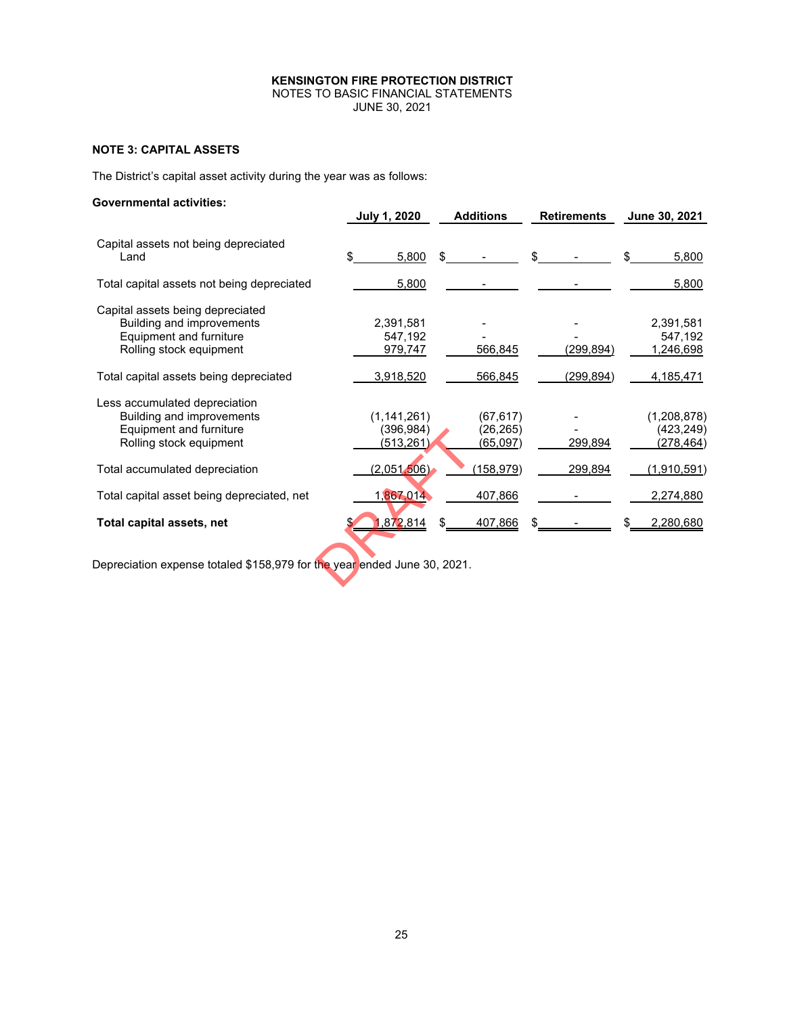# **NOTE 3: CAPITAL ASSETS**

The District's capital asset activity during the year was as follows:

# **Governmental activities:**

|                                                                                                                     | <b>July 1, 2020</b>                      | <b>Additions</b>                   | <b>Retirements</b> | June 30, 2021                            |
|---------------------------------------------------------------------------------------------------------------------|------------------------------------------|------------------------------------|--------------------|------------------------------------------|
| Capital assets not being depreciated<br>Land                                                                        | 5,800                                    |                                    | \$.                | 5,800                                    |
| Total capital assets not being depreciated                                                                          | 5,800                                    |                                    |                    | 5,800                                    |
| Capital assets being depreciated<br>Building and improvements<br>Equipment and furniture<br>Rolling stock equipment | 2,391,581<br>547,192<br>979,747          | 566,845                            | (299, 894)         | 2,391,581<br>547,192<br>1,246,698        |
| Total capital assets being depreciated                                                                              | 3,918,520                                | 566,845                            | (299, 894)         | 4,185,471                                |
| Less accumulated depreciation<br>Building and improvements<br>Equipment and furniture<br>Rolling stock equipment    | (1, 141, 261)<br>(396, 984)<br>(513,261) | (67, 617)<br>(26, 265)<br>(65,097) | 299,894            | (1, 208, 878)<br>(423, 249)<br>(278,464) |
| Total accumulated depreciation                                                                                      | (2,051,506)                              | (158, 979)                         | 299,894            | (1,910,591)                              |
| Total capital asset being depreciated, net                                                                          | 1,867,014                                | 407,866                            |                    | 2,274,880                                |
| Total capital assets, net                                                                                           | 1,872,814                                | 407,866<br>\$.                     | \$                 | 2,280,680                                |
| Depreciation expense totaled \$158,979 for the year ended June 30, 2021.                                            |                                          |                                    |                    |                                          |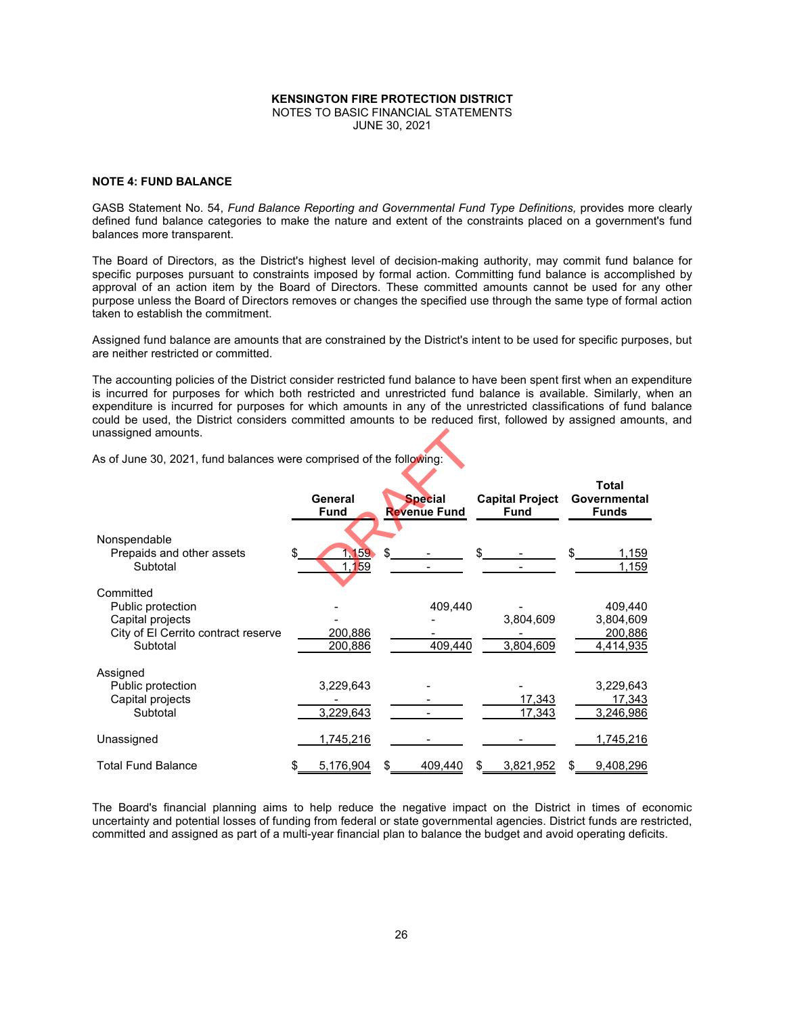NOTES TO BASIC FINANCIAL STATEMENTS

JUNE 30, 2021

# **NOTE 4: FUND BALANCE**

GASB Statement No. 54, *Fund Balance Reporting and Governmental Fund Type Definitions,* provides more clearly defined fund balance categories to make the nature and extent of the constraints placed on a government's fund balances more transparent.

The Board of Directors, as the District's highest level of decision-making authority, may commit fund balance for specific purposes pursuant to constraints imposed by formal action. Committing fund balance is accomplished by approval of an action item by the Board of Directors. These committed amounts cannot be used for any other purpose unless the Board of Directors removes or changes the specified use through the same type of formal action taken to establish the commitment.

Assigned fund balance are amounts that are constrained by the District's intent to be used for specific purposes, but are neither restricted or committed.

The accounting policies of the District consider restricted fund balance to have been spent first when an expenditure is incurred for purposes for which both restricted and unrestricted fund balance is available. Similarly, when an expenditure is incurred for purposes for which amounts in any of the unrestricted classifications of fund balance could be used, the District considers committed amounts to be reduced first, followed by assigned amounts, and unassigned amounts.

| As of June 30, 2021, fund balances were comprised of the following: |  |
|---------------------------------------------------------------------|--|
|                                                                     |  |
|                                                                     |  |
|                                                                     |  |

| unassigned amounts.                                                                                   |                        |                                       |     |                                       |    |                                              |
|-------------------------------------------------------------------------------------------------------|------------------------|---------------------------------------|-----|---------------------------------------|----|----------------------------------------------|
| As of June 30, 2021, fund balances were comprised of the following:                                   |                        |                                       |     |                                       |    |                                              |
|                                                                                                       | General<br><b>Fund</b> | <b>Special</b><br><b>Revenue Fund</b> |     | <b>Capital Project</b><br><b>Fund</b> |    | <b>Total</b><br>Governmental<br><b>Funds</b> |
| Nonspendable<br>Prepaids and other assets<br>Subtotal                                                 | 1,159<br>1,159         | \$                                    | \$. |                                       | \$ | 1,159<br>1,159                               |
| Committed<br>Public protection<br>Capital projects<br>City of El Cerrito contract reserve<br>Subtotal | 200,886<br>200,886     | 409,440<br>409,440                    |     | 3,804,609<br>3,804,609                |    | 409,440<br>3,804,609<br>200,886<br>4,414,935 |
| Assigned<br>Public protection<br>Capital projects<br>Subtotal                                         | 3,229,643<br>3,229,643 |                                       |     | 17,343<br>17,343                      |    | 3,229,643<br>17,343<br>3,246,986             |
| Unassigned                                                                                            | <u>1,745,216</u>       |                                       |     |                                       |    | <u>1,745,216</u>                             |
| <b>Total Fund Balance</b>                                                                             | 5,176,904              | 409,440                               |     | 3,821,952                             | S  | 9,408,296                                    |

The Board's financial planning aims to help reduce the negative impact on the District in times of economic uncertainty and potential losses of funding from federal or state governmental agencies. District funds are restricted, committed and assigned as part of a multi-year financial plan to balance the budget and avoid operating deficits.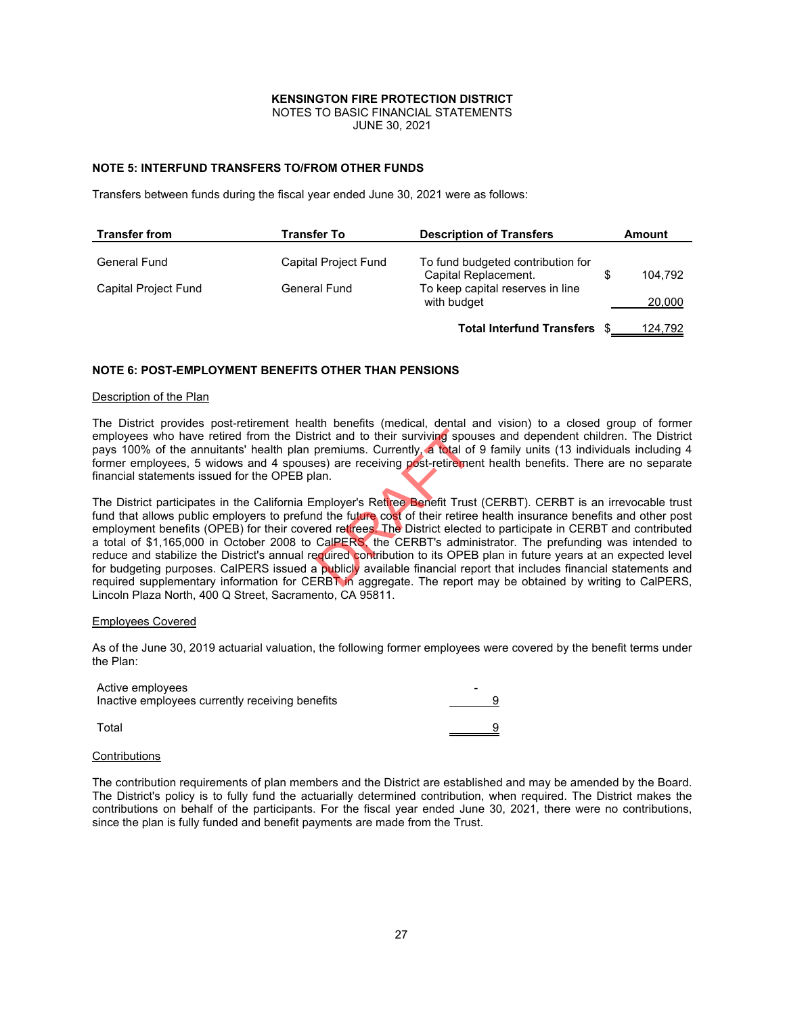NOTES TO BASIC FINANCIAL STATEMENTS

JUNE 30, 2021

# **NOTE 5: INTERFUND TRANSFERS TO/FROM OTHER FUNDS**

Transfers between funds during the fiscal year ended June 30, 2021 were as follows:

| <b>Transfer from</b> | Transfer To                 | <b>Description of Transfers</b>                           |   | Amount  |
|----------------------|-----------------------------|-----------------------------------------------------------|---|---------|
| General Fund         | <b>Capital Project Fund</b> | To fund budgeted contribution for<br>Capital Replacement. | S | 104.792 |
| Capital Project Fund | General Fund                | To keep capital reserves in line<br>with budget           |   | 20,000  |
|                      |                             | <b>Total Interfund Transfers</b>                          |   | 124,792 |

## **NOTE 6: POST-EMPLOYMENT BENEFITS OTHER THAN PENSIONS**

#### Description of the Plan

The District provides post-retirement health benefits (medical, dental and vision) to a closed group of former employees who have retired from the District and to their surviving spouses and dependent children. The District pays 100% of the annuitants' health plan premiums. Currently, a total of 9 family units (13 individuals including 4 former employees, 5 widows and 4 spouses) are receiving post-retirement health benefits. There are no separate financial statements issued for the OPEB plan.

The District participates in the California Employer's Retiree Benefit Trust (CERBT). CERBT is an irrevocable trust fund that allows public employers to prefund the future cost of their retiree health insurance benefits and other post employment benefits (OPEB) for their covered retirees. The District elected to participate in CERBT and contributed a total of \$1,165,000 in October 2008 to CalPERS, the CERBT's administrator. The prefunding was intended to reduce and stabilize the District's annual required contribution to its OPEB plan in future years at an expected level for budgeting purposes. CalPERS issued a publicly available financial report that includes financial statements and required supplementary information for CERBT in aggregate. The report may be obtained by writing to CalPERS, Lincoln Plaza North, 400 Q Street, Sacramento, CA 95811. Frict and to their surviving spourier<br>premiums. Currently, a total of<br>premiums. Currently, a total of<br>es) are receiving post-retireme<br>lan.<br>mployer's Retiree Benefit Trust<br>a mployer's Retiree Benefit Trust<br>red retirees. The

#### Employees Covered

As of the June 30, 2019 actuarial valuation, the following former employees were covered by the benefit terms under the Plan:

| Active employees<br>Inactive employees currently receiving benefits |  |
|---------------------------------------------------------------------|--|
| Total                                                               |  |

#### **Contributions**

The contribution requirements of plan members and the District are established and may be amended by the Board. The District's policy is to fully fund the actuarially determined contribution, when required. The District makes the contributions on behalf of the participants. For the fiscal year ended June 30, 2021, there were no contributions, since the plan is fully funded and benefit payments are made from the Trust.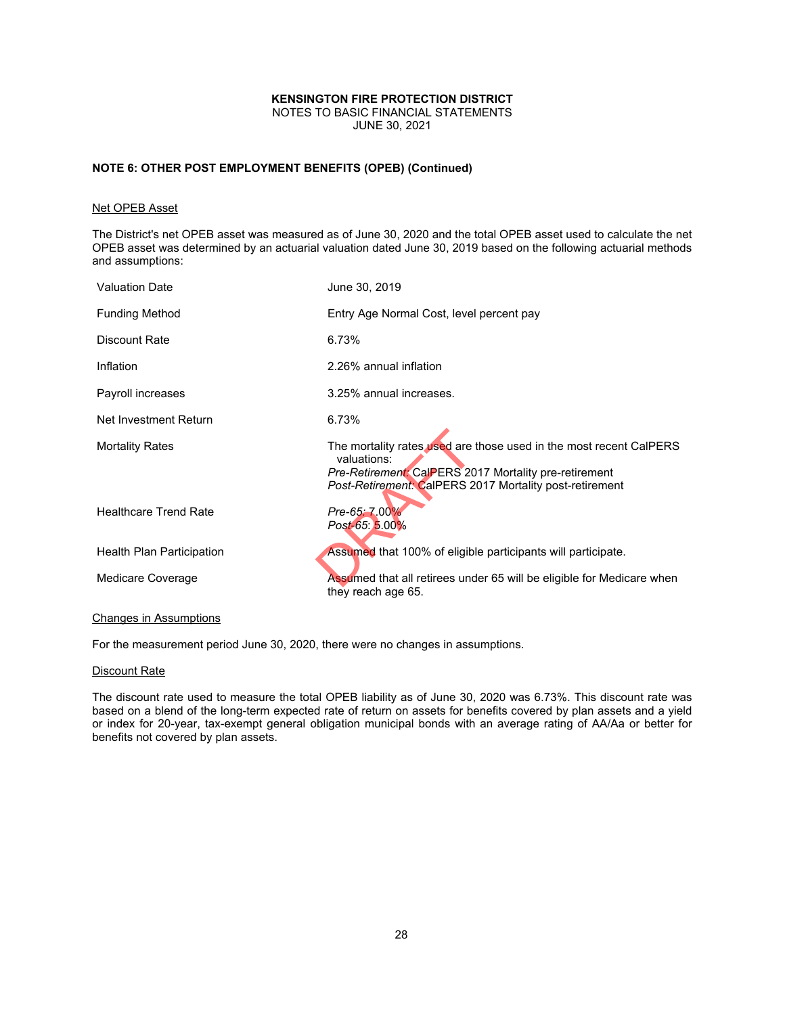NOTES TO BASIC FINANCIAL STATEMENTS

JUNE 30, 2021

# **NOTE 6: OTHER POST EMPLOYMENT BENEFITS (OPEB) (Continued)**

# Net OPEB Asset

The District's net OPEB asset was measured as of June 30, 2020 and the total OPEB asset used to calculate the net OPEB asset was determined by an actuarial valuation dated June 30, 2019 based on the following actuarial methods and assumptions:

| <b>Valuation Date</b>            | June 30, 2019                                                                                                                                                                                                       |
|----------------------------------|---------------------------------------------------------------------------------------------------------------------------------------------------------------------------------------------------------------------|
| <b>Funding Method</b>            | Entry Age Normal Cost, level percent pay                                                                                                                                                                            |
| <b>Discount Rate</b>             | 6.73%                                                                                                                                                                                                               |
| Inflation                        | 2.26% annual inflation                                                                                                                                                                                              |
| Payroll increases                | 3.25% annual increases.                                                                                                                                                                                             |
| Net Investment Return            | 6.73%                                                                                                                                                                                                               |
| <b>Mortality Rates</b>           | The mortality rates used are those used in the most recent CalPERS<br>valuations:<br><b>Pre-Retirement: CalPERS 2017 Mortality pre-retirement</b><br><b>Post-Retirement: CalPERS 2017 Mortality post-retirement</b> |
| <b>Healthcare Trend Rate</b>     | Pre-65, 7.00%<br>Post-65: 5.00%                                                                                                                                                                                     |
| <b>Health Plan Participation</b> | Assumed that 100% of eligible participants will participate.                                                                                                                                                        |
| Medicare Coverage                | Assumed that all retirees under 65 will be eligible for Medicare when<br>they reach age 65.                                                                                                                         |
| Changes in Assumptions           |                                                                                                                                                                                                                     |

For the measurement period June 30, 2020, there were no changes in assumptions.

## Discount Rate

The discount rate used to measure the total OPEB liability as of June 30, 2020 was 6.73%. This discount rate was based on a blend of the long-term expected rate of return on assets for benefits covered by plan assets and a yield or index for 20-year, tax-exempt general obligation municipal bonds with an average rating of AA/Aa or better for benefits not covered by plan assets.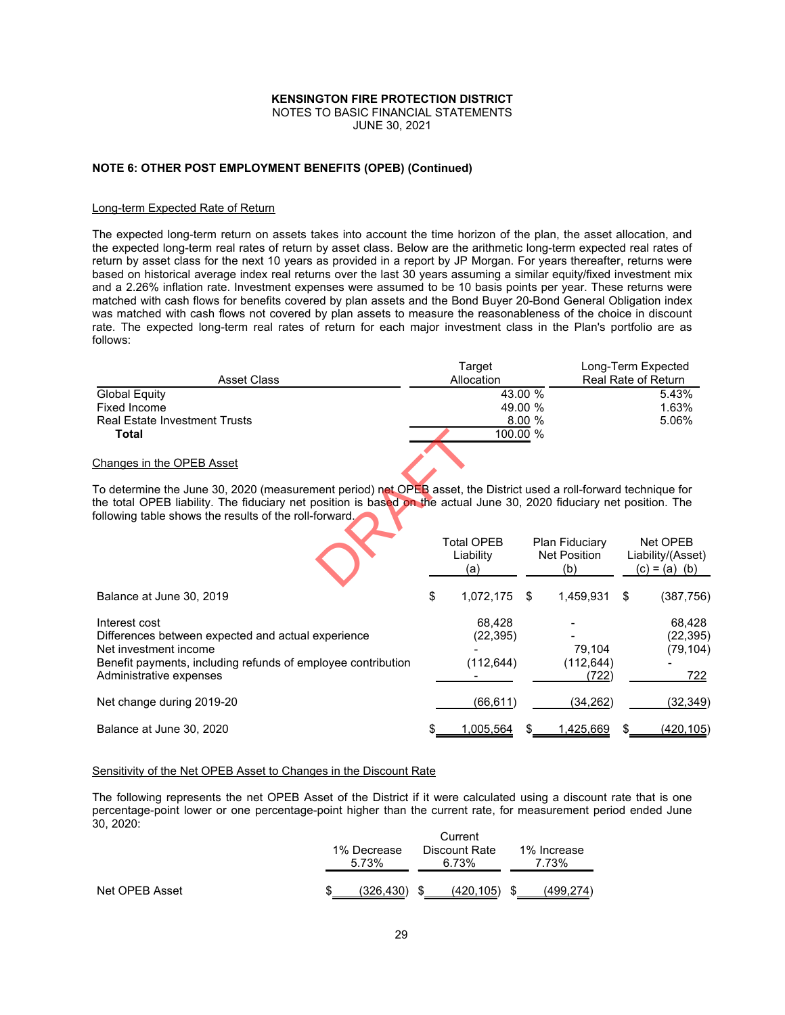NOTES TO BASIC FINANCIAL STATEMENTS

JUNE 30, 2021

# **NOTE 6: OTHER POST EMPLOYMENT BENEFITS (OPEB) (Continued)**

#### Long-term Expected Rate of Return

The expected long-term return on assets takes into account the time horizon of the plan, the asset allocation, and the expected long-term real rates of return by asset class. Below are the arithmetic long-term expected real rates of return by asset class for the next 10 years as provided in a report by JP Morgan. For years thereafter, returns were based on historical average index real returns over the last 30 years assuming a similar equity/fixed investment mix and a 2.26% inflation rate. Investment expenses were assumed to be 10 basis points per year. These returns were matched with cash flows for benefits covered by plan assets and the Bond Buyer 20-Bond General Obligation index was matched with cash flows not covered by plan assets to measure the reasonableness of the choice in discount rate. The expected long-term real rates of return for each major investment class in the Plan's portfolio are as follows:

|                                      | Target     | Long-Term Expected  |
|--------------------------------------|------------|---------------------|
| Asset Class                          | Allocation | Real Rate of Return |
| Global Equity                        | 43.00 %    | 5.43%               |
| Fixed Income                         | 49.00 %    | 1.63%               |
| <b>Real Estate Investment Trusts</b> | 8.00 %     | 5.06%               |
| Total                                | 100.00 %   |                     |
|                                      |            |                     |
| Changes in the OPEB Asset            |            |                     |

| <b>Total</b>                                                                                                                                                                                                                                                                                         | 100.00 %                              |      |                                              |                                                  |
|------------------------------------------------------------------------------------------------------------------------------------------------------------------------------------------------------------------------------------------------------------------------------------------------------|---------------------------------------|------|----------------------------------------------|--------------------------------------------------|
| <b>Changes in the OPEB Asset</b>                                                                                                                                                                                                                                                                     |                                       |      |                                              |                                                  |
| To determine the June 30, 2020 (measurement period) net OPEB asset, the District used a roll-forward technique for<br>the total OPEB liability. The fiduciary net position is based on the actual June 30, 2020 fiduciary net position. The<br>following table shows the results of the roll-forward |                                       |      |                                              |                                                  |
|                                                                                                                                                                                                                                                                                                      | <b>Total OPEB</b><br>Liability<br>(a) |      | <b>Plan Fiduciary</b><br>Net Position<br>(b) | Net OPEB<br>Liability/(Asset)<br>$(c) = (a)$ (b) |
| Balance at June 30, 2019                                                                                                                                                                                                                                                                             | \$<br>1,072,175                       | - \$ | 1,459,931                                    | \$<br>(387, 756)                                 |
| Interest cost<br>Differences between expected and actual experience<br>Net investment income<br>Benefit payments, including refunds of employee contribution<br>Administrative expenses                                                                                                              | 68,428<br>(22,395)<br>(112, 644)      |      | 79,104<br>(112, 644)<br>(722)                | 68,428<br>(22, 395)<br>(79, 104)<br>722          |
| Net change during 2019-20                                                                                                                                                                                                                                                                            | (66, 611)                             |      | (34, 262)                                    | (32, 349)                                        |
| Balance at June 30, 2020                                                                                                                                                                                                                                                                             | 1,005,564                             |      | 1,425,669                                    | (420, 105)                                       |

Sensitivity of the Net OPEB Asset to Changes in the Discount Rate

The following represents the net OPEB Asset of the District if it were calculated using a discount rate that is one percentage-point lower or one percentage-point higher than the current rate, for measurement period ended June 30, 2020:

|                |                      | Current                |                      |            |
|----------------|----------------------|------------------------|----------------------|------------|
|                | 1% Decrease<br>5.73% | Discount Rate<br>6.73% | 1% Increase<br>7.73% |            |
| Net OPEB Asset | (326.430)            | (420.105)              |                      | (499, 274) |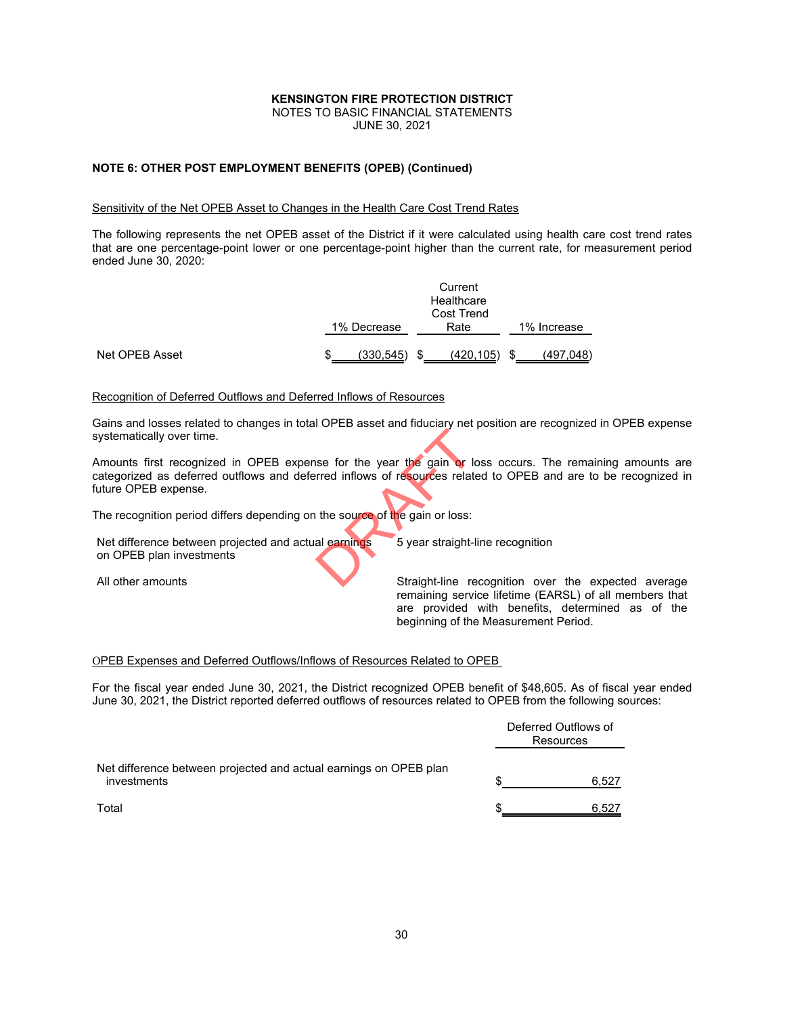NOTES TO BASIC FINANCIAL STATEMENTS

JUNE 30, 2021

# **NOTE 6: OTHER POST EMPLOYMENT BENEFITS (OPEB) (Continued)**

## Sensitivity of the Net OPEB Asset to Changes in the Health Care Cost Trend Rates

The following represents the net OPEB asset of the District if it were calculated using health care cost trend rates that are one percentage-point lower or one percentage-point higher than the current rate, for measurement period ended June 30, 2020:

|                |             | Current<br>Healthcare<br>Cost Trend |                |
|----------------|-------------|-------------------------------------|----------------|
|                | 1% Decrease | Rate                                | 1% Increase    |
| Net OPEB Asset | (330, 545)  | (420, 105)<br>S                     | S<br>(497,048) |

## Recognition of Deferred Outflows and Deferred Inflows of Resources

Gains and losses related to changes in total OPEB asset and fiduciary net position are recognized in OPEB expense systematically over time.

Amounts first recognized in OPEB expense for the year the gain or loss occurs. The remaining amounts are categorized as deferred outflows and deferred inflows of resources related to OPEB and are to be recognized in future OPEB expense. The state of the year the gain or leader<br>that inflows of resources related inflows of resources related<br>the source of the gain or loss:<br>all earnings 5 year straight-line relationships

The recognition period differs depending on the source of the gain or loss:

Net difference between projected and actual earnings on OPEB plan investments

5 year straight-line recognition

All other amounts **Straight-line recognition** over the expected average remaining service lifetime (EARSL) of all members that are provided with benefits, determined as of the beginning of the Measurement Period.

# OPEB Expenses and Deferred Outflows/Inflows of Resources Related to OPEB

For the fiscal year ended June 30, 2021, the District recognized OPEB benefit of \$48,605. As of fiscal year ended June 30, 2021, the District reported deferred outflows of resources related to OPEB from the following sources:

|                                                                                  | Deferred Outflows of<br>Resources |
|----------------------------------------------------------------------------------|-----------------------------------|
| Net difference between projected and actual earnings on OPEB plan<br>investments | 6.527                             |
| Total                                                                            | 6.527                             |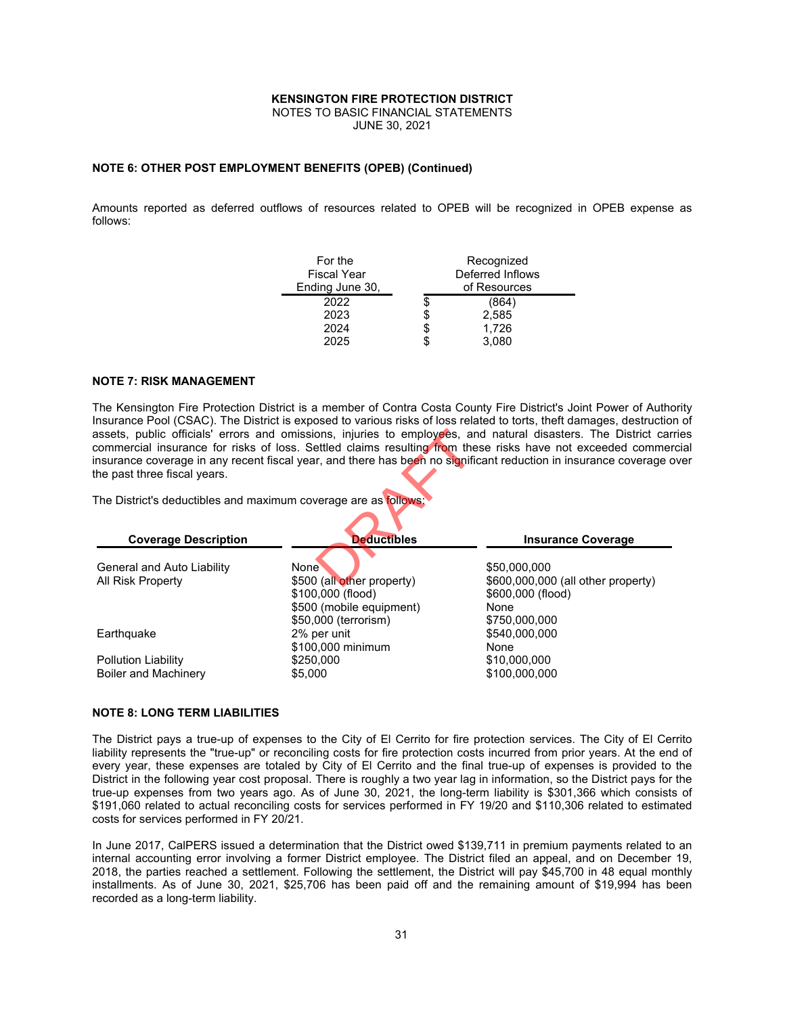NOTES TO BASIC FINANCIAL STATEMENTS

JUNE 30, 2021

# **NOTE 6: OTHER POST EMPLOYMENT BENEFITS (OPEB) (Continued)**

Amounts reported as deferred outflows of resources related to OPEB will be recognized in OPEB expense as follows:

| For the         |                  | Recognized   |  |  |  |  |
|-----------------|------------------|--------------|--|--|--|--|
| Fiscal Year     | Deferred Inflows |              |  |  |  |  |
| Ending June 30, |                  | of Resources |  |  |  |  |
| 2022            | S                | (864)        |  |  |  |  |
| 2023            | \$               | 2,585        |  |  |  |  |
| 2024            | \$               | 1,726        |  |  |  |  |
| 2025            | S                | 3.080        |  |  |  |  |

## **NOTE 7: RISK MANAGEMENT**

The Kensington Fire Protection District is a member of Contra Costa County Fire District's Joint Power of Authority Insurance Pool (CSAC). The District is exposed to various risks of loss related to torts, theft damages, destruction of assets, public officials' errors and omissions, injuries to employees, and natural disasters. The District carries commercial insurance for risks of loss. Settled claims resulting from these risks have not exceeded commercial insurance coverage in any recent fiscal year, and there has been no significant reduction in insurance coverage over the past three fiscal years.

| the past three fiscal years.                                    |                                                  | assets, public officials' errors and omissions, injuries to employees, and natural disasters. The District ca<br>commercial insurance for risks of loss. Settled claims resulting from these risks have not exceeded comme<br>insurance coverage in any recent fiscal year, and there has been no significant reduction in insurance coverage |
|-----------------------------------------------------------------|--------------------------------------------------|-----------------------------------------------------------------------------------------------------------------------------------------------------------------------------------------------------------------------------------------------------------------------------------------------------------------------------------------------|
| The District's deductibles and maximum coverage are as follows: |                                                  |                                                                                                                                                                                                                                                                                                                                               |
| <b>Coverage Description</b>                                     | <b>Deductibles</b>                               | <b>Insurance Coverage</b>                                                                                                                                                                                                                                                                                                                     |
| General and Auto Liability                                      | None <sup>1</sup>                                | \$50,000,000                                                                                                                                                                                                                                                                                                                                  |
| All Risk Property                                               | \$500 (all other property)<br>\$100,000 (flood)  | \$600,000,000 (all other property)<br>\$600,000 (flood)                                                                                                                                                                                                                                                                                       |
|                                                                 | \$500 (mobile equipment)<br>\$50,000 (terrorism) | None<br>\$750,000,000                                                                                                                                                                                                                                                                                                                         |
| Earthquake                                                      | 2% per unit                                      | \$540,000,000                                                                                                                                                                                                                                                                                                                                 |
| <b>Pollution Liability</b><br><b>Boiler and Machinery</b>       | \$100,000 minimum<br>\$250,000<br>\$5,000        | None<br>\$10,000,000<br>\$100,000,000                                                                                                                                                                                                                                                                                                         |
|                                                                 |                                                  |                                                                                                                                                                                                                                                                                                                                               |

# **NOTE 8: LONG TERM LIABILITIES**

The District pays a true-up of expenses to the City of El Cerrito for fire protection services. The City of El Cerrito liability represents the "true-up" or reconciling costs for fire protection costs incurred from prior years. At the end of every year, these expenses are totaled by City of El Cerrito and the final true-up of expenses is provided to the District in the following year cost proposal. There is roughly a two year lag in information, so the District pays for the true-up expenses from two years ago. As of June 30, 2021, the long-term liability is \$301,366 which consists of \$191,060 related to actual reconciling costs for services performed in FY 19/20 and \$110,306 related to estimated costs for services performed in FY 20/21.

In June 2017, CalPERS issued a determination that the District owed \$139,711 in premium payments related to an internal accounting error involving a former District employee. The District filed an appeal, and on December 19, 2018, the parties reached a settlement. Following the settlement, the District will pay \$45,700 in 48 equal monthly installments. As of June 30, 2021, \$25,706 has been paid off and the remaining amount of \$19,994 has been recorded as a long-term liability.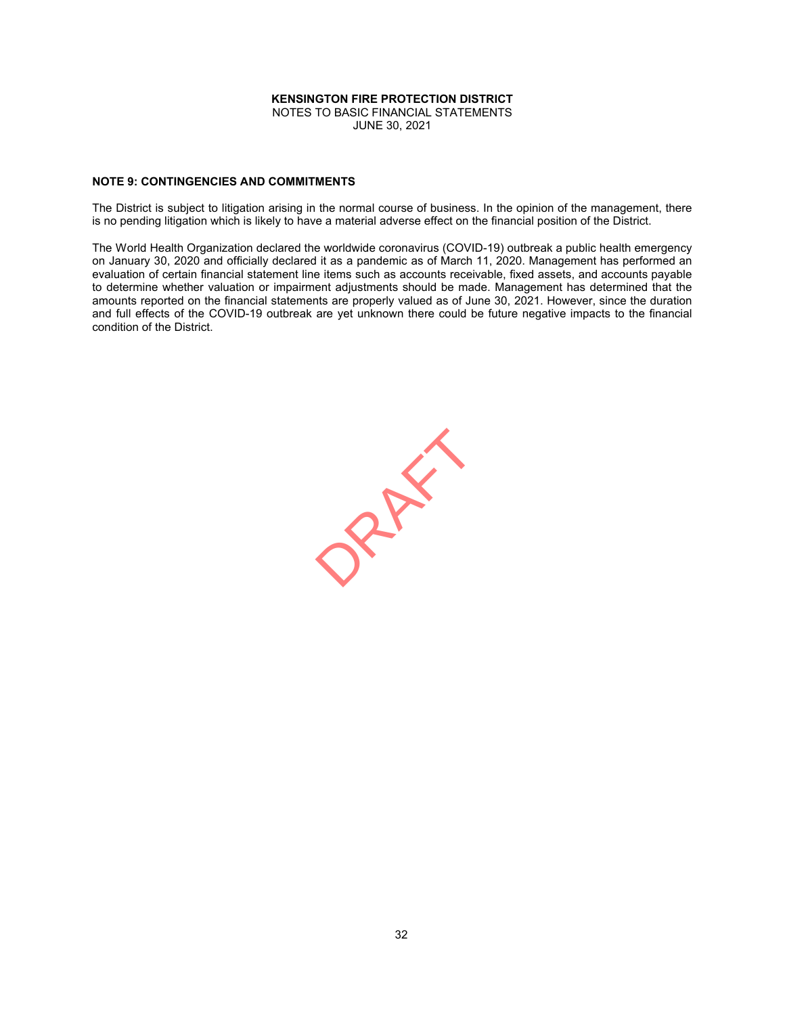JUNE 30, 2021

## **NOTE 9: CONTINGENCIES AND COMMITMENTS**

The District is subject to litigation arising in the normal course of business. In the opinion of the management, there is no pending litigation which is likely to have a material adverse effect on the financial position of the District.

The World Health Organization declared the worldwide coronavirus (COVID-19) outbreak a public health emergency on January 30, 2020 and officially declared it as a pandemic as of March 11, 2020. Management has performed an evaluation of certain financial statement line items such as accounts receivable, fixed assets, and accounts payable to determine whether valuation or impairment adjustments should be made. Management has determined that the amounts reported on the financial statements are properly valued as of June 30, 2021. However, since the duration and full effects of the COVID-19 outbreak are yet unknown there could be future negative impacts to the financial condition of the District.

ORANY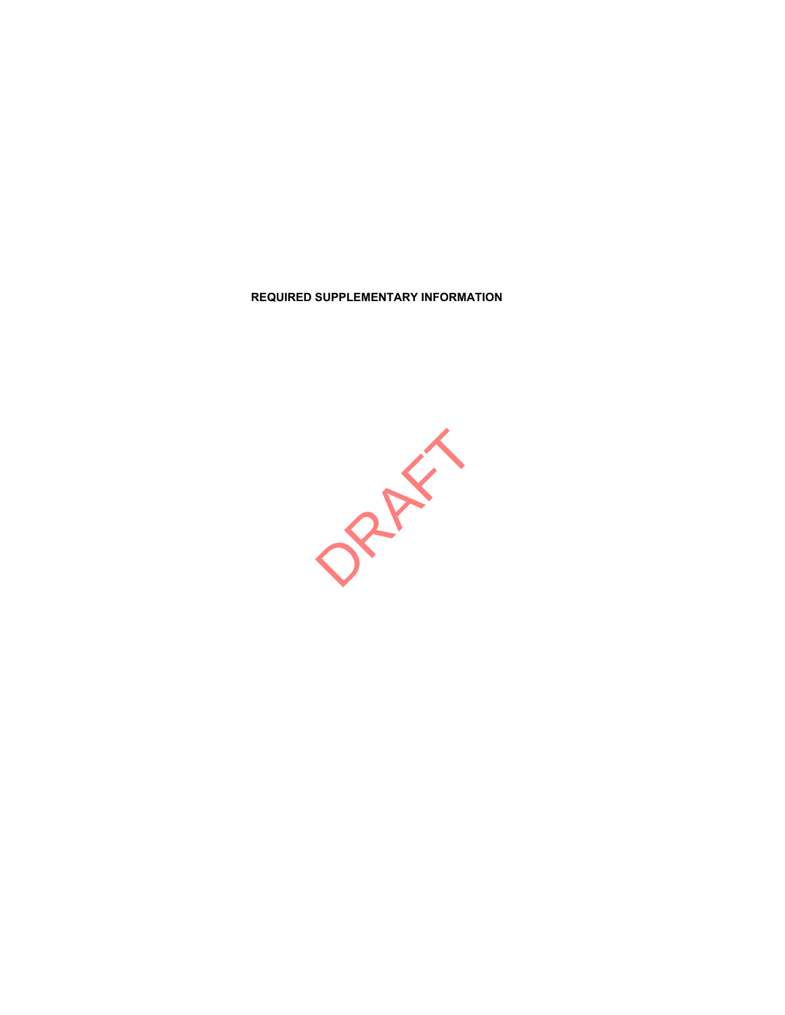**REQUIRED SUPPLEMENTARY INFORMATION** 

PRAFT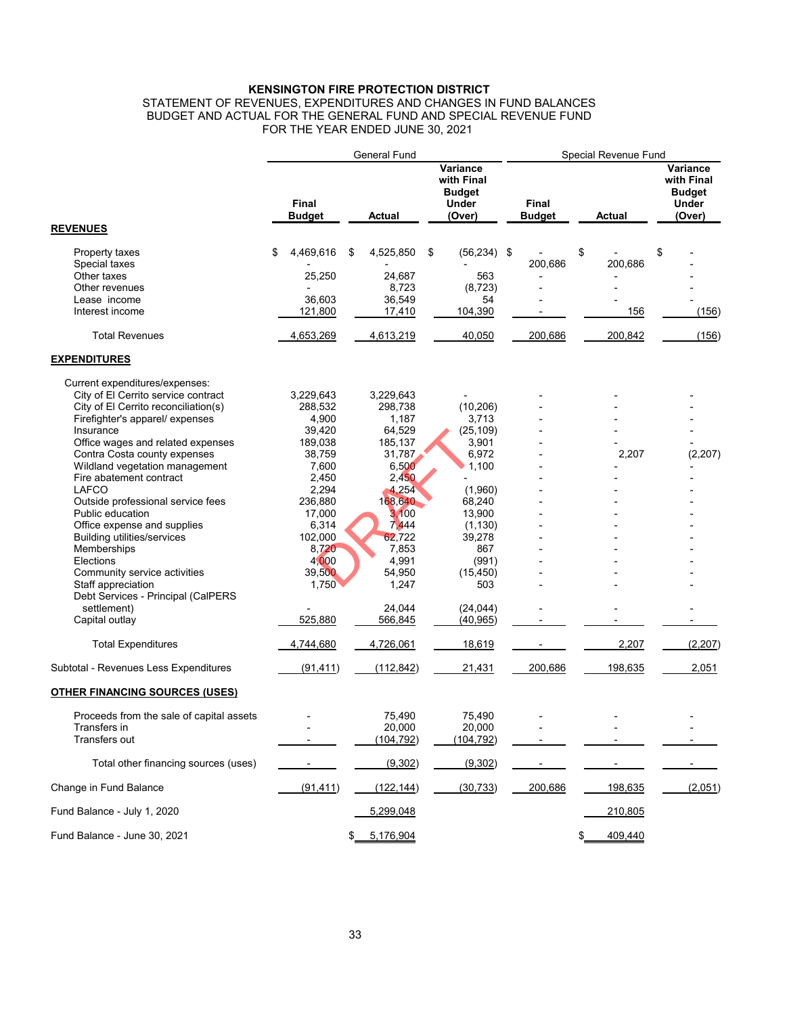# STATEMENT OF REVENUES, EXPENDITURES AND CHANGES IN FUND BALANCES BUDGET AND ACTUAL FOR THE GENERAL FUND AND SPECIAL REVENUE FUND FOR THE YEAR ENDED JUNE 30, 2021

|                                          |                        | General Fund     |                                                            | Special Revenue Fund          |    |               |    |                                                                   |  |
|------------------------------------------|------------------------|------------------|------------------------------------------------------------|-------------------------------|----|---------------|----|-------------------------------------------------------------------|--|
|                                          | Final<br><b>Budget</b> | <b>Actual</b>    | Variance<br>with Final<br><b>Budget</b><br>Under<br>(Over) | <b>Final</b><br><b>Budget</b> |    | <b>Actual</b> |    | <b>Variance</b><br>with Final<br><b>Budget</b><br>Under<br>(Over) |  |
| <b>REVENUES</b>                          |                        |                  |                                                            |                               |    |               |    |                                                                   |  |
| Property taxes                           | \$<br>4,469,616        | \$<br>4,525,850  | \$<br>$(56, 234)$ \$                                       |                               | \$ |               | \$ |                                                                   |  |
| Special taxes                            |                        |                  |                                                            | 200,686                       |    | 200,686       |    |                                                                   |  |
| Other taxes                              | 25,250                 | 24,687           | 563                                                        |                               |    |               |    |                                                                   |  |
| Other revenues                           |                        | 8,723            | (8, 723)                                                   |                               |    |               |    |                                                                   |  |
| Lease income                             | 36.603                 | 36,549           | 54                                                         |                               |    |               |    |                                                                   |  |
| Interest income                          | 121,800                | 17,410           | 104,390                                                    |                               |    | 156           |    | (156)                                                             |  |
| <b>Total Revenues</b>                    | 4,653,269              | 4,613,219        | 40,050                                                     | 200.686                       |    | 200,842       |    | (156)                                                             |  |
| <b>EXPENDITURES</b>                      |                        |                  |                                                            |                               |    |               |    |                                                                   |  |
| Current expenditures/expenses:           |                        |                  |                                                            |                               |    |               |    |                                                                   |  |
| City of El Cerrito service contract      | 3,229,643              | 3,229,643        |                                                            |                               |    |               |    |                                                                   |  |
| City of El Cerrito reconciliation(s)     | 288,532                | 298,738          | (10, 206)                                                  |                               |    |               |    |                                                                   |  |
| Firefighter's apparel/ expenses          | 4,900                  | 1,187            | 3,713                                                      |                               |    |               |    |                                                                   |  |
| Insurance                                | 39,420                 | 64,529           | (25, 109)                                                  |                               |    |               |    |                                                                   |  |
| Office wages and related expenses        | 189,038                | 185,137          | 3,901                                                      |                               |    |               |    |                                                                   |  |
| Contra Costa county expenses             | 38,759                 | 31,787           | 6,972                                                      |                               |    | 2,207         |    | (2, 207)                                                          |  |
| Wildland vegetation management           | 7,600                  | 6,500            | 1,100                                                      |                               |    |               |    |                                                                   |  |
| Fire abatement contract<br><b>LAFCO</b>  | 2,450                  | 2,450            |                                                            |                               |    |               |    |                                                                   |  |
| Outside professional service fees        | 2,294<br>236,880       | 4,254<br>168,640 | (1,960)<br>68,240                                          |                               |    |               |    |                                                                   |  |
| Public education                         | 17,000                 | 3,100            | 13,900                                                     |                               |    |               |    |                                                                   |  |
| Office expense and supplies              | 6,314                  | 7,444            | (1, 130)                                                   |                               |    |               |    |                                                                   |  |
| <b>Building utilities/services</b>       | 102,000                | 62,722           | 39,278                                                     |                               |    |               |    |                                                                   |  |
| Memberships                              | 8,720                  | 7,853            | 867                                                        |                               |    |               |    |                                                                   |  |
| Elections                                | 4,000                  | 4,991            | (991)                                                      |                               |    |               |    |                                                                   |  |
| Community service activities             | 39,500                 | 54,950           | (15, 450)                                                  |                               |    |               |    |                                                                   |  |
| Staff appreciation                       | 1,750                  | 1,247            | 503                                                        |                               |    |               |    |                                                                   |  |
| Debt Services - Principal (CalPERS       |                        |                  |                                                            |                               |    |               |    |                                                                   |  |
| settlement)                              |                        | 24,044           | (24, 044)                                                  |                               |    |               |    |                                                                   |  |
| Capital outlay                           | 525,880                | 566,845          | (40, 965)                                                  |                               |    |               |    |                                                                   |  |
| <b>Total Expenditures</b>                | 4,744,680              | 4,726,061        | 18,619                                                     |                               |    | 2,207         |    | (2, 207)                                                          |  |
| Subtotal - Revenues Less Expenditures    | (91, 411)              | (112, 842)       | 21,431                                                     | 200,686                       |    | 198,635       |    | 2,051                                                             |  |
| <b>OTHER FINANCING SOURCES (USES)</b>    |                        |                  |                                                            |                               |    |               |    |                                                                   |  |
| Proceeds from the sale of capital assets |                        | 75,490           | 75,490                                                     |                               |    |               |    |                                                                   |  |
| Transfers in                             |                        | 20,000           | 20,000                                                     |                               |    |               |    |                                                                   |  |
| Transfers out                            |                        | (104, 792)       | (104, 792)                                                 |                               |    |               |    |                                                                   |  |
| Total other financing sources (uses)     |                        | (9, 302)         | (9,302)                                                    |                               |    |               |    |                                                                   |  |
| Change in Fund Balance                   | (91, 411)              | (122, 144)       | (30, 733)                                                  | 200,686                       |    | 198,635       |    | (2,051)                                                           |  |
| Fund Balance - July 1, 2020              |                        | 5,299,048        |                                                            |                               |    | 210,805       |    |                                                                   |  |
| Fund Balance - June 30, 2021             |                        | 5,176,904        |                                                            |                               |    | 409,440       |    |                                                                   |  |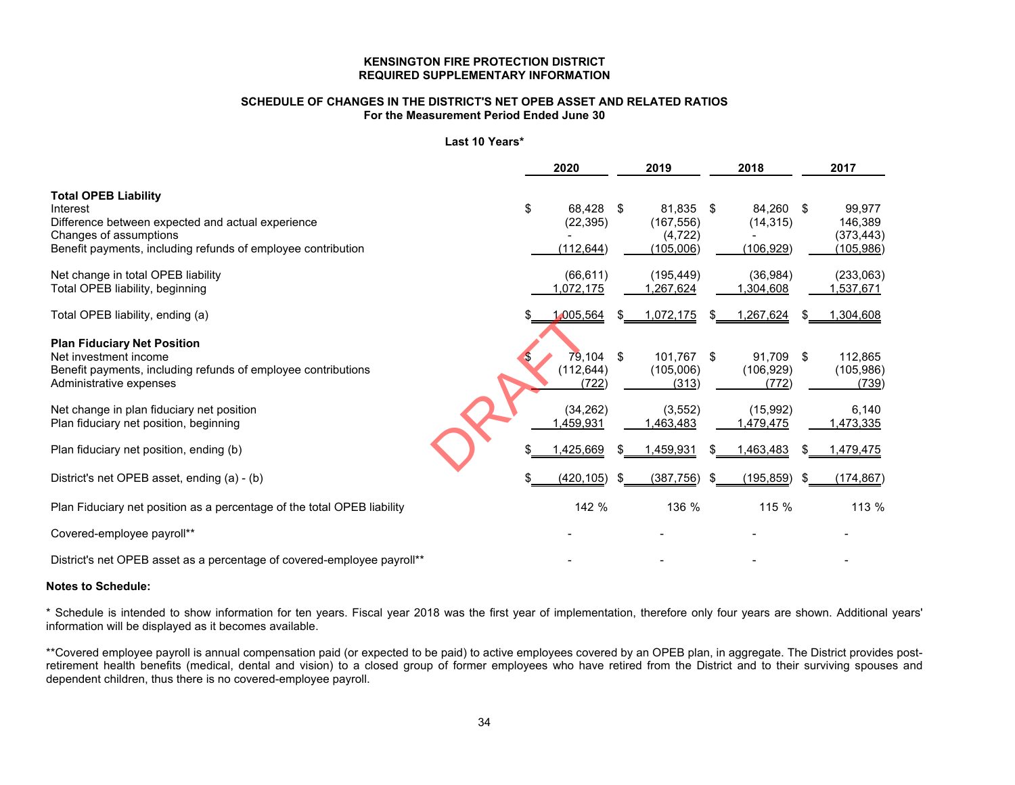### **KENSINGTON FIRE PROTECTION DISTRICT REQUIRED SUPPLEMENTARY INFORMATION**

## **SCHEDULE OF CHANGES IN THE DISTRICT'S NET OPEB ASSET AND RELATED RATIOS For the Measurement Period Ended June 30**

**Last 10 Years\***

|                                                                                                                                                                                        |    | 2020                              |    | 2019                                          |     | 2018                                 |      | 2017                                         |
|----------------------------------------------------------------------------------------------------------------------------------------------------------------------------------------|----|-----------------------------------|----|-----------------------------------------------|-----|--------------------------------------|------|----------------------------------------------|
| <b>Total OPEB Liability</b><br>Interest<br>Difference between expected and actual experience<br>Changes of assumptions<br>Benefit payments, including refunds of employee contribution | \$ | 68,428<br>(22, 395)<br>(112, 644) | \$ | 81.835<br>(167, 556)<br>(4, 722)<br>(105,006) | -\$ | 84.260 \$<br>(14, 315)<br>(106, 929) |      | 99.977<br>146,389<br>(373, 443)<br>(105,986) |
| Net change in total OPEB liability<br>Total OPEB liability, beginning                                                                                                                  |    | (66, 611)<br>1,072,175            |    | (195, 449)<br>1,267,624                       |     | (36, 984)<br>1,304,608               |      | (233,063)<br>1,537,671                       |
| Total OPEB liability, ending (a)                                                                                                                                                       |    | 1,005,564                         | S. | 1,072,175                                     | \$. | 1,267,624                            | Ж,   | 1,304,608                                    |
| <b>Plan Fiduciary Net Position</b><br>Net investment income<br>Benefit payments, including refunds of employee contributions<br>Administrative expenses                                | S. | 79,104<br>(112, 644)<br>(722)     | \$ | 101,767 \$<br>(105,006)<br>(313)              |     | 91.709<br>(106, 929)<br>(772)        | - \$ | 112,865<br>(105,986)<br>(739)                |
| Net change in plan fiduciary net position<br>Plan fiduciary net position, beginning                                                                                                    |    | (34, 262)<br>1,459,931            |    | (3, 552)<br>1,463,483                         |     | (15,992)<br>1,479,475                |      | 6,140<br>1,473,335                           |
| Plan fiduciary net position, ending (b)                                                                                                                                                |    | 1,425,669                         |    | 1,459,931                                     |     | 1,463,483                            |      | 1,479,475                                    |
| District's net OPEB asset, ending (a) - (b)                                                                                                                                            |    | (420, 105)                        |    | (387, 756)                                    |     | (195, 859)                           |      | (174, 867)                                   |
| Plan Fiduciary net position as a percentage of the total OPEB liability                                                                                                                |    | 142 %                             |    | 136 %                                         |     | 115 %                                |      | 113 %                                        |
| Covered-employee payroll**                                                                                                                                                             |    |                                   |    |                                               |     |                                      |      |                                              |
| District's net OPEB asset as a percentage of covered-employee payroll**                                                                                                                |    |                                   |    |                                               |     |                                      |      |                                              |

## **Notes to Schedule:**

\* Schedule is intended to show information for ten years. Fiscal year 2018 was the first year of implementation, therefore only four years are shown. Additional years' information will be displayed as it becomes available.

\*\*Covered employee payroll is annual compensation paid (or expected to be paid) to active employees covered by an OPEB plan, in aggregate. The District provides postretirement health benefits (medical, dental and vision) to a closed group of former employees who have retired from the District and to their surviving spouses and dependent children, thus there is no covered-employee payroll.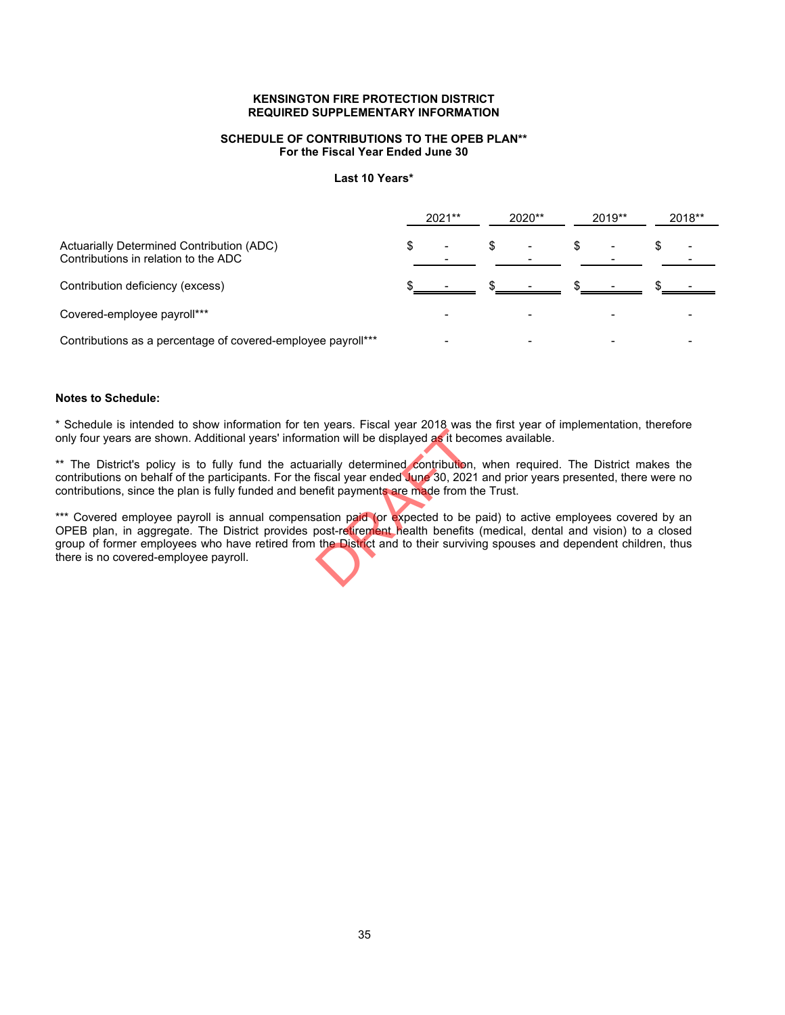## **KENSINGTON FIRE PROTECTION DISTRICT REQUIRED SUPPLEMENTARY INFORMATION**

## **SCHEDULE OF CONTRIBUTIONS TO THE OPEB PLAN\*\* For the Fiscal Year Ended June 30**

## **Last 10 Years\***

|                                                                                   |  |                          | $2020**$<br>2021** |  | $2019**$ |  | 2018** |  |  |
|-----------------------------------------------------------------------------------|--|--------------------------|--------------------|--|----------|--|--------|--|--|
| Actuarially Determined Contribution (ADC)<br>Contributions in relation to the ADC |  | $\overline{\phantom{0}}$ |                    |  |          |  |        |  |  |
| Contribution deficiency (excess)                                                  |  |                          |                    |  |          |  |        |  |  |
| Covered-employee payroll***                                                       |  |                          |                    |  |          |  |        |  |  |
| Contributions as a percentage of covered-employee payroll***                      |  |                          |                    |  |          |  |        |  |  |

## **Notes to Schedule:**

\* Schedule is intended to show information for ten years. Fiscal year 2018 was the first year of implementation, therefore only four years are shown. Additional years' information will be displayed as it becomes available.

\*\* The District's policy is to fully fund the actuarially determined contribution, when required. The District makes the contributions on behalf of the participants. For the fiscal year ended June 30, 2021 and prior years presented, there were no contributions, since the plan is fully funded and benefit payments are made from the Trust.

\*\*\* Covered employee payroll is annual compensation paid (or expected to be paid) to active employees covered by an OPEB plan, in aggregate. The District provides post-retirement health benefits (medical, dental and vision) to a closed group of former employees who have retired from the District and to their surviving spouses and dependent children, thus there is no covered-employee payroll. The station will be displayed as it because the displayed as it because and the displayed as it because and the state of the state of the post-retirement health benefits the District and to their survivi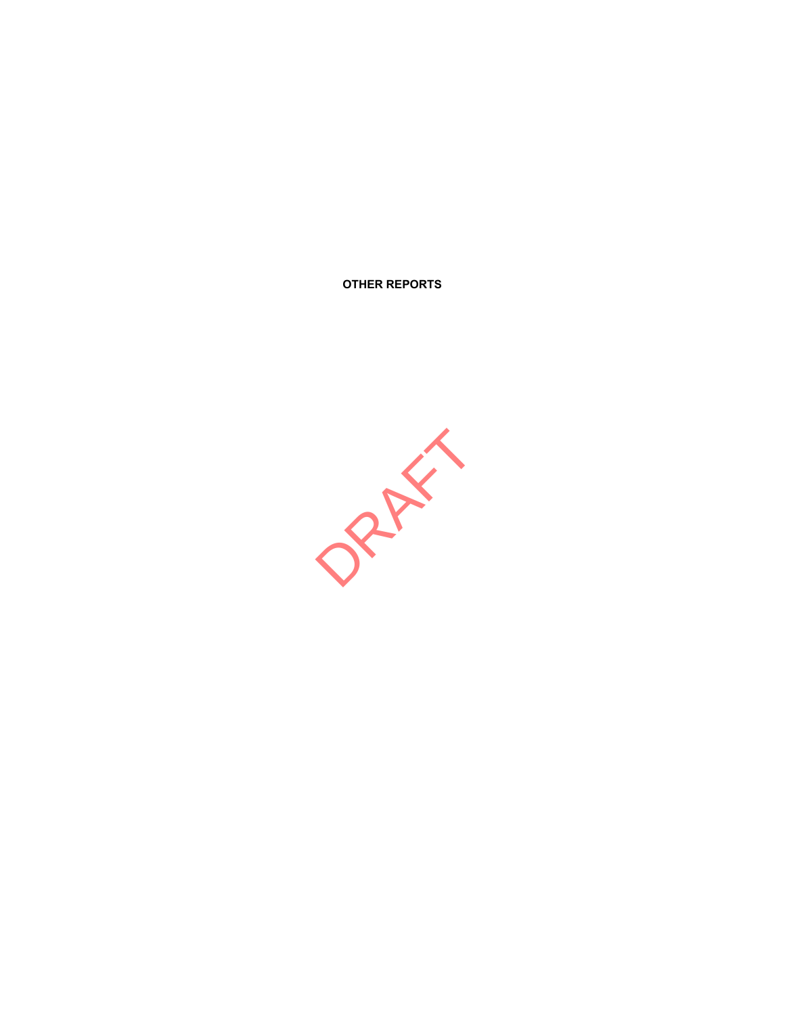**OTHER REPORTS**

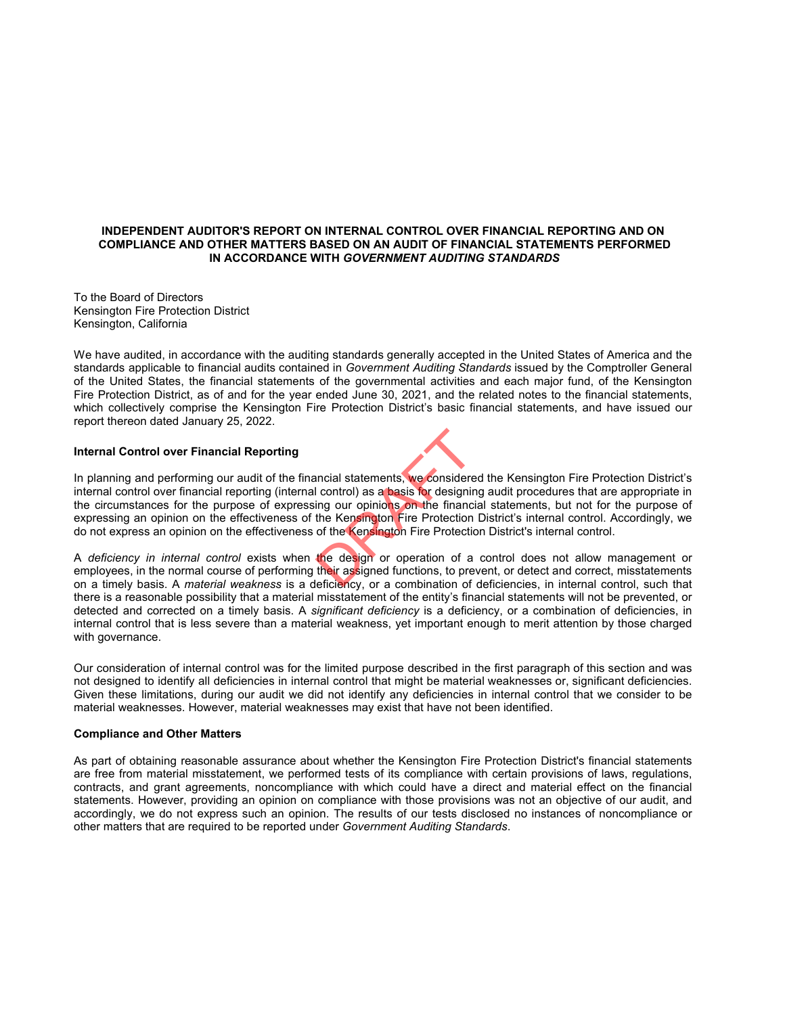#### **INDEPENDENT AUDITOR'S REPORT ON INTERNAL CONTROL OVER FINANCIAL REPORTING AND ON COMPLIANCE AND OTHER MATTERS BASED ON AN AUDIT OF FINANCIAL STATEMENTS PERFORMED IN ACCORDANCE WITH** *GOVERNMENT AUDITING STANDARDS*

To the Board of Directors Kensington Fire Protection District Kensington, California

We have audited, in accordance with the auditing standards generally accepted in the United States of America and the standards applicable to financial audits contained in *Government Auditing Standards* issued by the Comptroller General of the United States, the financial statements of the governmental activities and each major fund, of the Kensington Fire Protection District, as of and for the year ended June 30, 2021, and the related notes to the financial statements, which collectively comprise the Kensington Fire Protection District's basic financial statements, and have issued our report thereon dated January 25, 2022.

## **Internal Control over Financial Reporting**

In planning and performing our audit of the financial statements, we considered the Kensington Fire Protection District's internal control over financial reporting (internal control) as a basis for designing audit procedures that are appropriate in the circumstances for the purpose of expressing our opinions on the financial statements, but not for the purpose of expressing an opinion on the effectiveness of the Kensington Fire Protection District's internal control. Accordingly, we do not express an opinion on the effectiveness of the Kensington Fire Protection District's internal control. ancial statements, we considered a<br>l control) as a basis for designing<br>ing our opinions on the financient<br>of the Kensington Fire Protection<br>of the Kensington Fire Protection<br>the design or operation of a<br>their assigned func

A *deficiency in internal control* exists when the design or operation of a control does not allow management or employees, in the normal course of performing their assigned functions, to prevent, or detect and correct, misstatements on a timely basis. A *material weakness* is a deficiency, or a combination of deficiencies, in internal control, such that there is a reasonable possibility that a material misstatement of the entity's financial statements will not be prevented, or detected and corrected on a timely basis. A *significant deficiency* is a deficiency, or a combination of deficiencies, in internal control that is less severe than a material weakness, yet important enough to merit attention by those charged with governance.

Our consideration of internal control was for the limited purpose described in the first paragraph of this section and was not designed to identify all deficiencies in internal control that might be material weaknesses or, significant deficiencies. Given these limitations, during our audit we did not identify any deficiencies in internal control that we consider to be material weaknesses. However, material weaknesses may exist that have not been identified.

#### **Compliance and Other Matters**

As part of obtaining reasonable assurance about whether the Kensington Fire Protection District's financial statements are free from material misstatement, we performed tests of its compliance with certain provisions of laws, regulations, contracts, and grant agreements, noncompliance with which could have a direct and material effect on the financial statements. However, providing an opinion on compliance with those provisions was not an objective of our audit, and accordingly, we do not express such an opinion. The results of our tests disclosed no instances of noncompliance or other matters that are required to be reported under *Government Auditing Standards*.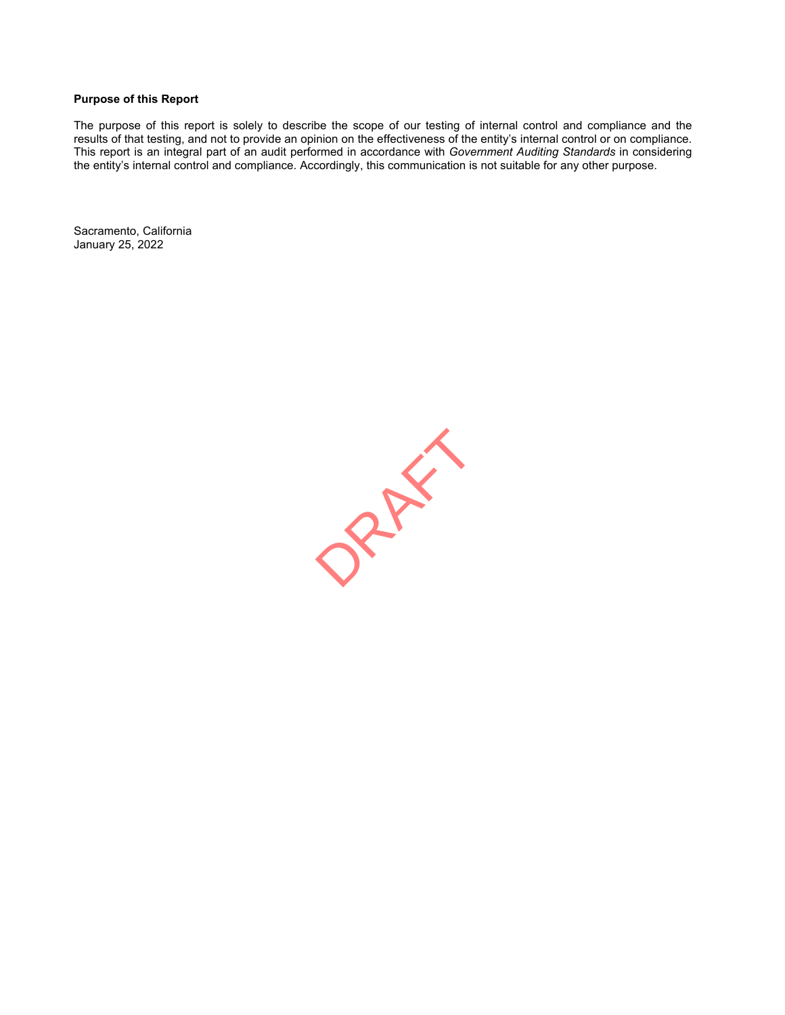# **Purpose of this Report**

The purpose of this report is solely to describe the scope of our testing of internal control and compliance and the results of that testing, and not to provide an opinion on the effectiveness of the entity's internal control or on compliance. This report is an integral part of an audit performed in accordance with *Government Auditing Standards* in considering the entity's internal control and compliance. Accordingly, this communication is not suitable for any other purpose.

Sacramento, California January 25, 2022

DRAFT R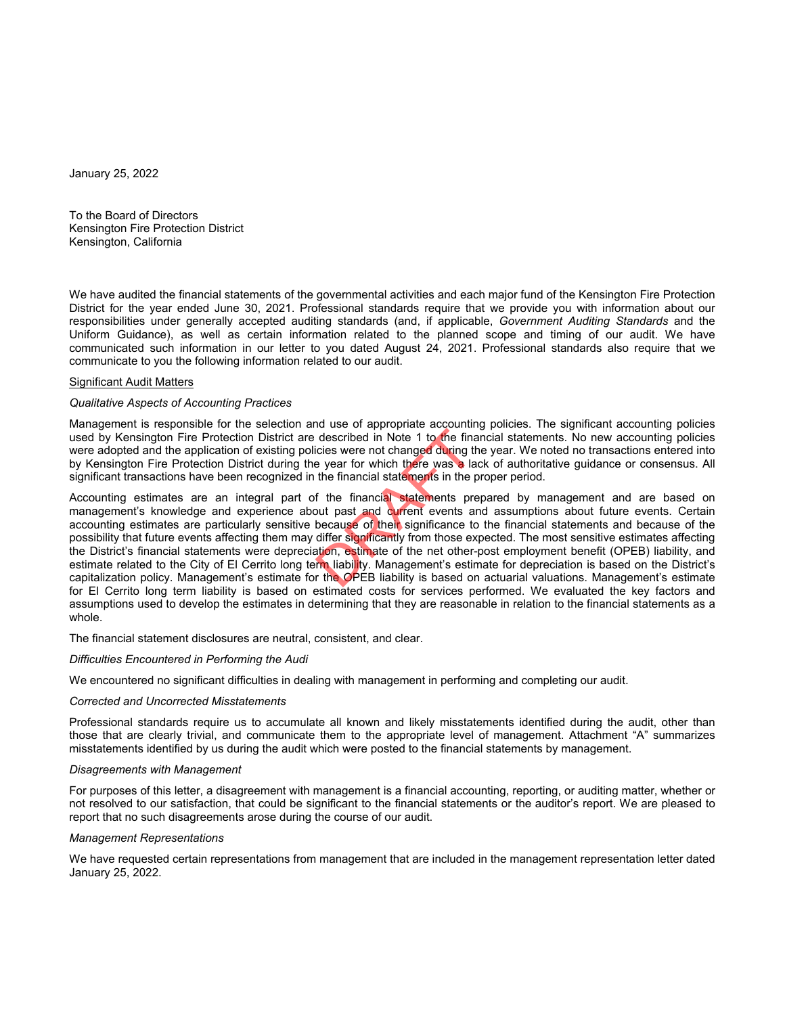January 25, 2022

To the Board of Directors Kensington Fire Protection District Kensington, California

We have audited the financial statements of the governmental activities and each major fund of the Kensington Fire Protection District for the year ended June 30, 2021. Professional standards require that we provide you with information about our responsibilities under generally accepted auditing standards (and, if applicable, *Government Auditing Standards* and the Uniform Guidance), as well as certain information related to the planned scope and timing of our audit. We have communicated such information in our letter to you dated August 24, 2021. Professional standards also require that we communicate to you the following information related to our audit.

#### Significant Audit Matters

#### *Qualitative Aspects of Accounting Practices*

Management is responsible for the selection and use of appropriate accounting policies. The significant accounting policies used by Kensington Fire Protection District are described in Note 1 to the financial statements. No new accounting policies were adopted and the application of existing policies were not changed during the year. We noted no transactions entered into by Kensington Fire Protection District during the year for which there was a lack of authoritative guidance or consensus. All significant transactions have been recognized in the financial statements in the proper period.

Accounting estimates are an integral part of the financial statements prepared by management and are based on management's knowledge and experience about past and current events and assumptions about future events. Certain accounting estimates are particularly sensitive because of their significance to the financial statements and because of the possibility that future events affecting them may differ significantly from those expected. The most sensitive estimates affecting the District's financial statements were depreciation, estimate of the net other-post employment benefit (OPEB) liability, and estimate related to the City of El Cerrito long term liability. Management's estimate for depreciation is based on the District's capitalization policy. Management's estimate for the OPEB liability is based on actuarial valuations. Management's estimate for El Cerrito long term liability is based on estimated costs for services performed. We evaluated the key factors and assumptions used to develop the estimates in determining that they are reasonable in relation to the financial statements as a whole. described in Note 1 to the final<br>cies were not changed during the values<br>of the final statements in the property<br>the financial statements in the property<br>out past and current events a<br>because of their significance to<br>diffe

The financial statement disclosures are neutral, consistent, and clear.

#### *Difficulties Encountered in Performing the Audi*

We encountered no significant difficulties in dealing with management in performing and completing our audit.

#### *Corrected and Uncorrected Misstatements*

Professional standards require us to accumulate all known and likely misstatements identified during the audit, other than those that are clearly trivial, and communicate them to the appropriate level of management. Attachment "A" summarizes misstatements identified by us during the audit which were posted to the financial statements by management.

#### *Disagreements with Management*

For purposes of this letter, a disagreement with management is a financial accounting, reporting, or auditing matter, whether or not resolved to our satisfaction, that could be significant to the financial statements or the auditor's report. We are pleased to report that no such disagreements arose during the course of our audit.

#### *Management Representations*

We have requested certain representations from management that are included in the management representation letter dated January 25, 2022.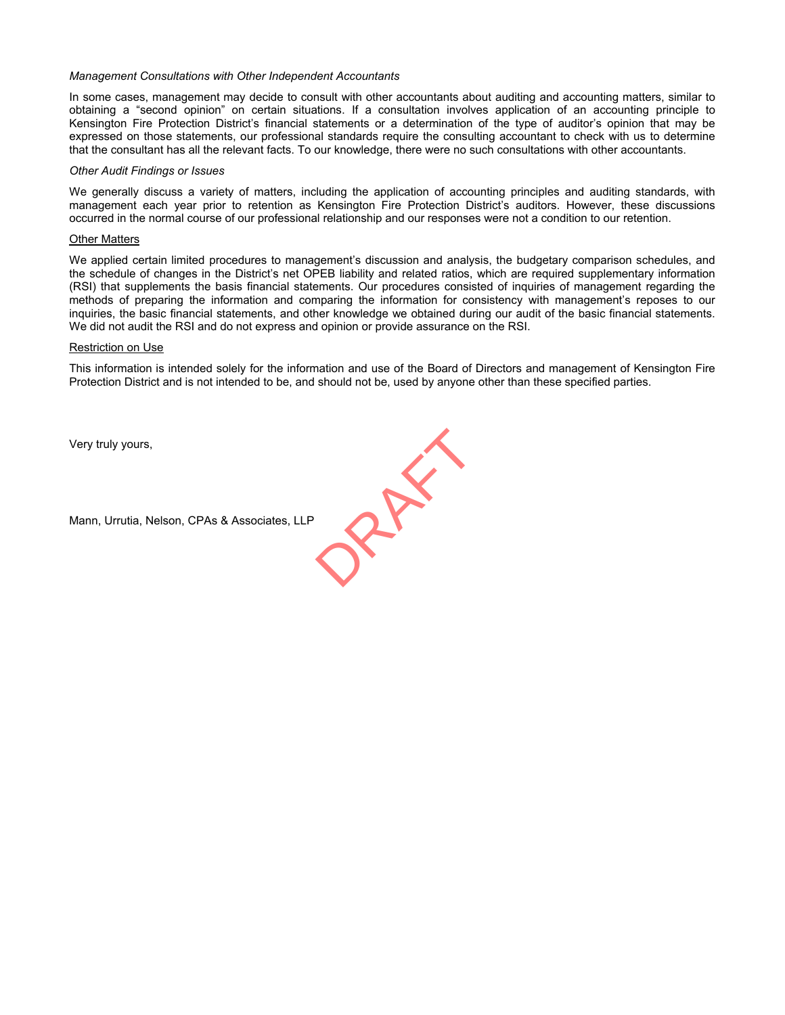#### *Management Consultations with Other Independent Accountants*

In some cases, management may decide to consult with other accountants about auditing and accounting matters, similar to obtaining a "second opinion" on certain situations. If a consultation involves application of an accounting principle to Kensington Fire Protection District's financial statements or a determination of the type of auditor's opinion that may be expressed on those statements, our professional standards require the consulting accountant to check with us to determine that the consultant has all the relevant facts. To our knowledge, there were no such consultations with other accountants.

#### *Other Audit Findings or Issues*

We generally discuss a variety of matters, including the application of accounting principles and auditing standards, with management each year prior to retention as Kensington Fire Protection District's auditors. However, these discussions occurred in the normal course of our professional relationship and our responses were not a condition to our retention.

#### Other Matters

We applied certain limited procedures to management's discussion and analysis, the budgetary comparison schedules, and the schedule of changes in the District's net OPEB liability and related ratios, which are required supplementary information (RSI) that supplements the basis financial statements. Our procedures consisted of inquiries of management regarding the methods of preparing the information and comparing the information for consistency with management's reposes to our inquiries, the basic financial statements, and other knowledge we obtained during our audit of the basic financial statements. We did not audit the RSI and do not express and opinion or provide assurance on the RSI.

#### Restriction on Use

This information is intended solely for the information and use of the Board of Directors and management of Kensington Fire Protection District and is not intended to be, and should not be, used by anyone other than these specified parties.

Very truly yours,

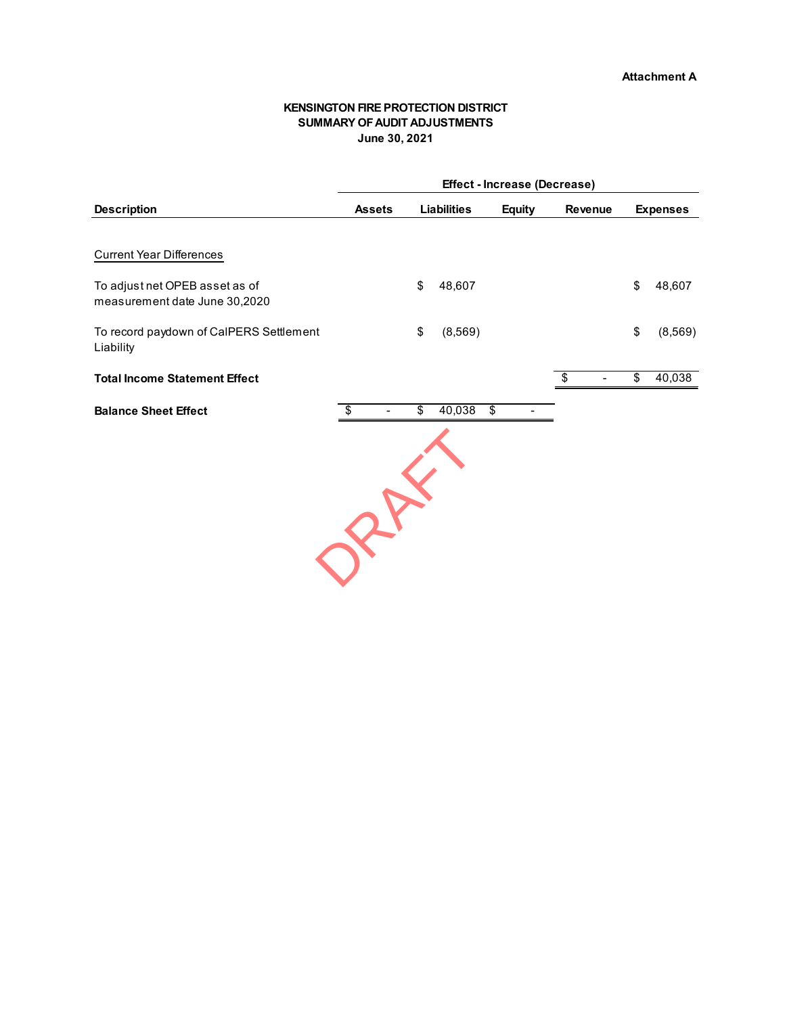# **KENSINGTON FIRE PROTECTION DISTRICT SUMMARY OF AUDIT ADJUSTMENTS June 30, 2021**

|                                                                 | <b>Effect - Increase (Decrease)</b> |                                    |                                                     |                      |                 |  |  |  |
|-----------------------------------------------------------------|-------------------------------------|------------------------------------|-----------------------------------------------------|----------------------|-----------------|--|--|--|
| <b>Description</b>                                              | <b>Assets</b>                       | <b>Liabilities</b>                 | <b>Equity</b>                                       | Revenue              | <b>Expenses</b> |  |  |  |
|                                                                 |                                     |                                    |                                                     |                      |                 |  |  |  |
| <b>Current Year Differences</b>                                 |                                     |                                    |                                                     |                      |                 |  |  |  |
| To adjust net OPEB asset as of<br>measurement date June 30,2020 |                                     | \$<br>48,607                       |                                                     |                      | \$<br>48,607    |  |  |  |
| To record paydown of CalPERS Settlement<br>Liability            |                                     | \$<br>(8, 569)                     |                                                     |                      | \$<br>(8, 569)  |  |  |  |
| <b>Total Income Statement Effect</b>                            |                                     |                                    |                                                     | \$<br>$\blacksquare$ | 40,038<br>\$    |  |  |  |
| <b>Balance Sheet Effect</b>                                     | \$<br>$\blacksquare$                | 40,038<br>$\overline{\mathcal{S}}$ | $\overline{\mathbf{S}}$<br>$\overline{\phantom{a}}$ |                      |                 |  |  |  |
|                                                                 |                                     |                                    |                                                     |                      |                 |  |  |  |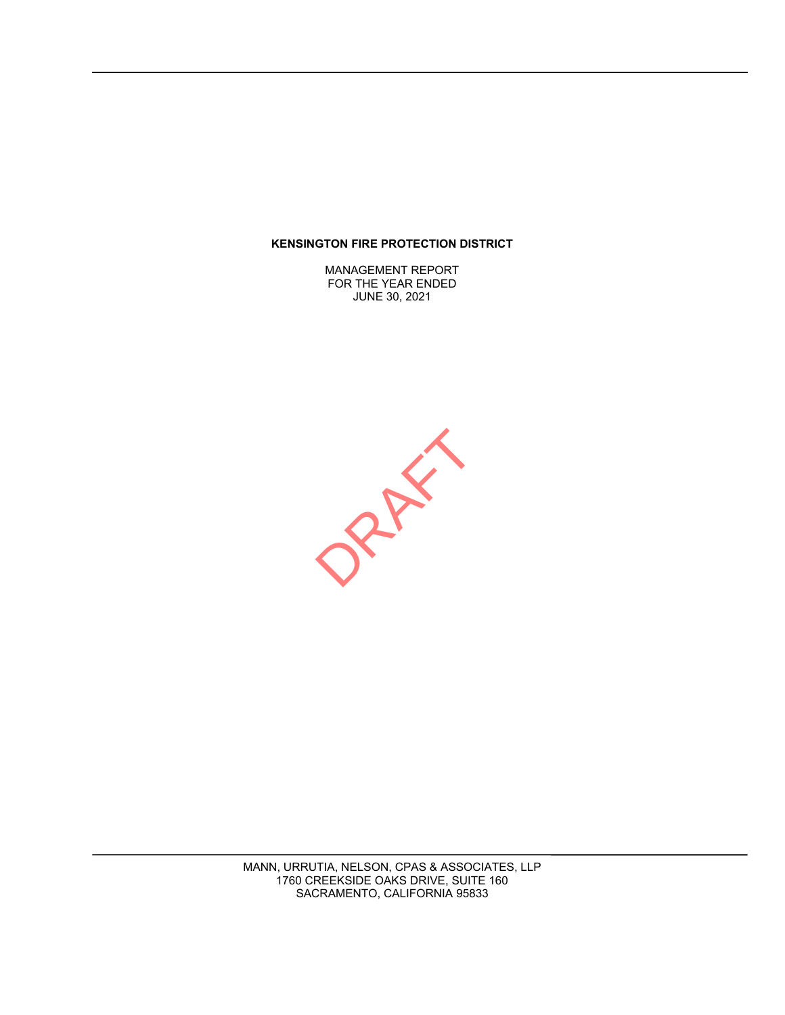MANAGEMENT REPORT FOR THE YEAR ENDED JUNE 30, 2021



MANN, URRUTIA, NELSON, CPAS & ASSOCIATES, LLP 1760 CREEKSIDE OAKS DRIVE, SUITE 160 SACRAMENTO, CALIFORNIA 95833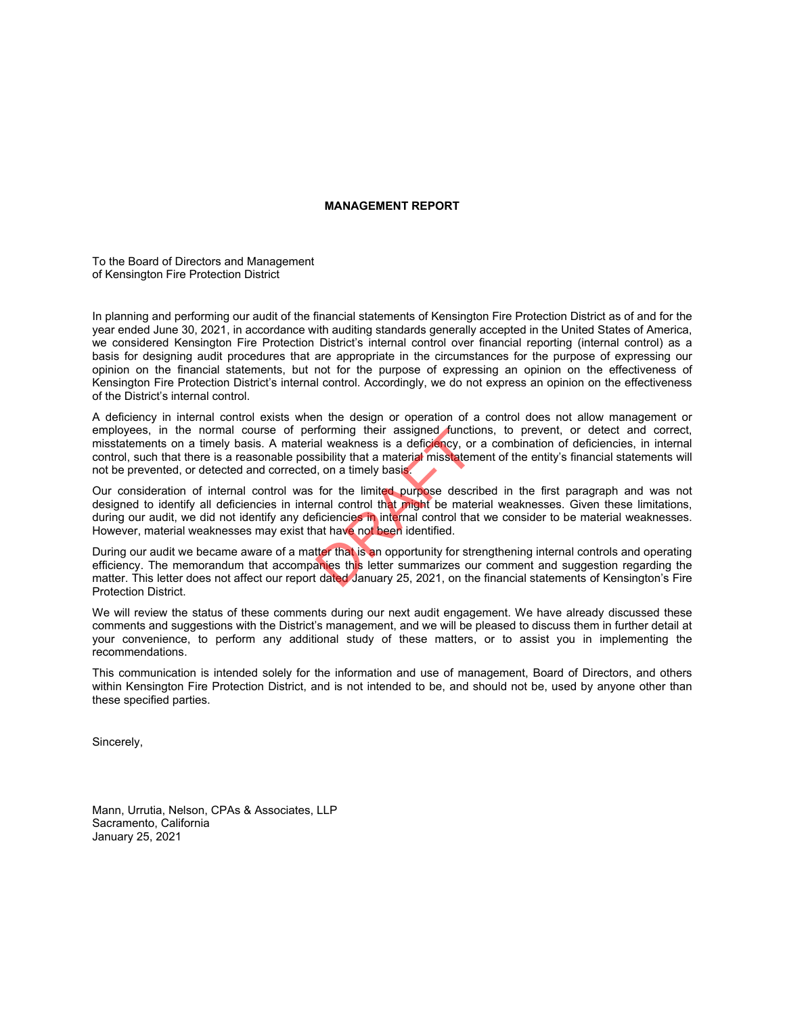#### **MANAGEMENT REPORT**

To the Board of Directors and Management of Kensington Fire Protection District

In planning and performing our audit of the financial statements of Kensington Fire Protection District as of and for the year ended June 30, 2021, in accordance with auditing standards generally accepted in the United States of America, we considered Kensington Fire Protection District's internal control over financial reporting (internal control) as a basis for designing audit procedures that are appropriate in the circumstances for the purpose of expressing our opinion on the financial statements, but not for the purpose of expressing an opinion on the effectiveness of Kensington Fire Protection District's internal control. Accordingly, we do not express an opinion on the effectiveness of the District's internal control.

A deficiency in internal control exists when the design or operation of a control does not allow management or employees, in the normal course of performing their assigned functions, to prevent, or detect and correct, misstatements on a timely basis. A material weakness is a deficiency, or a combination of deficiencies, in internal control, such that there is a reasonable possibility that a material misstatement of the entity's financial statements will not be prevented, or detected and corrected, on a timely basis.

Our consideration of internal control was for the limited purpose described in the first paragraph and was not designed to identify all deficiencies in internal control that might be material weaknesses. Given these limitations, during our audit, we did not identify any deficiencies in internal control that we consider to be material weaknesses. However, material weaknesses may exist that have not been identified. rforming their assigned functial<br>al weakness is a deficiency, or<br>sibility that a material misstaten<br>1, on a timely basis<br>for the limited purpose descr<br>mal control that might be materificiencies in internal control that<br>at

During our audit we became aware of a matter that is an opportunity for strengthening internal controls and operating efficiency. The memorandum that accompanies this letter summarizes our comment and suggestion regarding the matter. This letter does not affect our report dated January 25, 2021, on the financial statements of Kensington's Fire Protection District.

We will review the status of these comments during our next audit engagement. We have already discussed these comments and suggestions with the District's management, and we will be pleased to discuss them in further detail at your convenience, to perform any additional study of these matters, or to assist you in implementing the recommendations.

This communication is intended solely for the information and use of management, Board of Directors, and others within Kensington Fire Protection District, and is not intended to be, and should not be, used by anyone other than these specified parties.

Sincerely,

Mann, Urrutia, Nelson, CPAs & Associates, LLP Sacramento, California January 25, 2021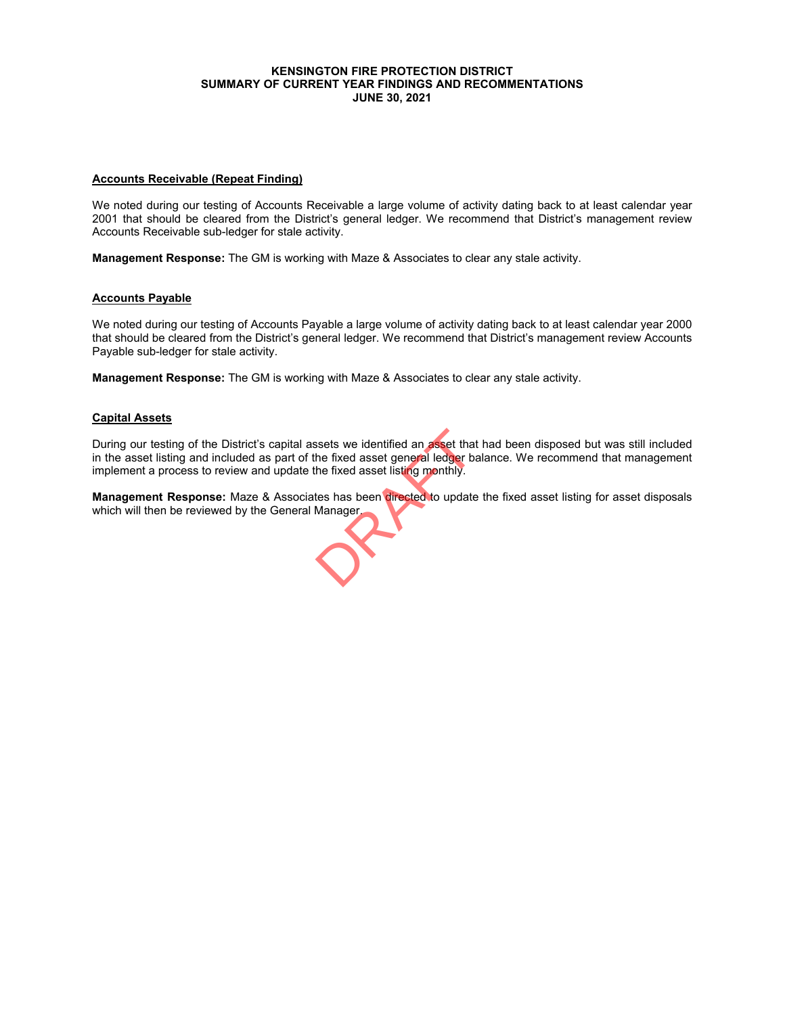### **KENSINGTON FIRE PROTECTION DISTRICT SUMMARY OF CURRENT YEAR FINDINGS AND RECOMMENTATIONS JUNE 30, 2021**

#### **Accounts Receivable (Repeat Finding)**

We noted during our testing of Accounts Receivable a large volume of activity dating back to at least calendar year 2001 that should be cleared from the District's general ledger. We recommend that District's management review Accounts Receivable sub-ledger for stale activity.

**Management Response:** The GM is working with Maze & Associates to clear any stale activity.

## **Accounts Payable**

We noted during our testing of Accounts Payable a large volume of activity dating back to at least calendar year 2000 that should be cleared from the District's general ledger. We recommend that District's management review Accounts Payable sub-ledger for stale activity.

**Management Response:** The GM is working with Maze & Associates to clear any stale activity.

# **Capital Assets**

During our testing of the District's capital assets we identified an asset that had been disposed but was still included in the asset listing and included as part of the fixed asset general ledger balance. We recommend that management implement a process to review and update the fixed asset listing monthly. During our testing of the District's capital assets we identified an asset that<br>in the asset listing and included as part of the fixed asset general ledger b<br>implement a process to review and update the fixed asset listing

**Management Response:** Maze & Associates has been directed to update the fixed asset listing for asset disposals